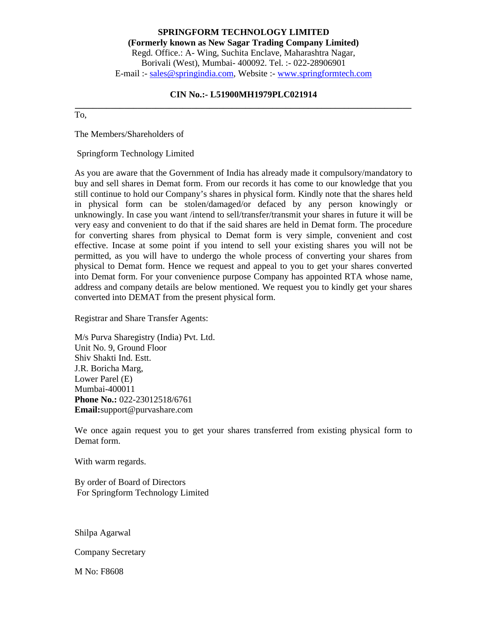**SPRINGFORM TECHNOLOGY LIMITED (Formerly known as New Sagar Trading Company Limited)** Regd. Office.: A- Wing, Suchita Enclave, Maharashtra Nagar, Borivali (West), Mumbai- 400092. Tel. :- 022-28906901 E-mail :- sales@springindia.com, Website :- www.springformtech.com

#### **CIN No.:- L51900MH1979PLC021914**

**\_\_\_\_\_\_\_\_\_\_\_\_\_\_\_\_\_\_\_\_\_\_\_\_\_\_\_\_\_\_\_\_\_\_\_\_\_\_\_\_\_\_\_\_\_\_\_\_\_\_\_\_\_\_\_\_\_\_\_\_\_\_\_\_\_\_\_\_\_\_\_\_\_\_\_** To,

The Members/Shareholders of

Springform Technology Limited

As you are aware that the Government of India has already made it compulsory/mandatory to buy and sell shares in Demat form. From our records it has come to our knowledge that you still continue to hold our Company's shares in physical form. Kindly note that the shares held in physical form can be stolen/damaged/or defaced by any person knowingly or unknowingly. In case you want /intend to sell/transfer/transmit your shares in future it will be very easy and convenient to do that if the said shares are held in Demat form. The procedure for converting shares from physical to Demat form is very simple, convenient and cost effective. Incase at some point if you intend to sell your existing shares you will not be permitted, as you will have to undergo the whole process of converting your shares from physical to Demat form. Hence we request and appeal to you to get your shares converted into Demat form. For your convenience purpose Company has appointed RTA whose name, address and company details are below mentioned. We request you to kindly get your shares converted into DEMAT from the present physical form.

Registrar and Share Transfer Agents:

M/s Purva Sharegistry (India) Pvt. Ltd. Unit No. 9, Ground Floor Shiv Shakti Ind. Estt. J.R. Boricha Marg, Lower Parel (E) Mumbai-400011 **Phone No.:** 022-23012518/6761 **Email:**support@purvashare.com

We once again request you to get your shares transferred from existing physical form to Demat form.

With warm regards.

By order of Board of Directors For Springform Technology Limited

Shilpa Agarwal

Company Secretary

M No: F8608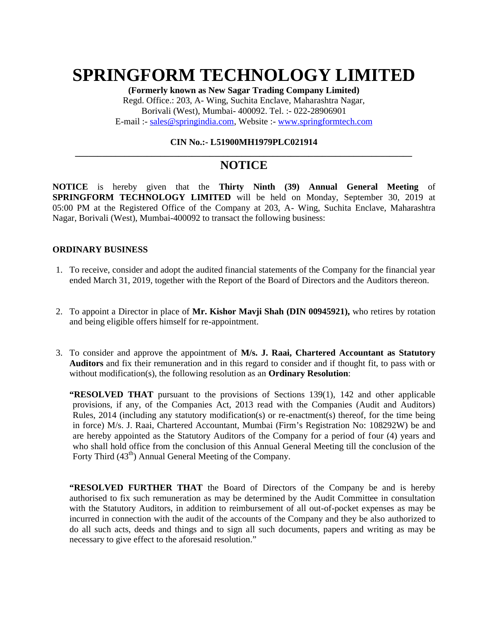## **SPRINGFORM TECHNOLOGY LIMITED**

**(Formerly known as New Sagar Trading Company Limited)** Regd. Office.: 203, A- Wing, Suchita Enclave, Maharashtra Nagar, Borivali (West), Mumbai- 400092. Tel. :- 022-28906901 E-mail :- sales@springindia.com, Website :- www.springformtech.com

#### **CIN No.:- L51900MH1979PLC021914**

**\_\_\_\_\_\_\_\_\_\_\_\_\_\_\_\_\_\_\_\_\_\_\_\_\_\_\_\_\_\_\_\_\_\_\_\_\_\_\_\_\_\_\_\_\_\_\_\_\_\_\_\_\_\_\_\_\_\_\_\_\_\_\_\_\_\_\_\_\_\_\_\_\_\_\_**

### **NOTICE**

**NOTICE** is hereby given that the **Thirty Ninth (39) Annual General Meeting** of **SPRINGFORM TECHNOLOGY LIMITED** will be held on Monday, September 30, 2019 at 05:00 PM at the Registered Office of the Company at 203, A- Wing, Suchita Enclave, Maharashtra Nagar, Borivali (West), Mumbai-400092 to transact the following business:

#### **ORDINARY BUSINESS**

- 1. To receive, consider and adopt the audited financial statements of the Company for the financial year ended March 31, 2019, together with the Report of the Board of Directors and the Auditors thereon.
- 2. To appoint a Director in place of **Mr. Kishor Mavji Shah (DIN 00945921),** who retires by rotation and being eligible offers himself for re-appointment.
- 3. To consider and approve the appointment of **M/s. J. Raai, Chartered Accountant as Statutory Auditors** and fix their remuneration and in this regard to consider and if thought fit, to pass with or without modification(s), the following resolution as an **Ordinary Resolution**:

**"RESOLVED THAT** pursuant to the provisions of Sections 139(1), 142 and other applicable provisions, if any, of the Companies Act, 2013 read with the Companies (Audit and Auditors) Rules, 2014 (including any statutory modification(s) or re-enactment(s) thereof, for the time being in force) M/s. J. Raai, Chartered Accountant, Mumbai (Firm's Registration No: 108292W) be and are hereby appointed as the Statutory Auditors of the Company for a period of four (4) years and who shall hold office from the conclusion of this Annual General Meeting till the conclusion of the Forty Third (43<sup>th</sup>) Annual General Meeting of the Company.

**"RESOLVED FURTHER THAT** the Board of Directors of the Company be and is hereby authorised to fix such remuneration as may be determined by the Audit Committee in consultation with the Statutory Auditors, in addition to reimbursement of all out-of-pocket expenses as may be incurred in connection with the audit of the accounts of the Company and they be also authorized to do all such acts, deeds and things and to sign all such documents, papers and writing as may be necessary to give effect to the aforesaid resolution."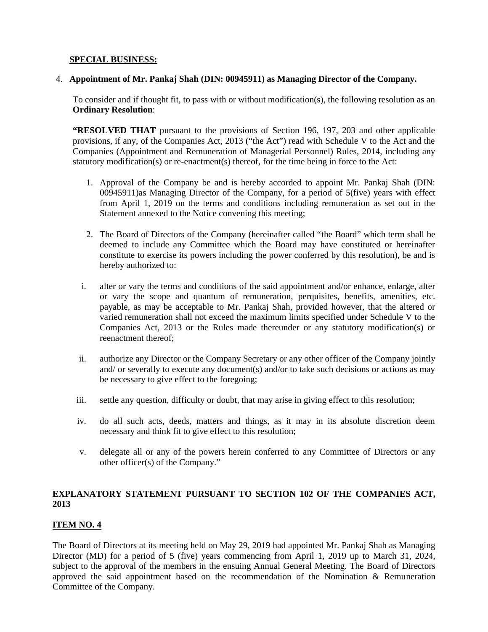#### **SPECIAL BUSINESS:**

#### 4. **Appointment of Mr. Pankaj Shah (DIN: 00945911) as Managing Director of the Company.**

To consider and if thought fit, to pass with or without modification(s), the following resolution as an **Ordinary Resolution**:

**"RESOLVED THAT** pursuant to the provisions of Section 196, 197, 203 and other applicable provisions, if any, of the Companies Act, 2013 ("the Act") read with Schedule V to the Act and the Companies (Appointment and Remuneration of Managerial Personnel) Rules, 2014, including any statutory modification(s) or re-enactment(s) thereof, for the time being in force to the Act:

- 1. Approval of the Company be and is hereby accorded to appoint Mr. Pankaj Shah (DIN: 00945911)as Managing Director of the Company, for a period of 5(five) years with effect from April 1, 2019 on the terms and conditions including remuneration as set out in the Statement annexed to the Notice convening this meeting;
- 2. The Board of Directors of the Company (hereinafter called "the Board" which term shall be deemed to include any Committee which the Board may have constituted or hereinafter constitute to exercise its powers including the power conferred by this resolution), be and is hereby authorized to:
- i. alter or vary the terms and conditions of the said appointment and/or enhance, enlarge, alter or vary the scope and quantum of remuneration, perquisites, benefits, amenities, etc. payable, as may be acceptable to Mr. Pankaj Shah, provided however, that the altered or varied remuneration shall not exceed the maximum limits specified under Schedule V to the Companies Act, 2013 or the Rules made thereunder or any statutory modification(s) or reenactment thereof;
- ii. authorize any Director or the Company Secretary or any other officer of the Company jointly and/ or severally to execute any document(s) and/or to take such decisions or actions as may be necessary to give effect to the foregoing;
- iii. settle any question, difficulty or doubt, that may arise in giving effect to this resolution;
- iv. do all such acts, deeds, matters and things, as it may in its absolute discretion deem necessary and think fit to give effect to this resolution;
- v. delegate all or any of the powers herein conferred to any Committee of Directors or any other officer(s) of the Company."

#### **EXPLANATORY STATEMENT PURSUANT TO SECTION 102 OF THE COMPANIES ACT, 2013**

#### **ITEM NO. 4**

The Board of Directors at its meeting held on May 29, 2019 had appointed Mr. Pankaj Shah as Managing Director (MD) for a period of 5 (five) years commencing from April 1, 2019 up to March 31, 2024, subject to the approval of the members in the ensuing Annual General Meeting. The Board of Directors approved the said appointment based on the recommendation of the Nomination & Remuneration Committee of the Company.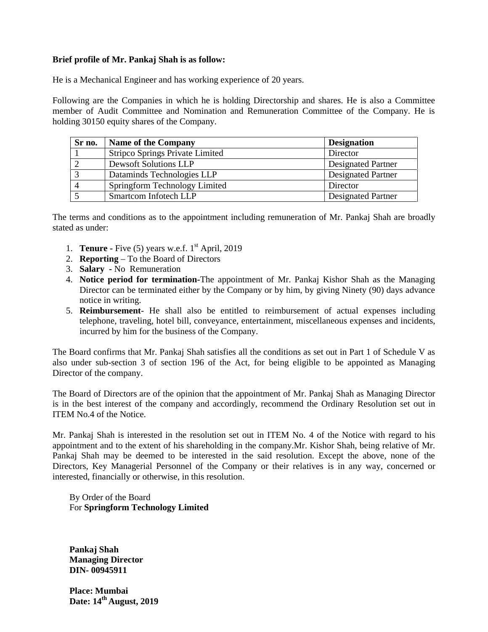#### **Brief profile of Mr. Pankaj Shah is as follow:**

He is a Mechanical Engineer and has working experience of 20 years.

Following are the Companies in which he is holding Directorship and shares. He is also a Committee member of Audit Committee and Nomination and Remuneration Committee of the Company. He is holding 30150 equity shares of the Company.

| Sr no.         | <b>Name of the Company</b>      | <b>Designation</b>        |
|----------------|---------------------------------|---------------------------|
|                | Stripco Springs Private Limited | Director                  |
|                | <b>Dewsoft Solutions LLP</b>    | <b>Designated Partner</b> |
|                | Dataminds Technologies LLP      | <b>Designated Partner</b> |
| $\overline{4}$ | Springform Technology Limited   | Director                  |
|                | Smartcom Infotech LLP           | <b>Designated Partner</b> |

The terms and conditions as to the appointment including remuneration of Mr. Pankaj Shah are broadly stated as under:

- 1. **Tenure -** Five (5) years w.e.f. 1st April, 2019
- 2. **Reporting** To the Board of Directors
- 3. **Salary -** No Remuneration
- 4. **Notice period for termination-**The appointment of Mr. Pankaj Kishor Shah as the Managing Director can be terminated either by the Company or by him, by giving Ninety (90) days advance notice in writing.
- 5. **Reimbursement** He shall also be entitled to reimbursement of actual expenses including telephone, traveling, hotel bill, conveyance, entertainment, miscellaneous expenses and incidents, incurred by him for the business of the Company.

The Board confirms that Mr. Pankaj Shah satisfies all the conditions as set out in Part 1 of Schedule V as also under sub-section 3 of section 196 of the Act, for being eligible to be appointed as Managing Director of the company.

The Board of Directors are of the opinion that the appointment of Mr. Pankaj Shah as Managing Director is in the best interest of the company and accordingly, recommend the Ordinary Resolution set out in ITEM No.4 of the Notice.

Mr. Pankaj Shah is interested in the resolution set out in ITEM No. 4 of the Notice with regard to his appointment and to the extent of his shareholding in the company.Mr. Kishor Shah, being relative of Mr. Pankaj Shah may be deemed to be interested in the said resolution. Except the above, none of the Directors, Key Managerial Personnel of the Company or their relatives is in any way, concerned or interested, financially or otherwise, in this resolution.

By Order of the Board For **Springform Technology Limited**

**Pankaj Shah Managing Director DIN- 00945911**

**Place: Mumbai Date: 14th August, 2019**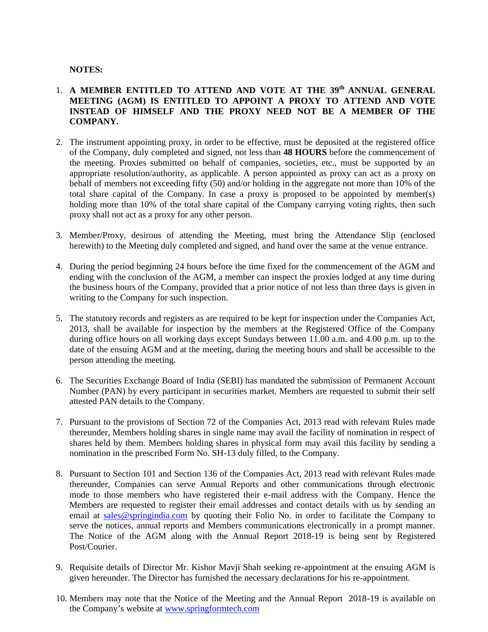#### **NOTES:**

#### 1. **A MEMBER ENTITLED TO ATTEND AND VOTE AT THE 39th ANNUAL GENERAL MEETING (AGM) IS ENTITLED TO APPOINT A PROXY TO ATTEND AND VOTE INSTEAD OF HIMSELF AND THE PROXY NEED NOT BE A MEMBER OF THE COMPANY.**

- 2. The instrument appointing proxy, in order to be effective, must be deposited at the registered office of the Company, duly completed and signed, not less than **48 HOURS** before the commencement of the meeting. Proxies submitted on behalf of companies, societies, etc., must be supported by an appropriate resolution/authority, as applicable. A person appointed as proxy can act as a proxy on behalf of members not exceeding fifty (50) and/or holding in the aggregate not more than 10% of the total share capital of the Company. In case a proxy is proposed to be appointed by member(s) holding more than 10% of the total share capital of the Company carrying voting rights, then such proxy shall not act as a proxy for any other person.
- 3. Member/Proxy, desirous of attending the Meeting, must bring the Attendance Slip (enclosed herewith) to the Meeting duly completed and signed, and hand over the same at the venue entrance.
- 4. During the period beginning 24 hours before the time fixed for the commencement of the AGM and ending with the conclusion of the AGM, a member can inspect the proxies lodged at any time during the business hours of the Company, provided that a prior notice of not less than three days is given in writing to the Company for such inspection.
- 5. The statutory records and registers as are required to be kept for inspection under the Companies Act, 2013, shall be available for inspection by the members at the Registered Office of the Company during office hours on all working days except Sundays between 11.00 a.m. and 4.00 p.m. up to the date of the ensuing AGM and at the meeting, during the meeting hours and shall be accessible to the person attending the meeting.
- 6. The Securities Exchange Board of India (SEBI) has mandated the submission of Permanent Account Number (PAN) by every participant in securities market. Members are requested to submit their self attested PAN details to the Company.
- 7. Pursuant to the provisions of Section 72 of the Companies Act, 2013 read with relevant Rules made thereunder, Members holding shares in single name may avail the facility of nomination in respect of shares held by them. Members holding shares in physical form may avail this facility by sending a nomination in the prescribed Form No. SH-13 duly filled, to the Company.
- 8. Pursuant to Section 101 and Section 136 of the Companies Act, 2013 read with relevant Rules made thereunder, Companies can serve Annual Reports and other communications through electronic mode to those members who have registered their e-mail address with the Company. Hence the Members are requested to register their email addresses and contact details with us by sending an email at sales@springindia.com by quoting their Folio No. in order to facilitate the Company to serve the notices, annual reports and Members communications electronically in a prompt manner. The Notice of the AGM along with the Annual Report 2018-19 is being sent by Registered Post/Courier.
- 9. Requisite details of Director Mr. Kishor Mavji Shah seeking re-appointment at the ensuing AGM is given hereunder. The Director has furnished the necessary declarations for his re-appointment.
- 10. Members may note that the Notice of the Meeting and the Annual Report 2018-19 is available on the Company's website at www.springformtech.com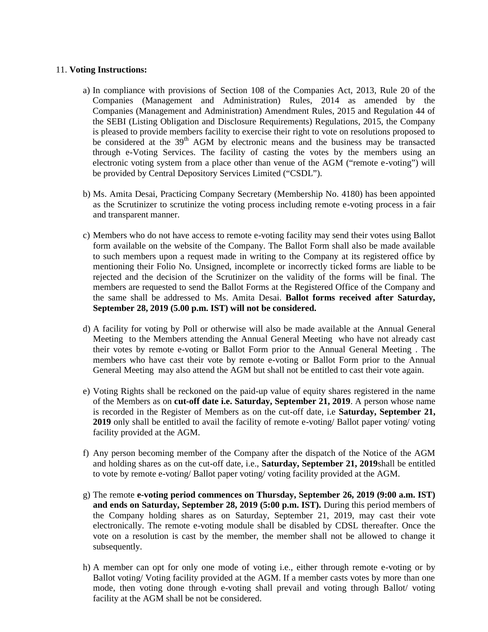#### 11. **Voting Instructions:**

- a) In compliance with provisions of Section 108 of the Companies Act, 2013, Rule 20 of the Companies (Management and Administration) Rules, 2014 as amended by the Companies (Management and Administration) Amendment Rules, 2015 and Regulation 44 of the SEBI (Listing Obligation and Disclosure Requirements) Regulations, 2015, the Company is pleased to provide members facility to exercise their right to vote on resolutions proposed to be considered at the 39<sup>th</sup> AGM by electronic means and the business may be transacted through e-Voting Services. The facility of casting the votes by the members using an electronic voting system from a place other than venue of the AGM ("remote e-voting") will be provided by Central Depository Services Limited ("CSDL").
- b) Ms. Amita Desai, Practicing Company Secretary (Membership No. 4180) has been appointed as the Scrutinizer to scrutinize the voting process including remote e-voting process in a fair and transparent manner.
- c) Members who do not have access to remote e-voting facility may send their votes using Ballot form available on the website of the Company. The Ballot Form shall also be made available to such members upon a request made in writing to the Company at its registered office by mentioning their Folio No. Unsigned, incomplete or incorrectly ticked forms are liable to be rejected and the decision of the Scrutinizer on the validity of the forms will be final. The members are requested to send the Ballot Forms at the Registered Office of the Company and the same shall be addressed to Ms. Amita Desai. **Ballot forms received after Saturday, September 28, 2019 (5.00 p.m. IST) will not be considered.**
- d) A facility for voting by Poll or otherwise will also be made available at the Annual General Meeting to the Members attending the Annual General Meeting who have not already cast their votes by remote e-voting or Ballot Form prior to the Annual General Meeting . The members who have cast their vote by remote e-voting or Ballot Form prior to the Annual General Meeting may also attend the AGM but shall not be entitled to cast their vote again.
- e) Voting Rights shall be reckoned on the paid-up value of equity shares registered in the name of the Members as on **cut-off date i.e. Saturday, September 21, 2019**. A person whose name is recorded in the Register of Members as on the cut-off date, i.e **Saturday, September 21, 2019** only shall be entitled to avail the facility of remote e-voting/ Ballot paper voting/ voting facility provided at the AGM.
- f) Any person becoming member of the Company after the dispatch of the Notice of the AGM and holding shares as on the cut-off date, i.e., **Saturday, September 21, 2019**shall be entitled to vote by remote e-voting/ Ballot paper voting/ voting facility provided at the AGM.
- g) The remote **e-voting period commences on Thursday, September 26, 2019 (9:00 a.m. IST) and ends on Saturday, September 28, 2019 (5:00 p.m. IST).** During this period members of the Company holding shares as on Saturday, September 21, 2019, may cast their vote electronically. The remote e-voting module shall be disabled by CDSL thereafter. Once the vote on a resolution is cast by the member, the member shall not be allowed to change it subsequently.
- h) A member can opt for only one mode of voting i.e., either through remote e-voting or by Ballot voting/ Voting facility provided at the AGM. If a member casts votes by more than one mode, then voting done through e-voting shall prevail and voting through Ballot/ voting facility at the AGM shall be not be considered.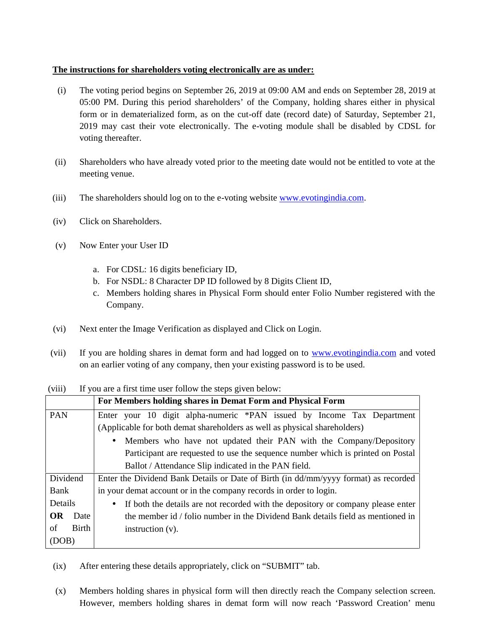#### **The instructions for shareholders voting electronically are as under:**

- (i) The voting period begins on September 26, 2019 at 09:00 AM and ends on September 28, 2019 at 05:00 PM. During this period shareholders' of the Company, holding shares either in physical form or in dematerialized form, as on the cut-off date (record date) of Saturday, September 21, 2019 may cast their vote electronically. The e-voting module shall be disabled by CDSL for voting thereafter.
- (ii) Shareholders who have already voted prior to the meeting date would not be entitled to vote at the meeting venue.
- (iii) The shareholders should log on to the e-voting website www.evotingindia.com.
- (iv) Click on Shareholders.
- (v) Now Enter your User ID
	- a. For CDSL: 16 digits beneficiary ID,
	- b. For NSDL: 8 Character DP ID followed by 8 Digits Client ID,
	- c. Members holding shares in Physical Form should enter Folio Number registered with the Company.
- (vi) Next enter the Image Verification as displayed and Click on Login.
- (vii) If you are holding shares in demat form and had logged on to www.evotingindia.com and voted on an earlier voting of any company, then your existing password is to be used.

(viii) If you are a first time user follow the steps given below:

|             | For Members holding shares in Demat Form and Physical Form                                    |  |  |  |  |  |  |
|-------------|-----------------------------------------------------------------------------------------------|--|--|--|--|--|--|
| <b>PAN</b>  | Enter your 10 digit alpha-numeric *PAN issued by Income Tax Department                        |  |  |  |  |  |  |
|             | (Applicable for both demat shareholders as well as physical shareholders)                     |  |  |  |  |  |  |
|             | Members who have not updated their PAN with the Company/Depository<br>$\bullet$               |  |  |  |  |  |  |
|             | Participant are requested to use the sequence number which is printed on Postal               |  |  |  |  |  |  |
|             | Ballot / Attendance Slip indicated in the PAN field.                                          |  |  |  |  |  |  |
| Dividend    | Enter the Dividend Bank Details or Date of Birth (in dd/mm/yyyy format) as recorded           |  |  |  |  |  |  |
| Bank        | in your demat account or in the company records in order to login.                            |  |  |  |  |  |  |
| Details     | If both the details are not recorded with the depository or company please enter<br>$\bullet$ |  |  |  |  |  |  |
| OR<br>Date  | the member id / folio number in the Dividend Bank details field as mentioned in               |  |  |  |  |  |  |
| Birth<br>οf | instruction $(v)$ .                                                                           |  |  |  |  |  |  |
| (DOB)       |                                                                                               |  |  |  |  |  |  |

(ix) After entering these details appropriately, click on "SUBMIT" tab.

(x) Members holding shares in physical form will then directly reach the Company selection screen. However, members holding shares in demat form will now reach 'Password Creation' menu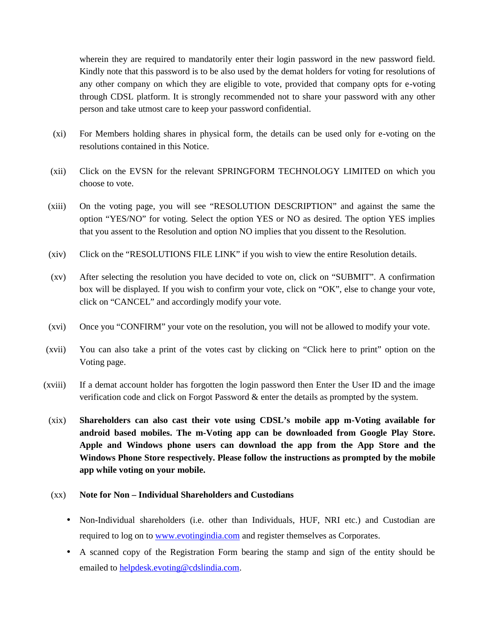wherein they are required to mandatorily enter their login password in the new password field. Kindly note that this password is to be also used by the demat holders for voting for resolutions of any other company on which they are eligible to vote, provided that company opts for e-voting through CDSL platform. It is strongly recommended not to share your password with any other person and take utmost care to keep your password confidential.

- (xi) For Members holding shares in physical form, the details can be used only for e-voting on the resolutions contained in this Notice.
- (xii) Click on the EVSN for the relevant SPRINGFORM TECHNOLOGY LIMITED on which you choose to vote.
- (xiii) On the voting page, you will see "RESOLUTION DESCRIPTION" and against the same the option "YES/NO" for voting. Select the option YES or NO as desired. The option YES implies that you assent to the Resolution and option NO implies that you dissent to the Resolution.
- (xiv) Click on the "RESOLUTIONS FILE LINK" if you wish to view the entire Resolution details.
- (xv) After selecting the resolution you have decided to vote on, click on "SUBMIT". A confirmation box will be displayed. If you wish to confirm your vote, click on "OK", else to change your vote, click on "CANCEL" and accordingly modify your vote.
- (xvi) Once you "CONFIRM" your vote on the resolution, you will not be allowed to modify your vote.
- (xvii) You can also take a print of the votes cast by clicking on "Click here to print" option on the Voting page.
- (xviii) If a demat account holder has forgotten the login password then Enter the User ID and the image verification code and click on Forgot Password & enter the details as prompted by the system.
- (xix) **Shareholders can also cast their vote using CDSL's mobile app m-Voting available for android based mobiles. The m-Voting app can be downloaded from Google Play Store. Apple and Windows phone users can download the app from the App Store and the Windows Phone Store respectively. Please follow the instructions as prompted by the mobile app while voting on your mobile.**

#### (xx) **Note for Non – Individual Shareholders and Custodians**

- Non-Individual shareholders (i.e. other than Individuals, HUF, NRI etc.) and Custodian are required to log on to www.evotingindia.com and register themselves as Corporates.
- A scanned copy of the Registration Form bearing the stamp and sign of the entity should be emailed to helpdesk.evoting@cdslindia.com.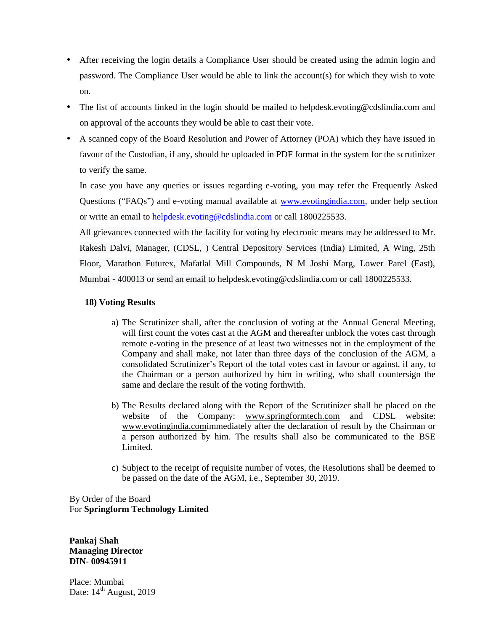- After receiving the login details a Compliance User should be created using the admin login and password. The Compliance User would be able to link the account(s) for which they wish to vote on.
- The list of accounts linked in the login should be mailed to helpdesk.evoting@cdslindia.com and on approval of the accounts they would be able to cast their vote.
- A scanned copy of the Board Resolution and Power of Attorney (POA) which they have issued in favour of the Custodian, if any, should be uploaded in PDF format in the system for the scrutinizer to verify the same.

In case you have any queries or issues regarding e-voting, you may refer the Frequently Asked Questions ("FAQs") and e-voting manual available at www.evotingindia.com, under help section or write an email to helpdesk.evoting@cdslindia.com or call 1800225533.

All grievances connected with the facility for voting by electronic means may be addressed to Mr. Rakesh Dalvi, Manager, (CDSL, ) Central Depository Services (India) Limited, A Wing, 25th Floor, Marathon Futurex, Mafatlal Mill Compounds, N M Joshi Marg, Lower Parel (East), Mumbai - 400013 or send an email to helpdesk.evoting@cdslindia.com or call 1800225533.

#### **18) Voting Results**

- a) The Scrutinizer shall, after the conclusion of voting at the Annual General Meeting, will first count the votes cast at the AGM and thereafter unblock the votes cast through remote e-voting in the presence of at least two witnesses not in the employment of the Company and shall make, not later than three days of the conclusion of the AGM, a consolidated Scrutinizer's Report of the total votes cast in favour or against, if any, to the Chairman or a person authorized by him in writing, who shall countersign the same and declare the result of the voting forthwith.
- b) The Results declared along with the Report of the Scrutinizer shall be placed on the website of the Company: www.springformtech.com and CDSL website: www.evotingindia.comimmediately after the declaration of result by the Chairman or a person authorized by him. The results shall also be communicated to the BSE Limited.
- c) Subject to the receipt of requisite number of votes, the Resolutions shall be deemed to be passed on the date of the AGM, i.e., September 30, 2019.

By Order of the Board For **Springform Technology Limited**

**Pankaj Shah Managing Director DIN- 00945911**

Place: Mumbai Date:  $14<sup>th</sup>$  August, 2019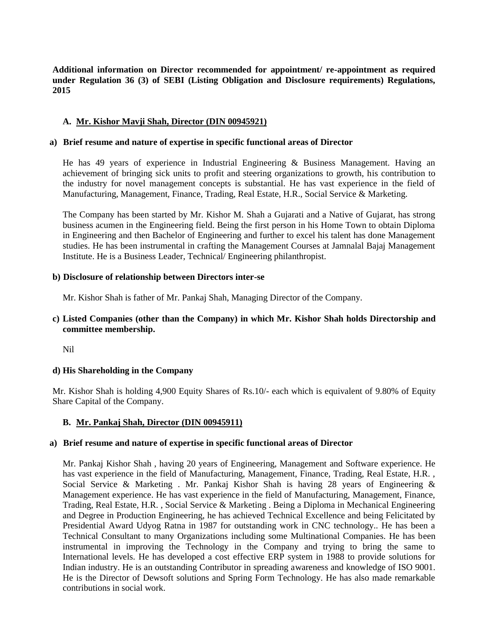**Additional information on Director recommended for appointment/ re-appointment as required under Regulation 36 (3) of SEBI (Listing Obligation and Disclosure requirements) Regulations, 2015**

#### **A. Mr. Kishor Mavji Shah, Director (DIN 00945921)**

#### **a) Brief resume and nature of expertise in specific functional areas of Director**

He has 49 years of experience in Industrial Engineering & Business Management. Having an achievement of bringing sick units to profit and steering organizations to growth, his contribution to the industry for novel management concepts is substantial. He has vast experience in the field of Manufacturing, Management, Finance, Trading, Real Estate, H.R., Social Service & Marketing.

The Company has been started by Mr. Kishor M. Shah a Gujarati and a Native of Gujarat, has strong business acumen in the Engineering field. Being the first person in his Home Town to obtain Diploma in Engineering and then Bachelor of Engineering and further to excel his talent has done Management studies. He has been instrumental in crafting the Management Courses at Jamnalal Bajaj Management Institute. He is a Business Leader, Technical/ Engineering philanthropist.

#### **b) Disclosure of relationship between Directors inter-se**

Mr. Kishor Shah is father of Mr. Pankaj Shah, Managing Director of the Company.

#### **c) Listed Companies (other than the Company) in which Mr. Kishor Shah holds Directorship and committee membership.**

Nil

#### **d) His Shareholding in the Company**

Mr. Kishor Shah is holding 4,900 Equity Shares of Rs.10/- each which is equivalent of 9.80% of Equity Share Capital of the Company.

#### **B. Mr. Pankaj Shah, Director (DIN 00945911)**

#### **a) Brief resume and nature of expertise in specific functional areas of Director**

Mr. Pankaj Kishor Shah , having 20 years of Engineering, Management and Software experience. He has vast experience in the field of Manufacturing, Management, Finance, Trading, Real Estate, H.R. , Social Service & Marketing . Mr. Pankaj Kishor Shah is having 28 years of Engineering & Management experience. He has vast experience in the field of Manufacturing, Management, Finance, Trading, Real Estate, H.R. , Social Service & Marketing . Being a Diploma in Mechanical Engineering and Degree in Production Engineering, he has achieved Technical Excellence and being Felicitated by Presidential Award Udyog Ratna in 1987 for outstanding work in CNC technology.. He has been a Technical Consultant to many Organizations including some Multinational Companies. He has been instrumental in improving the Technology in the Company and trying to bring the same to International levels. He has developed a cost effective ERP system in 1988 to provide solutions for Indian industry. He is an outstanding Contributor in spreading awareness and knowledge of ISO 9001. He is the Director of Dewsoft solutions and Spring Form Technology. He has also made remarkable contributions in social work.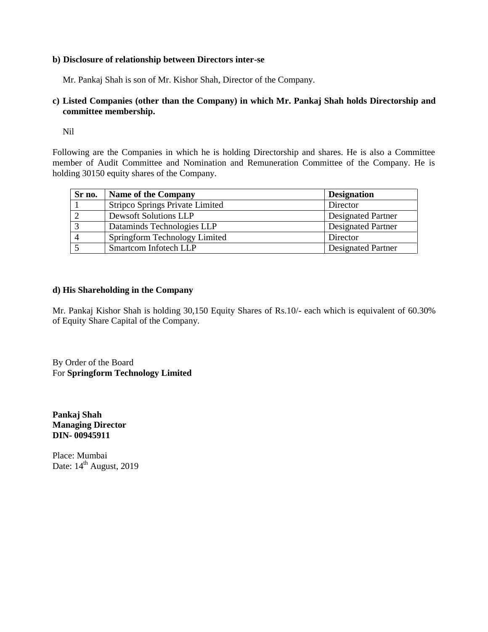#### **b) Disclosure of relationship between Directors inter-se**

Mr. Pankaj Shah is son of Mr. Kishor Shah, Director of the Company.

#### **c) Listed Companies (other than the Company) in which Mr. Pankaj Shah holds Directorship and committee membership.**

Nil

Following are the Companies in which he is holding Directorship and shares. He is also a Committee member of Audit Committee and Nomination and Remuneration Committee of the Company. He is holding 30150 equity shares of the Company.

| Sr no.         | <b>Name of the Company</b>      | <b>Designation</b>        |
|----------------|---------------------------------|---------------------------|
|                | Stripco Springs Private Limited | Director                  |
|                | <b>Dewsoft Solutions LLP</b>    | <b>Designated Partner</b> |
| 3              | Dataminds Technologies LLP      | <b>Designated Partner</b> |
| $\overline{4}$ | Springform Technology Limited   | Director                  |
|                | Smartcom Infotech LLP           | <b>Designated Partner</b> |

#### **d) His Shareholding in the Company**

Mr. Pankaj Kishor Shah is holding 30,150 Equity Shares of Rs.10/- each which is equivalent of 60.30% of Equity Share Capital of the Company.

By Order of the Board For **Springform Technology Limited**

**Pankaj Shah Managing Director DIN- 00945911**

Place: Mumbai Date: 14<sup>th</sup> August, 2019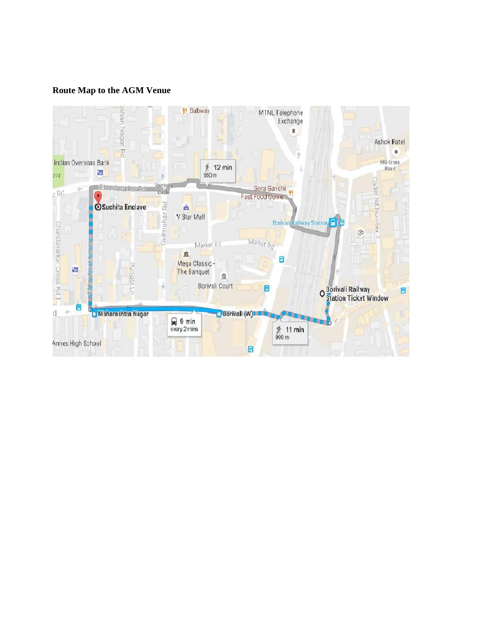#### **Route Map to the AGM Venue**

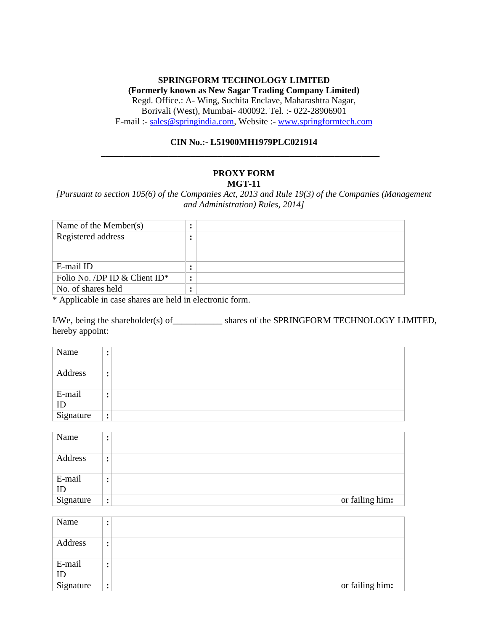#### **SPRINGFORM TECHNOLOGY LIMITED**

**(Formerly known as New Sagar Trading Company Limited)** Regd. Office.: A- Wing, Suchita Enclave, Maharashtra Nagar, Borivali (West), Mumbai- 400092. Tel. :- 022-28906901 E-mail :- sales@springindia.com, Website :- www.springformtech.com

#### **CIN No.:- L51900MH1979PLC021914**

**\_\_\_\_\_\_\_\_\_\_\_\_\_\_\_\_\_\_\_\_\_\_\_\_\_\_\_\_\_\_\_\_\_\_\_\_\_\_\_\_\_\_\_\_\_\_\_\_\_\_\_\_\_\_\_\_\_\_\_\_\_\_**

#### **PROXY FORM MGT-11**

*[Pursuant to section 105(6) of the Companies Act, 2013 and Rule 19(3) of the Companies (Management and Administration) Rules, 2014]*

| Name of the Member( $s$ )        | ٠ |  |
|----------------------------------|---|--|
| Registered address               |   |  |
|                                  |   |  |
|                                  |   |  |
| E-mail ID                        | ٠ |  |
| Folio No. /DP ID & Client $ID^*$ |   |  |
| No. of shares held               |   |  |

\* Applicable in case shares are held in electronic form.

I/We, being the shareholder(s) of\_\_\_\_\_\_\_\_\_\_\_ shares of the SPRINGFORM TECHNOLOGY LIMITED, hereby appoint:

| Name         |           |
|--------------|-----------|
| Address      | ٠         |
| E-mail<br>ID |           |
| Signature    | $\bullet$ |

| Name         | ٠                      |                 |
|--------------|------------------------|-----------------|
| Address      | ٠                      |                 |
| E-mail<br>ID | ٠                      |                 |
| Signature    | $\bullet$<br>$\bullet$ | or failing him: |

| Name         |           |                 |
|--------------|-----------|-----------------|
| Address      |           |                 |
| E-mail<br>ID |           |                 |
| Signature    | $\bullet$ | or failing him: |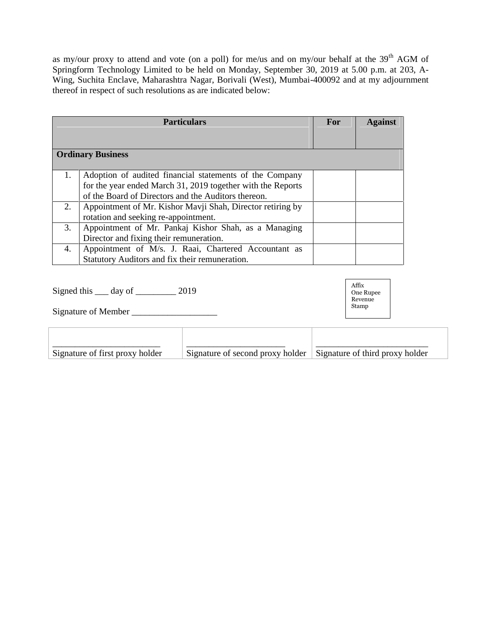as my/our proxy to attend and vote (on a poll) for me/us and on my/our behalf at the 39<sup>th</sup> AGM of Springform Technology Limited to be held on Monday, September 30, 2019 at 5.00 p.m. at 203, A- Wing, Suchita Enclave, Maharashtra Nagar, Borivali (West), Mumbai-400092 and at my adjournment thereof in respect of such resolutions as are indicated below:

|    | <b>Particulars</b>                                                                                                     | For | <b>Against</b> |
|----|------------------------------------------------------------------------------------------------------------------------|-----|----------------|
|    | <b>Ordinary Business</b>                                                                                               |     |                |
| 1. | Adoption of audited financial statements of the Company<br>for the year ended March 31, 2019 together with the Reports |     |                |
| 2. | of the Board of Directors and the Auditors thereon.<br>Appointment of Mr. Kishor Mavji Shah, Director retiring by      |     |                |
|    | rotation and seeking re-appointment.                                                                                   |     |                |
| 3. | Appointment of Mr. Pankaj Kishor Shah, as a Managing<br>Director and fixing their remuneration.                        |     |                |
| 4. | Appointment of M/s. J. Raai, Chartered Accountant as<br>Statutory Auditors and fix their remuneration.                 |     |                |

Signed this <u>equal</u> day of <u>equal</u> 2019

Signature of Member \_\_\_\_\_\_\_\_\_\_\_\_\_\_\_\_\_\_\_

| Signature of first proxy holder | Signature of second proxy holder Signature of third proxy holder |  |
|---------------------------------|------------------------------------------------------------------|--|

Affix One Rupee Revenue Stamp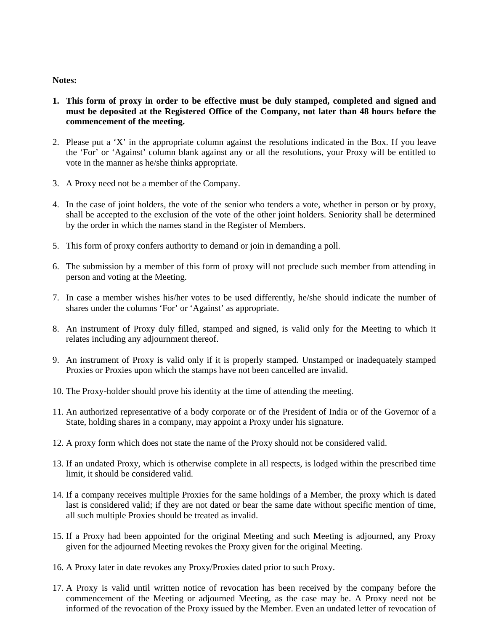#### **Notes:**

- **1. This form of proxy in order to be effective must be duly stamped, completed and signed and must be deposited at the Registered Office of the Company, not later than 48 hours before the commencement of the meeting.**
- 2. Please put a 'X' in the appropriate column against the resolutions indicated in the Box. If you leave the 'For' or 'Against' column blank against any or all the resolutions, your Proxy will be entitled to vote in the manner as he/she thinks appropriate.
- 3. A Proxy need not be a member of the Company.
- 4. In the case of joint holders, the vote of the senior who tenders a vote, whether in person or by proxy, shall be accepted to the exclusion of the vote of the other joint holders. Seniority shall be determined by the order in which the names stand in the Register of Members.
- 5. This form of proxy confers authority to demand or join in demanding a poll.
- 6. The submission by a member of this form of proxy will not preclude such member from attending in person and voting at the Meeting.
- 7. In case a member wishes his/her votes to be used differently, he/she should indicate the number of shares under the columns 'For' or 'Against' as appropriate.
- 8. An instrument of Proxy duly filled, stamped and signed, is valid only for the Meeting to which it relates including any adjournment thereof.
- 9. An instrument of Proxy is valid only if it is properly stamped. Unstamped or inadequately stamped Proxies or Proxies upon which the stamps have not been cancelled are invalid.
- 10. The Proxy-holder should prove his identity at the time of attending the meeting.
- 11. An authorized representative of a body corporate or of the President of India or of the Governor of a State, holding shares in a company, may appoint a Proxy under his signature.
- 12. A proxy form which does not state the name of the Proxy should not be considered valid.
- 13. If an undated Proxy, which is otherwise complete in all respects, is lodged within the prescribed time limit, it should be considered valid.
- 14. If a company receives multiple Proxies for the same holdings of a Member, the proxy which is dated last is considered valid; if they are not dated or bear the same date without specific mention of time, all such multiple Proxies should be treated as invalid.
- 15. If a Proxy had been appointed for the original Meeting and such Meeting is adjourned, any Proxy given for the adjourned Meeting revokes the Proxy given for the original Meeting.
- 16. A Proxy later in date revokes any Proxy/Proxies dated prior to such Proxy.
- 17. A Proxy is valid until written notice of revocation has been received by the company before the commencement of the Meeting or adjourned Meeting, as the case may be. A Proxy need not be informed of the revocation of the Proxy issued by the Member. Even an undated letter of revocation of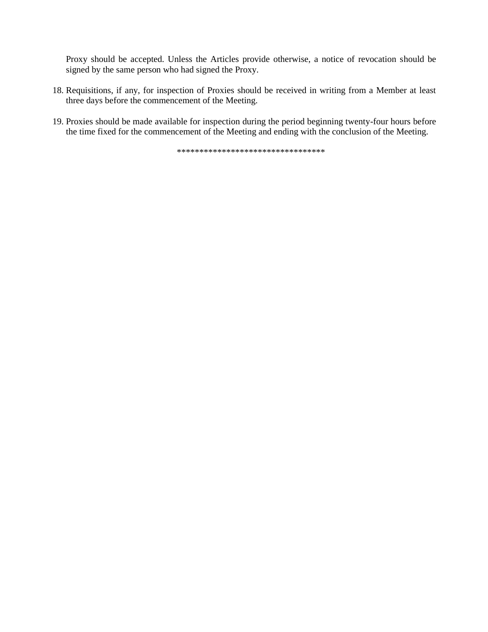Proxy should be accepted. Unless the Articles provide otherwise, a notice of revocation should be signed by the same person who had signed the Proxy.

- 18. Requisitions, if any, for inspection of Proxies should be received in writing from a Member at least three days before the commencement of the Meeting.
- 19. Proxies should be made available for inspection during the period beginning twenty-four hours before the time fixed for the commencement of the Meeting and ending with the conclusion of the Meeting.

\*\*\*\*\*\*\*\*\*\*\*\*\*\*\*\*\*\*\*\*\*\*\*\*\*\*\*\*\*\*\*\*\*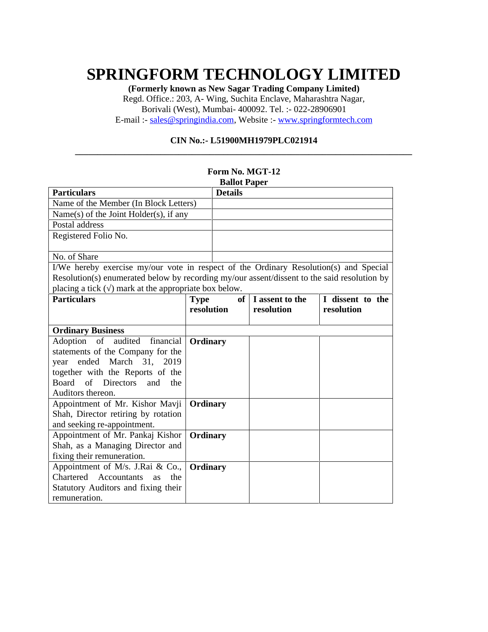## **SPRINGFORM TECHNOLOGY LIMITED**

**(Formerly known as New Sagar Trading Company Limited)** Regd. Office.: 203, A- Wing, Suchita Enclave, Maharashtra Nagar, Borivali (West), Mumbai- 400092. Tel. :- 022-28906901 E-mail :- sales@springindia.com, Website :- www.springformtech.com

#### **CIN No.:- L51900MH1979PLC021914**

**\_\_\_\_\_\_\_\_\_\_\_\_\_\_\_\_\_\_\_\_\_\_\_\_\_\_\_\_\_\_\_\_\_\_\_\_\_\_\_\_\_\_\_\_\_\_\_\_\_\_\_\_\_\_\_\_\_\_\_\_\_\_\_\_\_\_\_\_\_\_\_\_\_\_\_**

|                                                                                             |             | Form No. MGT-12     |                 |                  |
|---------------------------------------------------------------------------------------------|-------------|---------------------|-----------------|------------------|
|                                                                                             |             | <b>Ballot Paper</b> |                 |                  |
| <b>Particulars</b>                                                                          |             | <b>Details</b>      |                 |                  |
| Name of the Member (In Block Letters)                                                       |             |                     |                 |                  |
| Name(s) of the Joint Holder(s), if any                                                      |             |                     |                 |                  |
| Postal address                                                                              |             |                     |                 |                  |
| Registered Folio No.                                                                        |             |                     |                 |                  |
|                                                                                             |             |                     |                 |                  |
| No. of Share                                                                                |             |                     |                 |                  |
| I/We hereby exercise my/our vote in respect of the Ordinary Resolution(s) and Special       |             |                     |                 |                  |
| Resolution(s) enumerated below by recording my/our assent/dissent to the said resolution by |             |                     |                 |                  |
| placing a tick () mark at the appropriate box below.                                        |             |                     |                 |                  |
| <b>Particulars</b>                                                                          | <b>Type</b> | of                  | I assent to the | I dissent to the |
|                                                                                             | resolution  |                     | resolution      | resolution       |
|                                                                                             |             |                     |                 |                  |
| <b>Ordinary Business</b>                                                                    |             |                     |                 |                  |
| financial<br>Adoption of audited                                                            | Ordinary    |                     |                 |                  |
| statements of the Company for the                                                           |             |                     |                 |                  |
| ended<br>March 31, 2019<br>year                                                             |             |                     |                 |                  |
| together with the Reports of the                                                            |             |                     |                 |                  |
| of Directors<br>Board<br>and<br>the                                                         |             |                     |                 |                  |
| Auditors thereon.                                                                           |             |                     |                 |                  |
| Appointment of Mr. Kishor Mavji                                                             | Ordinary    |                     |                 |                  |
| Shah, Director retiring by rotation                                                         |             |                     |                 |                  |
| and seeking re-appointment.                                                                 |             |                     |                 |                  |
| Appointment of Mr. Pankaj Kishor                                                            | Ordinary    |                     |                 |                  |
| Shah, as a Managing Director and                                                            |             |                     |                 |                  |
| fixing their remuneration.                                                                  |             |                     |                 |                  |
| Appointment of M/s. J.Rai & Co.,                                                            | Ordinary    |                     |                 |                  |
| Chartered Accountants<br>the<br><b>as</b>                                                   |             |                     |                 |                  |
| Statutory Auditors and fixing their                                                         |             |                     |                 |                  |
| remuneration.                                                                               |             |                     |                 |                  |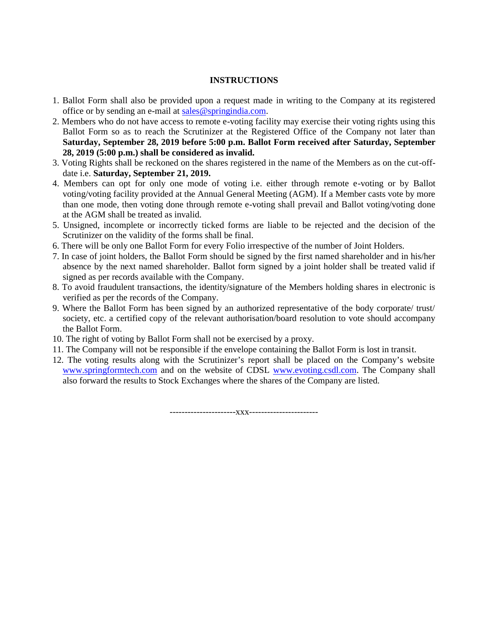#### **INSTRUCTIONS**

- 1. Ballot Form shall also be provided upon a request made in writing to the Company at its registered office or by sending an e-mail at sales@springindia.com.
- 2. Members who do not have access to remote e-voting facility may exercise their voting rights using this Ballot Form so as to reach the Scrutinizer at the Registered Office of the Company not later than **Saturday, September 28, 2019 before 5:00 p.m. Ballot Form received after Saturday, September 28, 2019 (5:00 p.m.) shall be considered as invalid.**
- 3. Voting Rights shall be reckoned on the shares registered in the name of the Members as on the cut-off date i.e. **Saturday, September 21, 2019.**
- 4. Members can opt for only one mode of voting i.e. either through remote e-voting or by Ballot voting/voting facility provided at the Annual General Meeting (AGM). If a Member casts vote by more than one mode, then voting done through remote e-voting shall prevail and Ballot voting/voting done at the AGM shall be treated as invalid.
- 5. Unsigned, incomplete or incorrectly ticked forms are liable to be rejected and the decision of the Scrutinizer on the validity of the forms shall be final.
- 6. There will be only one Ballot Form for every Folio irrespective of the number of Joint Holders.
- 7. In case of joint holders, the Ballot Form should be signed by the first named shareholder and in his/her absence by the next named shareholder. Ballot form signed by a joint holder shall be treated valid if signed as per records available with the Company.
- 8. To avoid fraudulent transactions, the identity/signature of the Members holding shares in electronic is verified as per the records of the Company.
- 9. Where the Ballot Form has been signed by an authorized representative of the body corporate/ trust/ society, etc. a certified copy of the relevant authorisation/board resolution to vote should accompany the Ballot Form.
- 10. The right of voting by Ballot Form shall not be exercised by a proxy.
- 11. The Company will not be responsible if the envelope containing the Ballot Form is lost in transit.
- 12. The voting results along with the Scrutinizer's report shall be placed on the Company's website www.springformtech.com and on the website of CDSL www.evoting.csdl.com. The Company shall also forward the results to Stock Exchanges where the shares of the Company are listed.

----------------------xxx-----------------------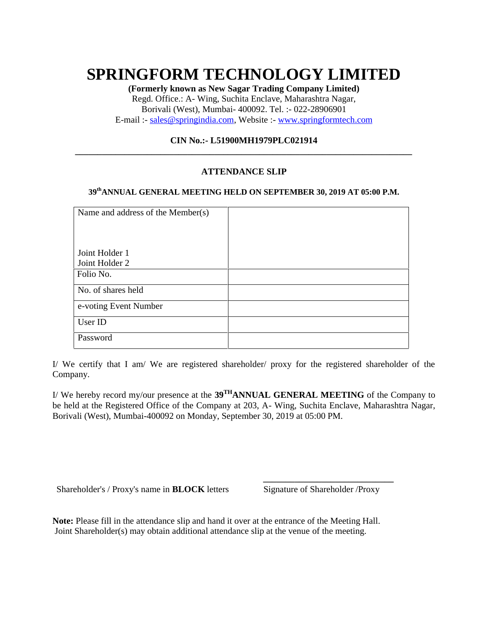## **SPRINGFORM TECHNOLOGY LIMITED**

**(Formerly known as New Sagar Trading Company Limited)** Regd. Office.: A- Wing, Suchita Enclave, Maharashtra Nagar, Borivali (West), Mumbai- 400092. Tel. :- 022-28906901 E-mail :- sales@springindia.com, Website :- www.springformtech.com

#### **CIN No.:- L51900MH1979PLC021914**

**\_\_\_\_\_\_\_\_\_\_\_\_\_\_\_\_\_\_\_\_\_\_\_\_\_\_\_\_\_\_\_\_\_\_\_\_\_\_\_\_\_\_\_\_\_\_\_\_\_\_\_\_\_\_\_\_\_\_\_\_\_\_\_\_\_\_\_\_\_\_\_\_\_\_\_**

#### **ATTENDANCE SLIP**

#### **39thANNUAL GENERAL MEETING HELD ON SEPTEMBER 30, 2019 AT 05:00 P.M.**

| Name and address of the Member(s) |  |
|-----------------------------------|--|
| Joint Holder 1<br>Joint Holder 2  |  |
| Folio No.                         |  |
| No. of shares held                |  |
| e-voting Event Number             |  |
| User ID                           |  |
| Password                          |  |

I/ We certify that I am/ We are registered shareholder/ proxy for the registered shareholder of the Company.

I/ We hereby record my/our presence at the **39THANNUAL GENERAL MEETING** of the Company to be held at the Registered Office of the Company at 203, A- Wing, Suchita Enclave, Maharashtra Nagar, Borivali (West), Mumbai-400092 on Monday, September 30, 2019 at 05:00 PM.

Shareholder's / Proxy's name in **BLOCK** letters Signature of Shareholder / Proxy

**\_\_\_\_\_\_\_\_\_\_\_\_\_\_\_\_\_\_\_\_\_\_\_\_\_\_\_\_\_**

**Note:** Please fill in the attendance slip and hand it over at the entrance of the Meeting Hall. Joint Shareholder(s) may obtain additional attendance slip at the venue of the meeting.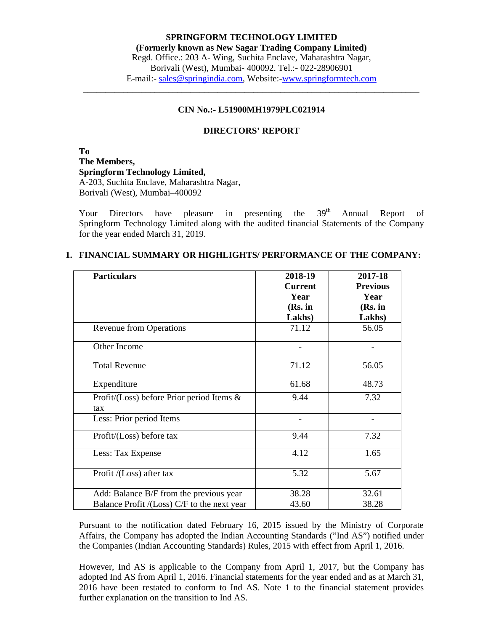#### **CIN No.:- L51900MH1979PLC021914**

**\_\_\_\_\_\_\_\_\_\_\_\_\_\_\_\_\_\_\_\_\_\_\_\_\_\_\_\_\_\_\_\_\_\_\_\_\_\_\_\_\_\_\_\_\_\_\_\_\_\_\_\_\_\_\_\_\_\_\_\_\_\_\_\_\_\_\_\_\_\_\_\_\_\_\_**

#### **DIRECTORS' REPORT**

**To The Members, Springform Technology Limited,** A-203, Suchita Enclave, Maharashtra Nagar, Borivali (West), Mumbai–400092

Your Directors have pleasure in presenting the 39<sup>th</sup> Annual Report of Springform Technology Limited along with the audited financial Statements of the Company for the year ended March 31, 2019.

| <b>Particulars</b>                          | 2018-19<br><b>Current</b> | 2017-18<br><b>Previous</b> |
|---------------------------------------------|---------------------------|----------------------------|
|                                             | Year                      | Year                       |
|                                             | (Rs. in                   | (Rs. in                    |
|                                             | Lakhs)                    | Lakhs)                     |
| <b>Revenue from Operations</b>              | 71.12                     | 56.05                      |
| Other Income                                |                           |                            |
| <b>Total Revenue</b>                        | 71.12                     | 56.05                      |
| Expenditure                                 | 61.68                     | 48.73                      |
| Profit/(Loss) before Prior period Items &   | 9.44                      | 7.32                       |
| tax                                         |                           |                            |
| Less: Prior period Items                    |                           |                            |
| Profit/(Loss) before tax                    | 9.44                      | 7.32                       |
| Less: Tax Expense                           | 4.12                      | 1.65                       |
| Profit /(Loss) after tax                    | 5.32                      | 5.67                       |
| Add: Balance B/F from the previous year     | 38.28                     | 32.61                      |
| Balance Profit /(Loss) C/F to the next year | 43.60                     | 38.28                      |

#### **1. FINANCIAL SUMMARY OR HIGHLIGHTS/ PERFORMANCE OF THE COMPANY:**

Pursuant to the notification dated February 16, 2015 issued by the Ministry of Corporate Affairs, the Company has adopted the Indian Accounting Standards ("Ind AS") notified under the Companies (Indian Accounting Standards) Rules, 2015 with effect from April 1, 2016.

However, Ind AS is applicable to the Company from April 1, 2017, but the Company has adopted Ind AS from April 1, 2016. Financial statements for the year ended and as at March 31, 2016 have been restated to conform to Ind AS. Note 1 to the financial statement provides further explanation on the transition to Ind AS.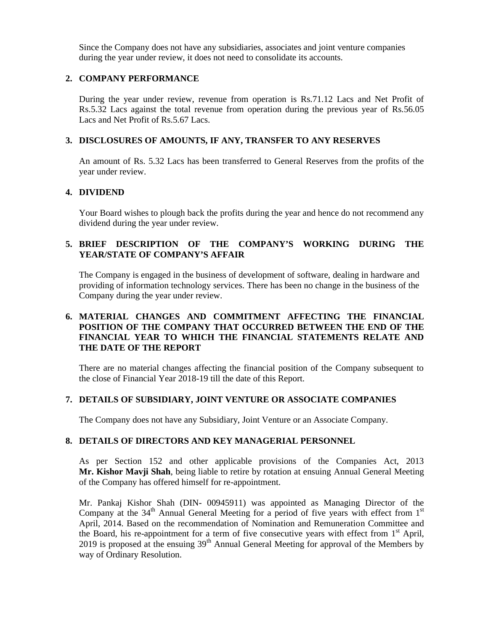Since the Company does not have any subsidiaries, associates and joint venture companies during the year under review, it does not need to consolidate its accounts.

#### **2. COMPANY PERFORMANCE**

During the year under review, revenue from operation is Rs.71.12 Lacs and Net Profit of Rs.5.32 Lacs against the total revenue from operation during the previous year of Rs.56.05 Lacs and Net Profit of Rs.5.67 Lacs.

#### **3. DISCLOSURES OF AMOUNTS, IF ANY, TRANSFER TO ANY RESERVES**

An amount of Rs. 5.32 Lacs has been transferred to General Reserves from the profits of the year under review.

#### **4. DIVIDEND**

Your Board wishes to plough back the profits during the year and hence do not recommend any dividend during the year under review.

#### **5. BRIEF DESCRIPTION OF THE COMPANY'S WORKING DURING THE YEAR/STATE OF COMPANY'S AFFAIR**

The Company is engaged in the business of development of software, dealing in hardware and providing of information technology services. There has been no change in the business of the Company during the year under review.

#### **6. MATERIAL CHANGES AND COMMITMENT AFFECTING THE FINANCIAL POSITION OF THE COMPANY THAT OCCURRED BETWEEN THE END OF THE FINANCIAL YEAR TO WHICH THE FINANCIAL STATEMENTS RELATE AND THE DATE OF THE REPORT**

There are no material changes affecting the financial position of the Company subsequent to the close of Financial Year 2018-19 till the date of this Report.

#### **7. DETAILS OF SUBSIDIARY, JOINT VENTURE OR ASSOCIATE COMPANIES**

The Company does not have any Subsidiary, Joint Venture or an Associate Company.

#### **8. DETAILS OF DIRECTORS AND KEY MANAGERIAL PERSONNEL**

As per Section 152 and other applicable provisions of the Companies Act, 2013 **Mr. Kishor Mavji Shah**, being liable to retire by rotation at ensuing Annual General Meeting of the Company has offered himself for re-appointment.

Mr. Pankaj Kishor Shah (DIN- 00945911) was appointed as Managing Director of the Company at the 34<sup>th</sup> Annual General Meeting for a period of five years with effect from 1<sup>st</sup> April, 2014. Based on the recommendation of Nomination and Remuneration Committee and the Board, his re-appointment for a term of five consecutive years with effect from  $1<sup>st</sup>$  April, 2019 is proposed at the ensuing  $39<sup>th</sup>$  Annual General Meeting for approval of the Members by way of Ordinary Resolution.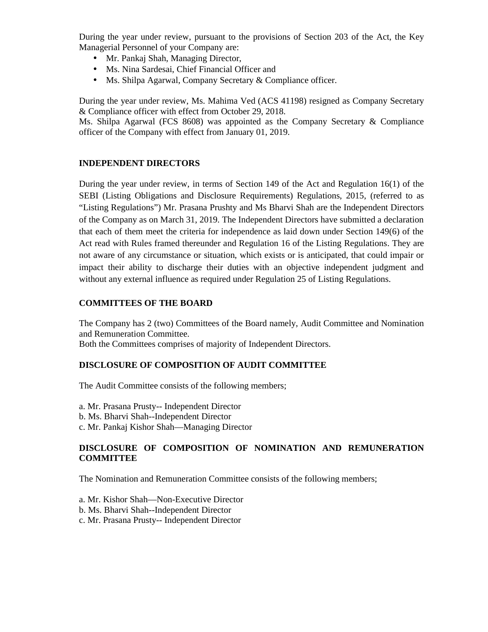During the year under review, pursuant to the provisions of Section 203 of the Act, the Key Managerial Personnel of your Company are:

- Mr. Pankaj Shah, Managing Director,
- Ms. Nina Sardesai, Chief Financial Officer and
- Ms. Shilpa Agarwal, Company Secretary & Compliance officer.

During the year under review, Ms. Mahima Ved (ACS 41198) resigned as Company Secretary & Compliance officer with effect from October 29, 2018.

Ms. Shilpa Agarwal (FCS 8608) was appointed as the Company Secretary & Compliance officer of the Company with effect from January 01, 2019.

#### **INDEPENDENT DIRECTORS**

During the year under review, in terms of Section 149 of the Act and Regulation 16(1) of the SEBI (Listing Obligations and Disclosure Requirements) Regulations, 2015, (referred to as "Listing Regulations") Mr. Prasana Prushty and Ms Bharvi Shah are the Independent Directors of the Company as on March 31, 2019. The Independent Directors have submitted a declaration that each of them meet the criteria for independence as laid down under Section 149(6) of the Act read with Rules framed thereunder and Regulation 16 of the Listing Regulations. They are not aware of any circumstance or situation, which exists or is anticipated, that could impair or impact their ability to discharge their duties with an objective independent judgment and without any external influence as required under Regulation 25 of Listing Regulations.

#### **COMMITTEES OF THE BOARD**

The Company has 2 (two) Committees of the Board namely, Audit Committee and Nomination and Remuneration Committee. Both the Committees comprises of majority of Independent Directors.

#### **DISCLOSURE OF COMPOSITION OF AUDIT COMMITTEE**

The Audit Committee consists of the following members;

- a. Mr. Prasana Prusty-- Independent Director
- b. Ms. Bharvi Shah--Independent Director
- c. Mr. Pankaj Kishor Shah—Managing Director

#### **DISCLOSURE OF COMPOSITION OF NOMINATION AND REMUNERATION COMMITTEE**

The Nomination and Remuneration Committee consists of the following members;

- a. Mr. Kishor Shah—Non-Executive Director
- b. Ms. Bharvi Shah--Independent Director
- c. Mr. Prasana Prusty-- Independent Director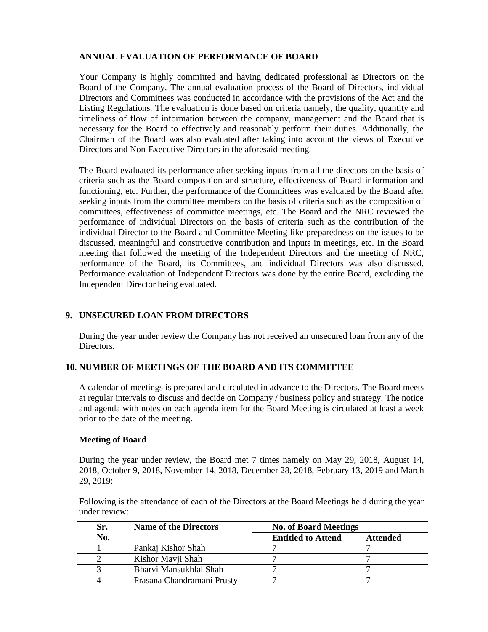#### **ANNUAL EVALUATION OF PERFORMANCE OF BOARD**

Your Company is highly committed and having dedicated professional as Directors on the Board of the Company. The annual evaluation process of the Board of Directors, individual Directors and Committees was conducted in accordance with the provisions of the Act and the Listing Regulations. The evaluation is done based on criteria namely, the quality, quantity and timeliness of flow of information between the company, management and the Board that is necessary for the Board to effectively and reasonably perform their duties. Additionally, the Chairman of the Board was also evaluated after taking into account the views of Executive Directors and Non-Executive Directors in the aforesaid meeting.

The Board evaluated its performance after seeking inputs from all the directors on the basis of criteria such as the Board composition and structure, effectiveness of Board information and functioning, etc. Further, the performance of the Committees was evaluated by the Board after seeking inputs from the committee members on the basis of criteria such as the composition of committees, effectiveness of committee meetings, etc. The Board and the NRC reviewed the performance of individual Directors on the basis of criteria such as the contribution of the individual Director to the Board and Committee Meeting like preparedness on the issues to be discussed, meaningful and constructive contribution and inputs in meetings, etc. In the Board meeting that followed the meeting of the Independent Directors and the meeting of NRC, performance of the Board, its Committees, and individual Directors was also discussed. Performance evaluation of Independent Directors was done by the entire Board, excluding the Independent Director being evaluated.

#### **9. UNSECURED LOAN FROM DIRECTORS**

During the year under review the Company has not received an unsecured loan from any of the Directors.

#### **10. NUMBER OF MEETINGS OF THE BOARD AND ITS COMMITTEE**

A calendar of meetings is prepared and circulated in advance to the Directors. The Board meets at regular intervals to discuss and decide on Company / business policy and strategy. The notice and agenda with notes on each agenda item for the Board Meeting is circulated at least a week prior to the date of the meeting.

#### **Meeting of Board**

During the year under review, the Board met 7 times namely on May 29, 2018, August 14, 2018, October 9, 2018, November 14, 2018, December 28, 2018, February 13, 2019 and March 29, 2019:

Following is the attendance of each of the Directors at the Board Meetings held during the year under review:

| Sr. | <b>Name of the Directors</b> | <b>No. of Board Meetings</b> |                 |  |  |  |
|-----|------------------------------|------------------------------|-----------------|--|--|--|
| No. |                              | <b>Entitled to Attend</b>    | <b>Attended</b> |  |  |  |
|     | Pankaj Kishor Shah           |                              |                 |  |  |  |
|     | Kishor Mavji Shah            |                              |                 |  |  |  |
|     | Bharvi Mansukhlal Shah       |                              |                 |  |  |  |
|     | Prasana Chandramani Prusty   |                              |                 |  |  |  |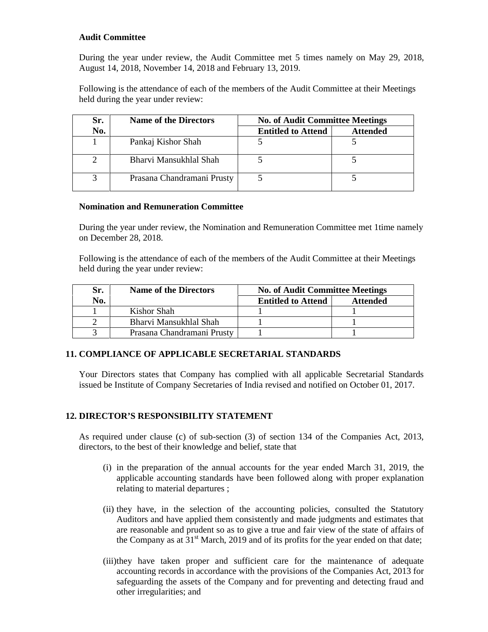#### **Audit Committee**

During the year under review, the Audit Committee met 5 times namely on May 29, 2018, August 14, 2018, November 14, 2018 and February 13, 2019.

Following is the attendance of each of the members of the Audit Committee at their Meetings held during the year under review:

| Sr. | <b>Name of the Directors</b> | <b>No. of Audit Committee Meetings</b> |                 |  |  |  |  |
|-----|------------------------------|----------------------------------------|-----------------|--|--|--|--|
| No. |                              | <b>Entitled to Attend</b>              | <b>Attended</b> |  |  |  |  |
|     | Pankaj Kishor Shah           |                                        |                 |  |  |  |  |
|     | Bharvi Mansukhlal Shah       |                                        |                 |  |  |  |  |
|     | Prasana Chandramani Prusty   |                                        |                 |  |  |  |  |

#### **Nomination and Remuneration Committee**

During the year under review, the Nomination and Remuneration Committee met 1time namely on December 28, 2018.

Following is the attendance of each of the members of the Audit Committee at their Meetings held during the year under review:

| Sr. | <b>Name of the Directors</b> | <b>No. of Audit Committee Meetings</b> |                 |  |  |  |
|-----|------------------------------|----------------------------------------|-----------------|--|--|--|
| No. |                              | <b>Entitled to Attend</b>              | <b>Attended</b> |  |  |  |
|     | Kishor Shah                  |                                        |                 |  |  |  |
|     | Bharvi Mansukhlal Shah       |                                        |                 |  |  |  |
|     | Prasana Chandramani Prusty   |                                        |                 |  |  |  |

#### **11. COMPLIANCE OF APPLICABLE SECRETARIAL STANDARDS**

Your Directors states that Company has complied with all applicable Secretarial Standards issued be Institute of Company Secretaries of India revised and notified on October 01, 2017.

#### **12. DIRECTOR'S RESPONSIBILITY STATEMENT**

As required under clause (c) of sub-section (3) of section 134 of the Companies Act, 2013, directors, to the best of their knowledge and belief, state that

- (i) in the preparation of the annual accounts for the year ended March 31, 2019, the applicable accounting standards have been followed along with proper explanation relating to material departures ;
- (ii) they have, in the selection of the accounting policies, consulted the Statutory Auditors and have applied them consistently and made judgments and estimates that are reasonable and prudent so as to give a true and fair view of the state of affairs of the Company as at  $31<sup>st</sup>$  March, 2019 and of its profits for the year ended on that date;
- (iii)they have taken proper and sufficient care for the maintenance of adequate accounting records in accordance with the provisions of the Companies Act, 2013 for safeguarding the assets of the Company and for preventing and detecting fraud and other irregularities; and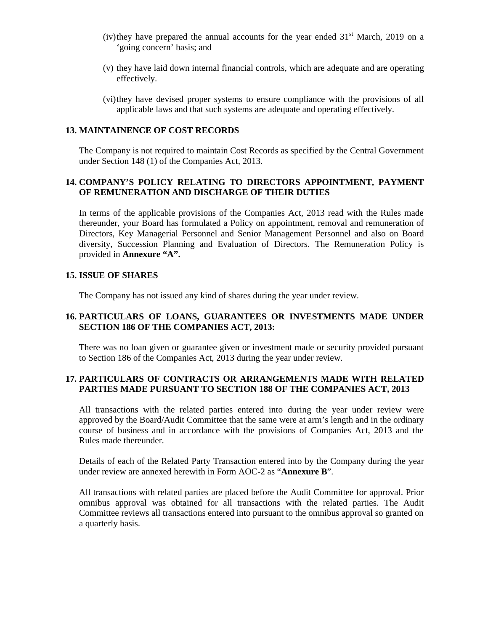- (iv)they have prepared the annual accounts for the year ended  $31<sup>st</sup>$  March, 2019 on a 'going concern' basis; and
- (v) they have laid down internal financial controls, which are adequate and are operating effectively.
- (vi)they have devised proper systems to ensure compliance with the provisions of all applicable laws and that such systems are adequate and operating effectively.

#### **13. MAINTAINENCE OF COST RECORDS**

The Company is not required to maintain Cost Records as specified by the Central Government under Section 148 (1) of the Companies Act, 2013.

#### **14. COMPANY'S POLICY RELATING TO DIRECTORS APPOINTMENT, PAYMENT OF REMUNERATION AND DISCHARGE OF THEIR DUTIES**

In terms of the applicable provisions of the Companies Act, 2013 read with the Rules made thereunder, your Board has formulated a Policy on appointment, removal and remuneration of Directors, Key Managerial Personnel and Senior Management Personnel and also on Board diversity, Succession Planning and Evaluation of Directors. The Remuneration Policy is provided in **Annexure "A".**

#### **15. ISSUE OF SHARES**

The Company has not issued any kind of shares during the year under review.

#### **16. PARTICULARS OF LOANS, GUARANTEES OR INVESTMENTS MADE UNDER SECTION 186 OF THE COMPANIES ACT, 2013:**

There was no loan given or guarantee given or investment made or security provided pursuant to Section 186 of the Companies Act, 2013 during the year under review.

#### **17. PARTICULARS OF CONTRACTS OR ARRANGEMENTS MADE WITH RELATED PARTIES MADE PURSUANT TO SECTION 188 OF THE COMPANIES ACT, 2013**

All transactions with the related parties entered into during the year under review were approved by the Board/Audit Committee that the same were at arm's length and in the ordinary course of business and in accordance with the provisions of Companies Act, 2013 and the Rules made thereunder.

Details of each of the Related Party Transaction entered into by the Company during the year under review are annexed herewith in Form AOC-2 as "**Annexure B**".

All transactions with related parties are placed before the Audit Committee for approval. Prior omnibus approval was obtained for all transactions with the related parties. The Audit Committee reviews all transactions entered into pursuant to the omnibus approval so granted on a quarterly basis.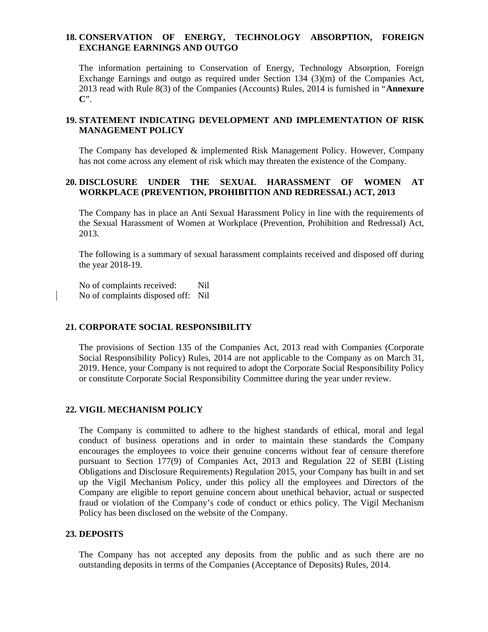#### **18. CONSERVATION OF ENERGY, TECHNOLOGY ABSORPTION, FOREIGN EXCHANGE EARNINGS AND OUTGO**

The information pertaining to Conservation of Energy, Technology Absorption, Foreign Exchange Earnings and outgo as required under Section 134 (3)(m) of the Companies Act, 2013 read with Rule 8(3) of the Companies (Accounts) Rules, 2014 is furnished in "**Annexure C**".

#### **19. STATEMENT INDICATING DEVELOPMENT AND IMPLEMENTATION OF RISK MANAGEMENT POLICY**

The Company has developed & implemented Risk Management Policy. However, Company has not come across any element of risk which may threaten the existence of the Company.

#### **20. DISCLOSURE UNDER THE SEXUAL HARASSMENT OF WOMEN AT WORKPLACE (PREVENTION, PROHIBITION AND REDRESSAL) ACT, 2013**

The Company has in place an Anti Sexual Harassment Policy in line with the requirements of the Sexual Harassment of Women at Workplace (Prevention, Prohibition and Redressal) Act, 2013.

The following is a summary of sexual harassment complaints received and disposed off during the year 2018-19.

No of complaints received: Nil No of complaints disposed off: Nil

#### **21. CORPORATE SOCIAL RESPONSIBILITY**

The provisions of Section 135 of the Companies Act, 2013 read with Companies (Corporate Social Responsibility Policy) Rules, 2014 are not applicable to the Company as on March 31, 2019. Hence, your Company is not required to adopt the Corporate Social Responsibility Policy or constitute Corporate Social Responsibility Committee during the year under review.

#### **22. VIGIL MECHANISM POLICY**

The Company is committed to adhere to the highest standards of ethical, moral and legal conduct of business operations and in order to maintain these standards the Company encourages the employees to voice their genuine concerns without fear of censure therefore pursuant to Section 177(9) of Companies Act, 2013 and Regulation 22 of SEBI (Listing Obligations and Disclosure Requirements) Regulation 2015, your Company has built in and set up the Vigil Mechanism Policy, under this policy all the employees and Directors of the Company are eligible to report genuine concern about unethical behavior, actual or suspected fraud or violation of the Company's code of conduct or ethics policy. The Vigil Mechanism Policy has been disclosed on the website of the Company.

#### **23. DEPOSITS**

The Company has not accepted any deposits from the public and as such there are no outstanding deposits in terms of the Companies (Acceptance of Deposits) Rules, 2014.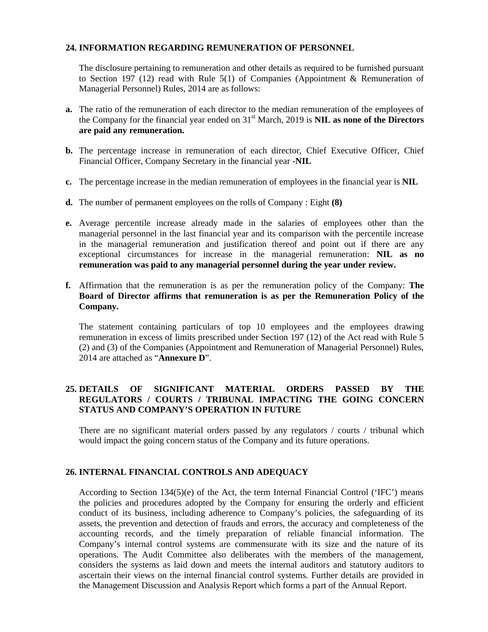#### **24. INFORMATION REGARDING REMUNERATION OF PERSONNEL**

The disclosure pertaining to remuneration and other details as required to be furnished pursuant to Section 197 (12) read with Rule 5(1) of Companies (Appointment & Remuneration of Managerial Personnel) Rules, 2014 are as follows:

- **a.** The ratio of the remuneration of each director to the median remuneration of the employees of the Company for the financial year ended on 31st March, 2019 is**NIL as none of the Directors are paid any remuneration.**
- **b.** The percentage increase in remuneration of each director, Chief Executive Officer, Chief Financial Officer, Company Secretary in the financial year -**NIL**
- **c.** The percentage increase in the median remuneration of employees in the financial year is **NIL**
- **d.** The number of permanent employees on the rolls of Company : Eight **(8)**
- **e.** Average percentile increase already made in the salaries of employees other than the managerial personnel in the last financial year and its comparison with the percentile increase in the managerial remuneration and justification thereof and point out if there are any exceptional circumstances for increase in the managerial remuneration: **NIL as no remuneration was paid to any managerial personnel during the year under review.**
- **f.** Affirmation that the remuneration is as per the remuneration policy of the Company: **The Board of Director affirms that remuneration is as per the Remuneration Policy of the Company.**

The statement containing particulars of top 10 employees and the employees drawing remuneration in excess of limits prescribed under Section 197 (12) of the Act read with Rule 5 (2) and (3) of the Companies (Appointment and Remuneration of Managerial Personnel) Rules, 2014 are attached as "**Annexure D**".

#### **25. DETAILS OF SIGNIFICANT MATERIAL ORDERS PASSED BY THE REGULATORS / COURTS / TRIBUNAL IMPACTING THE GOING CONCERN STATUS AND COMPANY'S OPERATION IN FUTURE**

There are no significant material orders passed by any regulators / courts / tribunal which would impact the going concern status of the Company and its future operations.

#### **26. INTERNAL FINANCIAL CONTROLS AND ADEQUACY**

According to Section  $134(5)$ (e) of the Act, the term Internal Financial Control ('IFC') means the policies and procedures adopted by the Company for ensuring the orderly and efficient conduct of its business, including adherence to Company's policies, the safeguarding of its assets, the prevention and detection of frauds and errors, the accuracy and completeness of the accounting records, and the timely preparation of reliable financial information. The Company's internal control systems are commensurate with its size and the nature of its operations. The Audit Committee also deliberates with the members of the management, considers the systems as laid down and meets the internal auditors and statutory auditors to ascertain their views on the internal financial control systems. Further details are provided in the Management Discussion and Analysis Report which forms a part of the Annual Report.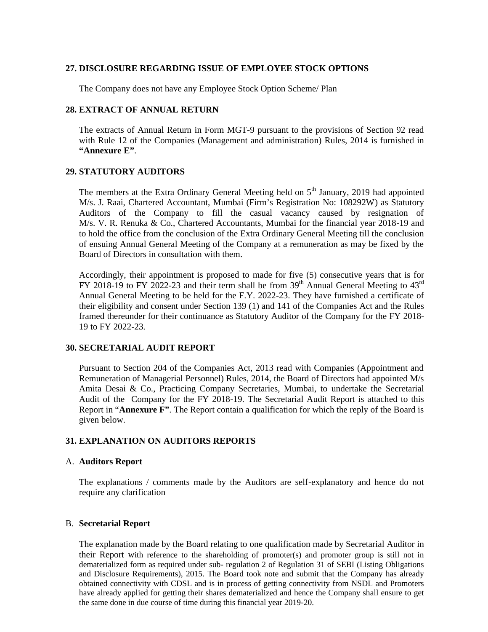#### **27. DISCLOSURE REGARDING ISSUE OF EMPLOYEE STOCK OPTIONS**

The Company does not have any Employee Stock Option Scheme/ Plan

#### **28. EXTRACT OF ANNUAL RETURN**

The extracts of Annual Return in Form MGT-9 pursuant to the provisions of Section 92 read with Rule 12 of the Companies (Management and administration) Rules, 2014 is furnished in **"Annexure E"**.

#### **29. STATUTORY AUDITORS**

The members at the Extra Ordinary General Meeting held on  $5<sup>th</sup>$  January, 2019 had appointed M/s. J. Raai, Chartered Accountant, Mumbai (Firm's Registration No: 108292W) as Statutory Auditors of the Company to fill the casual vacancy caused by resignation of M/s. V. R. Renuka & Co., Chartered Accountants, Mumbai for the financial year 2018-19 and to hold the office from the conclusion of the Extra Ordinary General Meeting till the conclusion of ensuing Annual General Meeting of the Company at a remuneration as may be fixed by the Board of Directors in consultation with them.

Accordingly, their appointment is proposed to made for five (5) consecutive years that is for FY 2018-19 to FY 2022-23 and their term shall be from  $39<sup>th</sup>$  Annual General Meeting to  $43<sup>rd</sup>$ Annual General Meeting to be held for the F.Y. 2022-23. They have furnished a certificate of their eligibility and consent under Section 139 (1) and 141 of the Companies Act and the Rules framed thereunder for their continuance as Statutory Auditor of the Company for the FY 2018- 19 to FY 2022-23.

#### **30. SECRETARIAL AUDIT REPORT**

Pursuant to Section 204 of the Companies Act, 2013 read with Companies (Appointment and Remuneration of Managerial Personnel) Rules, 2014, the Board of Directors had appointed M/s Amita Desai & Co., Practicing Company Secretaries, Mumbai, to undertake the Secretarial Audit of the Company for the FY 2018-19. The Secretarial Audit Report is attached to this Report in "**Annexure F"**. The Report contain a qualification for which the reply of the Board is given below.

#### **31. EXPLANATION ON AUDITORS REPORTS**

#### A. **Auditors Report**

The explanations / comments made by the Auditors are self-explanatory and hence do not require any clarification

#### B. **Secretarial Report**

The explanation made by the Board relating to one qualification made by Secretarial Auditor in their Report with reference to the shareholding of promoter(s) and promoter group is still not in dematerialized form as required under sub- regulation 2 of Regulation 31 of SEBI (Listing Obligations and Disclosure Requirements), 2015. The Board took note and submit that the Company has already obtained connectivity with CDSL and is in process of getting connectivity from NSDL and Promoters have already applied for getting their shares dematerialized and hence the Company shall ensure to get the same done in due course of time during this financial year 2019-20.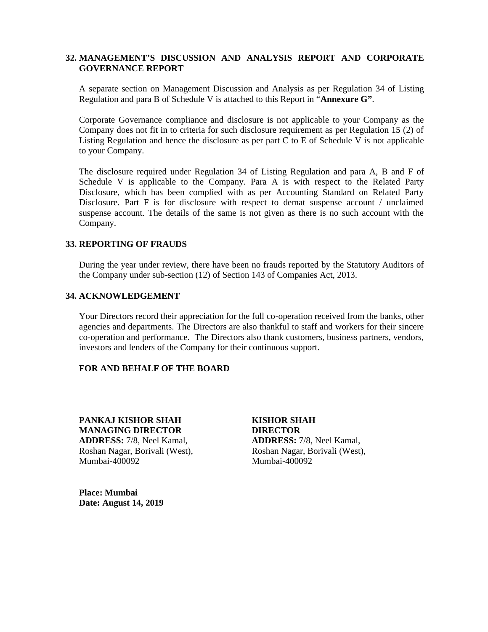#### **32. MANAGEMENT'S DISCUSSION AND ANALYSIS REPORT AND CORPORATE GOVERNANCE REPORT**

A separate section on Management Discussion and Analysis as per Regulation 34 of Listing Regulation and para B of Schedule V is attached to this Report in "**Annexure G"**.

Corporate Governance compliance and disclosure is not applicable to your Company as the Company does not fit in to criteria for such disclosure requirement as per Regulation 15 (2) of Listing Regulation and hence the disclosure as per part C to E of Schedule V is not applicable to your Company.

The disclosure required under Regulation 34 of Listing Regulation and para A, B and F of Schedule V is applicable to the Company. Para A is with respect to the Related Party Disclosure, which has been complied with as per Accounting Standard on Related Party Disclosure. Part F is for disclosure with respect to demat suspense account / unclaimed suspense account. The details of the same is not given as there is no such account with the Company.

#### **33. REPORTING OF FRAUDS**

During the year under review, there have been no frauds reported by the Statutory Auditors of the Company under sub-section (12) of Section 143 of Companies Act, 2013.

#### **34. ACKNOWLEDGEMENT**

Your Directors record their appreciation for the full co-operation received from the banks, other agencies and departments. The Directors are also thankful to staff and workers for their sincere co-operation and performance. The Directors also thank customers, business partners, vendors, investors and lenders of the Company for their continuous support.

#### **FOR AND BEHALF OF THE BOARD**

**PANKAJ KISHOR SHAH KISHOR SHAH MANAGING DIRECTOR DIRECTOR ADDRESS:** 7/8, Neel Kamal, **ADDRESS:** 7/8, Neel Kamal, Roshan Nagar, Borivali (West), Roshan Nagar, Borivali (West), Mumbai-400092 Mumbai-400092

**Place: Mumbai Date: August 14, 2019**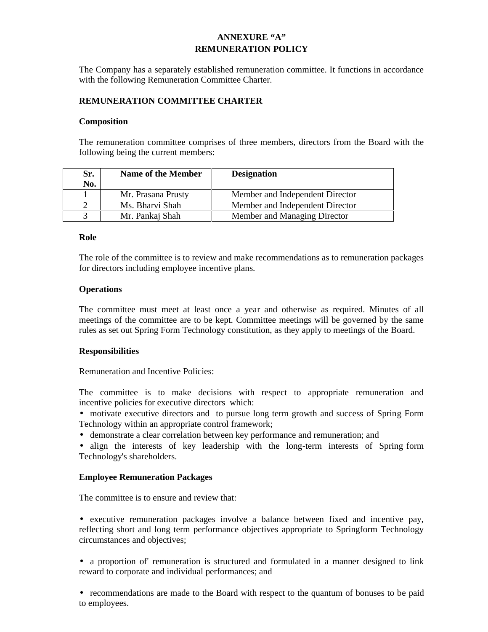#### **ANNEXURE "A" REMUNERATION POLICY**

The Company has a separately established remuneration committee. It functions in accordance with the following Remuneration Committee Charter.

#### **REMUNERATION COMMITTEE CHARTER**

#### **Composition**

The remuneration committee comprises of three members, directors from the Board with the following being the current members:

| Sr. | Name of the Member | <b>Designation</b>              |
|-----|--------------------|---------------------------------|
| No. |                    |                                 |
|     | Mr. Prasana Prusty | Member and Independent Director |
|     | Ms. Bharvi Shah    | Member and Independent Director |
|     | Mr. Pankaj Shah    | Member and Managing Director    |

#### **Role**

The role of the committee is to review and make recommendations as to remuneration packages for directors including employee incentive plans.

#### **Operations**

The committee must meet at least once a year and otherwise as required. Minutes of all meetings of the committee are to be kept. Committee meetings will be governed by the same rules as set out Spring Form Technology constitution, as they apply to meetings of the Board.

#### **Responsibilities**

Remuneration and Incentive Policies:

The committee is to make decisions with respect to appropriate remuneration and incentive policies for executive directors which:

 motivate executive directors and to pursue long term growth and success of Spring Form Technology within an appropriate control framework;

demonstrate a clear correlation between key performance and remuneration; and

• align the interests of key leadership with the long-term interests of Spring form Technology's shareholders.

#### **Employee Remuneration Packages**

The committee is to ensure and review that:

 executive remuneration packages involve a balance between fixed and incentive pay, reflecting short and long term performance objectives appropriate to Springform Technology circumstances and objectives;

 a proportion of' remuneration is structured and formulated in a manner designed to link reward to corporate and individual performances; and

• recommendations are made to the Board with respect to the quantum of bonuses to be paid to employees.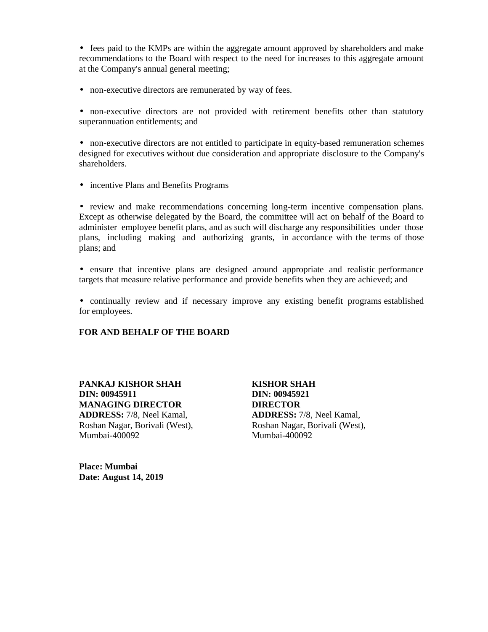• fees paid to the KMPs are within the aggregate amount approved by shareholders and make recommendations to the Board with respect to the need for increases to this aggregate amount at the Company's annual general meeting;

• non-executive directors are remunerated by way of fees.

 non-executive directors are not provided with retirement benefits other than statutory superannuation entitlements; and

 non-executive directors are not entitled to participate in equity-based remuneration schemes designed for executives without due consideration and appropriate disclosure to the Company's shareholders.

• incentive Plans and Benefits Programs

 review and make recommendations concerning long-term incentive compensation plans. Except as otherwise delegated by the Board, the committee will act on behalf of the Board to administer employee benefit plans, and as such will discharge any responsibilities under those plans, including making and authorizing grants, in accordance with the terms of those plans; and

 ensure that incentive plans are designed around appropriate and realistic performance targets that measure relative performance and provide benefits when they are achieved; and

 continually review and if necessary improve any existing benefit programs established for employees.

#### **FOR AND BEHALF OF THE BOARD**

**PANKAJ KISHOR SHAH KISHOR SHAH DIN: 00945911 DIN: 00945921 MANAGING DIRECTOR DIRECTOR ADDRESS:** 7/8, Neel Kamal, **ADDRESS:** 7/8, Neel Kamal, Mumbai-400092 Mumbai-400092

Roshan Nagar, Borivali (West), Roshan Nagar, Borivali (West),

**Place: Mumbai Date: August 14, 2019**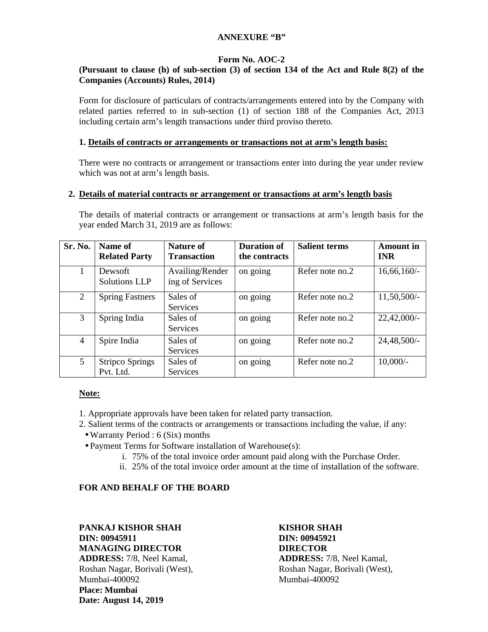#### **ANNEXURE "B"**

#### **Form No. AOC-2**

#### **(Pursuant to clause (h) of sub-section (3) of section 134 of the Act and Rule 8(2) of the Companies (Accounts) Rules, 2014)**

Form for disclosure of particulars of contracts/arrangements entered into by the Company with related parties referred to in sub-section (1) of section 188 of the Companies Act, 2013 including certain arm's length transactions under third proviso thereto.

#### **1. Details of contracts or arrangements or transactions not at arm's length basis:**

There were no contracts or arrangement or transactions enter into during the year under review which was not at arm's length basis.

#### **2. Details of material contracts or arrangement or transactions at arm's length basis**

The details of material contracts or arrangement or transactions at arm's length basis for the year ended March 31, 2019 are as follows:

| Sr. No.        | Name of<br><b>Related Party</b>     | <b>Nature of</b><br><b>Transaction</b> | <b>Duration of</b><br>the contracts | <b>Salient terms</b> | <b>Amount</b> in<br><b>INR</b> |
|----------------|-------------------------------------|----------------------------------------|-------------------------------------|----------------------|--------------------------------|
| $\mathbf 1$    | Dewsoft<br><b>Solutions LLP</b>     | Availing/Render<br>ing of Services     | on going                            | Refer note no.2      | 16,66,160/                     |
| $\overline{2}$ | <b>Spring Fastners</b>              | Sales of<br>Services                   | on going                            | Refer note no.2      | $11,50,500/-$                  |
| 3              | Spring India                        | Sales of<br><b>Services</b>            | on going                            | Refer note no.2      | $22,42,000/$ -                 |
| $\overline{4}$ | Spire India                         | Sales of<br>Services                   | on going                            | Refer note no.2      | $24,48,500/-$                  |
| 5              | <b>Stripco Springs</b><br>Pvt. Ltd. | Sales of<br>Services                   | on going                            | Refer note no.2      | $10,000/-$                     |

#### **Note:**

- 1. Appropriate approvals have been taken for related party transaction.
- 2. Salient terms of the contracts or arrangements or transactions including the value, if any:
	- Warranty Period : 6 (Six) months
	- Payment Terms for Software installation of Warehouse(s):
		- i. 75% of the total invoice order amount paid along with the Purchase Order.
		- ii. 25% of the total invoice order amount at the time of installation of the software.

#### **FOR AND BEHALF OF THE BOARD**

**PANKAJ KISHOR SHAH KISHOR SHAH DIN: 00945911 DIN: 00945921 MANAGING DIRECTOR DIRECTOR ADDRESS:** 7/8, Neel Kamal, **ADDRESS:** 7/8, Neel Kamal, Mumbai-400092 Mumbai-400092 **Place: Mumbai Date: August 14, 2019**

Roshan Nagar, Borivali (West), Roshan Nagar, Borivali (West),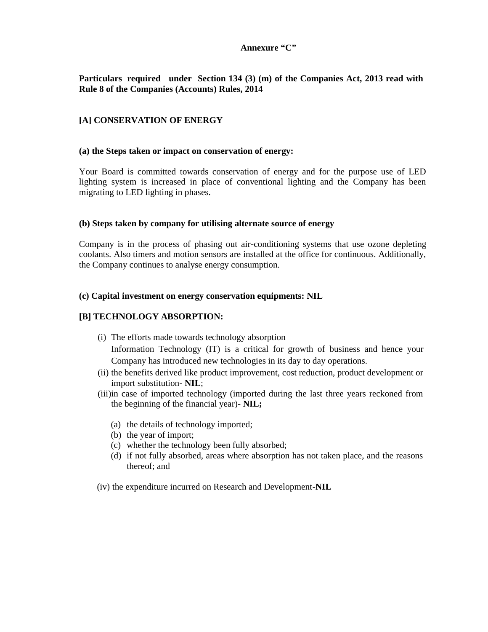#### **Annexure "C"**

#### **Particulars required under Section 134 (3) (m) of the Companies Act, 2013 read with Rule 8 of the Companies (Accounts) Rules, 2014**

#### **[A] CONSERVATION OF ENERGY**

#### **(a) the Steps taken or impact on conservation of energy:**

Your Board is committed towards conservation of energy and for the purpose use of LED lighting system is increased in place of conventional lighting and the Company has been migrating to LED lighting in phases.

#### **(b) Steps taken by company for utilising alternate source of energy**

Company is in the process of phasing out air-conditioning systems that use ozone depleting coolants. Also timers and motion sensors are installed at the office for continuous. Additionally, the Company continues to analyse energy consumption.

#### **(c) Capital investment on energy conservation equipments: NIL**

#### **[B] TECHNOLOGY ABSORPTION:**

- (i) The efforts made towards technology absorption Information Technology (IT) is a critical for growth of business and hence your Company has introduced new technologies in its day to day operations.
- (ii) the benefits derived like product improvement, cost reduction, product development or import substitution- **NIL**;
- (iii)in case of imported technology (imported during the last three years reckoned from the beginning of the financial year)- **NIL;**
	- (a) the details of technology imported;
	- (b) the year of import;
	- (c) whether the technology been fully absorbed;
	- (d) if not fully absorbed, areas where absorption has not taken place, and the reasons thereof; and
- (iv) the expenditure incurred on Research and Development-**NIL**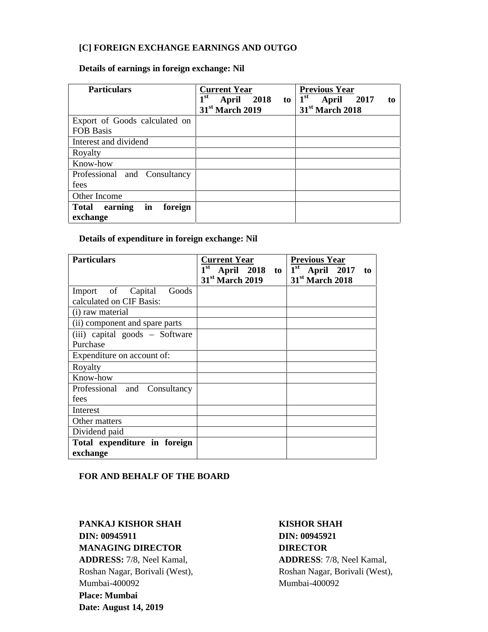#### **[C] FOREIGN EXCHANGE EARNINGS AND OUTGO**

#### **Details of earnings in foreign exchange: Nil**

| <b>Particulars</b>                       | <b>Current Year</b>              | <b>Previous Year</b>                       |
|------------------------------------------|----------------------------------|--------------------------------------------|
|                                          | 1 <sup>st</sup><br>April 2018 to | 1 <sup>st</sup><br><b>April</b> 2017<br>to |
|                                          | 31 <sup>st</sup> March 2019      | 31 <sup>st</sup> March 2018                |
| Export of Goods calculated on            |                                  |                                            |
| <b>FOB Basis</b>                         |                                  |                                            |
| Interest and dividend                    |                                  |                                            |
| Royalty                                  |                                  |                                            |
| Know-how                                 |                                  |                                            |
| Professional and Consultancy             |                                  |                                            |
| fees                                     |                                  |                                            |
| Other Income                             |                                  |                                            |
| in<br>foreign<br>earning<br><b>Total</b> |                                  |                                            |
| exchange                                 |                                  |                                            |

#### **Details of expenditure in foreign exchange: Nil**

| <b>Particulars</b>             | <b>Current Year</b><br>$1^{\rm st}$<br>April 2018 to<br>31 <sup>st</sup> March 2019 | <b>Previous Year</b><br>$1st$ April 2017<br>to<br>31 <sup>st</sup> March 2018 |
|--------------------------------|-------------------------------------------------------------------------------------|-------------------------------------------------------------------------------|
|                                |                                                                                     |                                                                               |
| Import of Capital<br>Goods     |                                                                                     |                                                                               |
| calculated on CIF Basis:       |                                                                                     |                                                                               |
| (i) raw material               |                                                                                     |                                                                               |
| (ii) component and spare parts |                                                                                     |                                                                               |
| (iii) capital goods – Software |                                                                                     |                                                                               |
| Purchase                       |                                                                                     |                                                                               |
| Expenditure on account of:     |                                                                                     |                                                                               |
| Royalty                        |                                                                                     |                                                                               |
| Know-how                       |                                                                                     |                                                                               |
| Professional and Consultancy   |                                                                                     |                                                                               |
| fees                           |                                                                                     |                                                                               |
| Interest                       |                                                                                     |                                                                               |
| Other matters                  |                                                                                     |                                                                               |
| Dividend paid                  |                                                                                     |                                                                               |
| Total expenditure in foreign   |                                                                                     |                                                                               |
| exchange                       |                                                                                     |                                                                               |

#### **FOR AND BEHALF OF THE BOARD**

**PANKAJ KISHOR SHAH KISHOR SHAH DIN: 00945911 DIN: 00945921 MANAGING DIRECTOR DIRECTOR ADDRESS:** 7/8, Neel Kamal, **ADDRESS**: 7/8, Neel Kamal, Mumbai-400092 Mumbai-400092 **Place: Mumbai Date: August 14, 2019**

# Roshan Nagar, Borivali (West), Roshan Nagar, Borivali (West),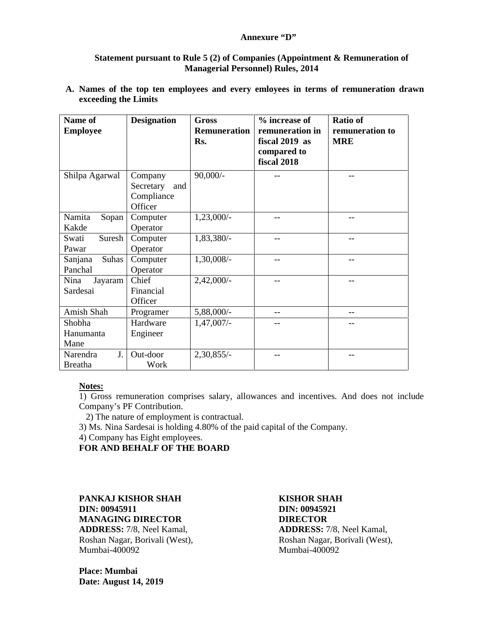#### **Annexure "D"**

#### **Statement pursuant to Rule 5 (2) of Companies (Appointment & Remuneration of Managerial Personnel) Rules, 2014**

**A. Names of the top ten employees and every emloyees in terms of remuneration drawn exceeding the Limits**

| Name of                          | <b>Designation</b>                                   | <b>Gross</b>               | % increase of                                                   | <b>Ratio of</b>               |
|----------------------------------|------------------------------------------------------|----------------------------|-----------------------------------------------------------------|-------------------------------|
| <b>Employee</b>                  |                                                      | <b>Remuneration</b><br>Rs. | remuneration in<br>fiscal 2019 as<br>compared to<br>fiscal 2018 | remuneration to<br><b>MRE</b> |
| Shilpa Agarwal                   | Company<br>Secretary<br>and<br>Compliance<br>Officer | $90,000/-$                 |                                                                 |                               |
| Namita<br>Sopan<br>Kakde         | Computer<br>Operator                                 | $1,23,000/-$               |                                                                 |                               |
| Suresh<br>Swati<br>Pawar         | Computer<br>Operator                                 | 1,83,380/-                 |                                                                 |                               |
| Suhas<br>Sanjana<br>Panchal      | Computer<br>Operator                                 | 1,30,008/-                 |                                                                 |                               |
| Nina<br>Jayaram<br>Sardesai      | Chief<br>Financial<br>Officer                        | $2,42,000/-$               |                                                                 |                               |
| Amish Shah                       | Programer                                            | 5,88,000/-                 | --                                                              |                               |
| Shobha<br>Hanumanta<br>Mane      | Hardware<br>Engineer                                 | $1,47,007/-$               |                                                                 |                               |
| Narendra<br>J.<br><b>Breatha</b> | Out-door<br>Work                                     | $2,30,855/-$               |                                                                 |                               |

#### **Notes:**

1) Gross remuneration comprises salary, allowances and incentives. And does not include Company's PF Contribution.

2) The nature of employment is contractual.

3) Ms. Nina Sardesai is holding 4.80% of the paid capital of the Company.

4) Company has Eight employees.

**FOR AND BEHALF OF THE BOARD**

**PANKAJ KISHOR SHAH KISHOR SHAH DIN: 00945911 DIN: 00945921 MANAGING DIRECTOR DIRECTOR**

**ADDRESS:** 7/8, Neel Kamal, **ADDRESS:** 7/8, Neel Kamal, Roshan Nagar, Borivali (West), Roshan Nagar, Borivali (West), Roshan Nagar, Borivali (West), Rumbai-400092 Mumbai-400092

**Place: Mumbai Date: August 14, 2019**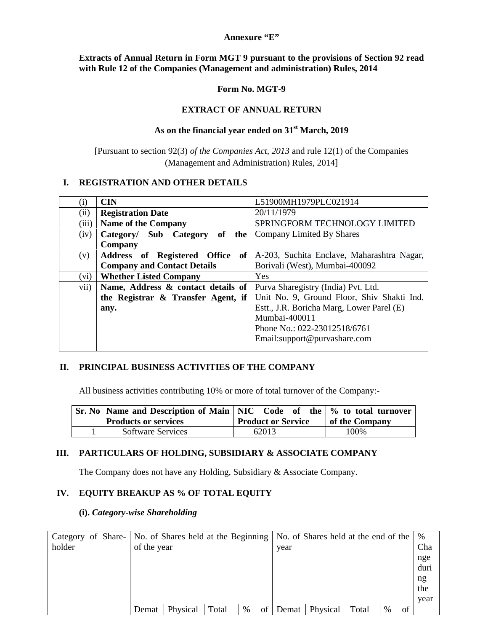#### **Annexure "E"**

#### **Extracts of Annual Return in Form MGT 9 pursuant to the provisions of Section 92 read with Rule 12 of the Companies (Management and administration) Rules, 2014**

#### **Form No. MGT-9**

#### **EXTRACT OF ANNUAL RETURN**

#### **As on the financial year ended on 31st March, 2019**

[Pursuant to section 92(3) *of the Companies Act, 2013* and rule 12(1) of the Companies (Management and Administration) Rules, 2014]

#### **I. REGISTRATION AND OTHER DETAILS**

| $\rm(i)$ | <b>CIN</b>                                              | L51900MH1979PLC021914                      |
|----------|---------------------------------------------------------|--------------------------------------------|
| (ii)     | <b>Registration Date</b>                                | 20/11/1979                                 |
| (iii)    | <b>Name of the Company</b>                              | SPRINGFORM TECHNOLOGY LIMITED              |
| (iv)     | Category/ Sub Category of the Company Limited By Shares |                                            |
|          | Company                                                 |                                            |
| (v)      | Address of Registered Office of                         | A-203, Suchita Enclave, Maharashtra Nagar, |
|          | <b>Company and Contact Details</b>                      | Borivali (West), Mumbai-400092             |
| (vi)     | <b>Whether Listed Company</b>                           | Yes                                        |
| vii)     | Name, Address & contact details of                      | Purva Sharegistry (India) Pvt. Ltd.        |
|          | the Registrar & Transfer Agent, if                      | Unit No. 9, Ground Floor, Shiv Shakti Ind. |
|          | any.                                                    | Estt., J.R. Boricha Marg, Lower Parel (E)  |
|          |                                                         | Mumbai-400011                              |
|          |                                                         | Phone No.: 022-23012518/6761               |
|          |                                                         | Email:support@purvashare.com               |
|          |                                                         |                                            |

#### **II. PRINCIPAL BUSINESS ACTIVITIES OF THE COMPANY**

All business activities contributing 10% or more of total turnover of the Company:-

| Sr. No   Name and Description of Main   NIC Code of the $\%$ to total turnover |                           |                |
|--------------------------------------------------------------------------------|---------------------------|----------------|
| <b>Products or services</b>                                                    | <b>Product or Service</b> | of the Company |
| <b>Software Services</b>                                                       | 62013                     | 100%           |

#### **III. PARTICULARS OF HOLDING, SUBSIDIARY & ASSOCIATE COMPANY**

The Company does not have any Holding, Subsidiary & Associate Company.

#### **IV. EQUITY BREAKUP AS % OF TOTAL EQUITY**

#### **(i).** *Category-wise Shareholding*

| Category of Share-   No. of Shares held at the Beginning   No. of Shares held at the end of the $\frac{1}{2}$ |             |          |       |      |    |       |          |       |      |    |      |  |
|---------------------------------------------------------------------------------------------------------------|-------------|----------|-------|------|----|-------|----------|-------|------|----|------|--|
| holder                                                                                                        | of the year |          |       |      |    | year  |          |       |      |    | Cha  |  |
|                                                                                                               |             |          |       |      |    |       |          |       |      |    | nge  |  |
|                                                                                                               |             |          |       |      |    |       |          |       |      |    | duri |  |
|                                                                                                               |             |          |       |      |    |       |          |       |      |    | ng   |  |
|                                                                                                               |             |          |       |      |    |       |          |       |      |    | the  |  |
|                                                                                                               |             |          |       |      |    |       |          |       |      |    | year |  |
|                                                                                                               | Demat       | Physical | Total | $\%$ | ΟÌ | Demat | Physical | Total | $\%$ | of |      |  |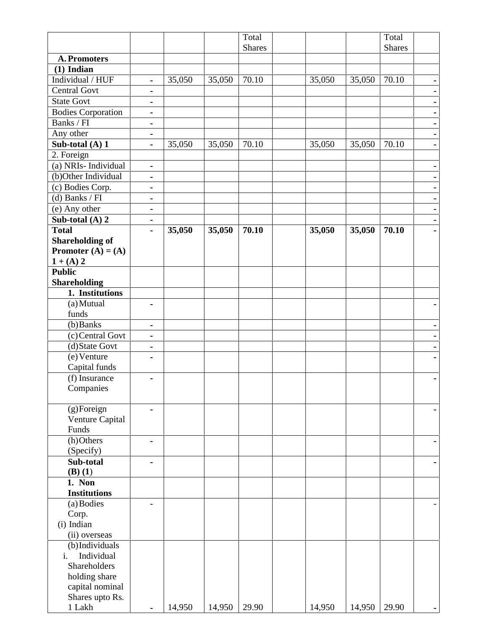|                                                |                |        |        | Total         |        |        | Total         |   |
|------------------------------------------------|----------------|--------|--------|---------------|--------|--------|---------------|---|
|                                                |                |        |        | <b>Shares</b> |        |        | <b>Shares</b> |   |
| <b>A. Promoters</b>                            |                |        |        |               |        |        |               |   |
| $(1)$ Indian                                   |                |        |        |               |        |        |               |   |
| Individual / HUF                               | $\blacksquare$ | 35,050 | 35,050 | 70.10         | 35,050 | 35,050 | 70.10         | ٠ |
| <b>Central Govt</b>                            | ۰              |        |        |               |        |        |               |   |
| <b>State Govt</b>                              | ٠              |        |        |               |        |        |               |   |
| <b>Bodies Corporation</b>                      | ٠              |        |        |               |        |        |               |   |
| Banks / FI                                     | ٠              |        |        |               |        |        |               | ٠ |
| Any other                                      | ٠              |        |        |               |        |        |               |   |
| Sub-total (A) 1<br>2. Foreign                  | $\blacksquare$ | 35,050 | 35,050 | 70.10         | 35,050 | 35,050 | 70.10         | ۰ |
| (a) NRIs-Individual                            | ۰              |        |        |               |        |        |               | ٠ |
| (b)Other Individual                            | ٠              |        |        |               |        |        |               |   |
| (c) Bodies Corp.                               |                |        |        |               |        |        |               |   |
| (d) Banks $\sqrt{FI}$                          | $\blacksquare$ |        |        |               |        |        |               |   |
|                                                | ٠              |        |        |               |        |        |               |   |
| (e) Any other                                  | ۰              |        |        |               |        |        |               | ۰ |
| Sub-total (A) 2                                | ۰              |        |        |               |        |        |               |   |
| <b>Total</b>                                   | ÷,             | 35,050 | 35,050 | 70.10         | 35,050 | 35,050 | 70.10         |   |
| <b>Shareholding of</b><br>Promoter $(A) = (A)$ |                |        |        |               |        |        |               |   |
| $1 + (A) 2$                                    |                |        |        |               |        |        |               |   |
| <b>Public</b>                                  |                |        |        |               |        |        |               |   |
| <b>Shareholding</b>                            |                |        |        |               |        |        |               |   |
| 1. Institutions                                |                |        |        |               |        |        |               |   |
| (a) Mutual                                     | ä,             |        |        |               |        |        |               |   |
| funds                                          |                |        |        |               |        |        |               |   |
| (b) Banks                                      | ۰              |        |        |               |        |        |               |   |
| (c) Central Govt                               | ٠              |        |        |               |        |        |               | ۰ |
| (d) State Govt                                 | ٠              |        |        |               |        |        |               |   |
| $(e)$ Venture                                  | ۰              |        |        |               |        |        |               |   |
| Capital funds                                  |                |        |        |               |        |        |               |   |
| (f) Insurance                                  | ٠              |        |        |               |        |        |               |   |
| Companies                                      |                |        |        |               |        |        |               |   |
| (g)Foreign                                     |                |        |        |               |        |        |               |   |
| Venture Capital                                |                |        |        |               |        |        |               |   |
| Funds                                          |                |        |        |               |        |        |               |   |
| (h) Others                                     | ä,             |        |        |               |        |        |               |   |
| (Specify)                                      |                |        |        |               |        |        |               |   |
| Sub-total                                      |                |        |        |               |        |        |               |   |
| $(B)$ $(1)$                                    |                |        |        |               |        |        |               |   |
| 1. Non                                         |                |        |        |               |        |        |               |   |
| <b>Institutions</b>                            |                |        |        |               |        |        |               |   |
| (a) Bodies                                     |                |        |        |               |        |        |               |   |
| Corp.                                          |                |        |        |               |        |        |               |   |
| (i) Indian                                     |                |        |        |               |        |        |               |   |
| (ii) overseas                                  |                |        |        |               |        |        |               |   |
| (b)Individuals                                 |                |        |        |               |        |        |               |   |
| Individual<br>$i$ .                            |                |        |        |               |        |        |               |   |
| Shareholders                                   |                |        |        |               |        |        |               |   |
| holding share                                  |                |        |        |               |        |        |               |   |
| capital nominal                                |                |        |        |               |        |        |               |   |
| Shares upto Rs.                                |                |        |        |               |        |        |               |   |
| 1 Lakh                                         |                | 14,950 | 14,950 | 29.90         | 14,950 | 14,950 | 29.90         |   |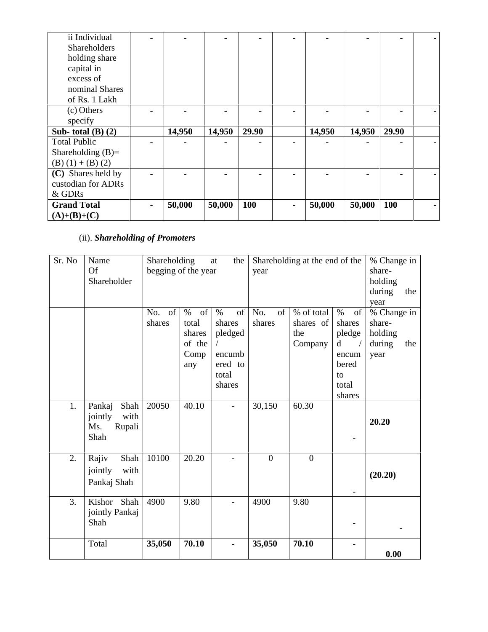| ii Individual         |   |        |        |       |   |        |        |       |  |
|-----------------------|---|--------|--------|-------|---|--------|--------|-------|--|
| <b>Shareholders</b>   |   |        |        |       |   |        |        |       |  |
| holding share         |   |        |        |       |   |        |        |       |  |
| capital in            |   |        |        |       |   |        |        |       |  |
| excess of             |   |        |        |       |   |        |        |       |  |
| nominal Shares        |   |        |        |       |   |        |        |       |  |
| of Rs. 1 Lakh         |   |        |        |       |   |        |        |       |  |
| (c) Others            |   |        |        |       |   |        |        |       |  |
| specify               |   |        |        |       |   |        |        |       |  |
| Sub-total $(B)$ $(2)$ |   | 14,950 | 14,950 | 29.90 |   | 14,950 | 14,950 | 29.90 |  |
| <b>Total Public</b>   |   |        |        |       |   |        |        |       |  |
| Shareholding $(B)=$   |   |        |        |       |   |        |        |       |  |
| $(B) (1) + (B) (2)$   |   |        |        |       |   |        |        |       |  |
| (C) Shares held by    |   |        |        |       |   |        |        |       |  |
| custodian for ADRs    |   |        |        |       |   |        |        |       |  |
| & GDRs                |   |        |        |       |   |        |        |       |  |
| <b>Grand Total</b>    | ۰ | 50,000 | 50,000 | 100   | ۰ | 50,000 | 50,000 | 100   |  |
| $(A)+(B)+(C)$         |   |        |        |       |   |        |        |       |  |

# (ii). *Shareholding of Promoters*

| Sr. No | Name<br><b>Of</b><br>Shareholder                           | Shareholding<br>begging of the year |                                                        | the<br>at                                                               | year                | Shareholding at the end of the            | % Change in<br>share-<br>holding<br>during<br>the<br>year                      |                                                           |
|--------|------------------------------------------------------------|-------------------------------------|--------------------------------------------------------|-------------------------------------------------------------------------|---------------------|-------------------------------------------|--------------------------------------------------------------------------------|-----------------------------------------------------------|
|        |                                                            | of<br>No.<br>shares                 | of<br>$\%$<br>total<br>shares<br>of the<br>Comp<br>any | $\%$<br>of<br>shares<br>pledged<br>encumb<br>ered to<br>total<br>shares | No.<br>of<br>shares | % of total<br>shares of<br>the<br>Company | $\%$<br>of<br>shares<br>pledge<br>d<br>encum<br>bered<br>to<br>total<br>shares | % Change in<br>share-<br>holding<br>during<br>the<br>year |
| 1.     | Pankaj<br>Shah<br>with<br>jointly<br>Rupali<br>Ms.<br>Shah | 20050                               | 40.10                                                  | $\overline{\phantom{a}}$                                                | 30,150              | 60.30                                     |                                                                                | 20.20                                                     |
| 2.     | Rajiv<br>Shah<br>with<br>jointly<br>Pankaj Shah            | 10100                               | 20.20                                                  |                                                                         | $\overline{0}$      | $\overline{0}$                            | $\blacksquare$                                                                 | (20.20)                                                   |
| 3.     | Kishor Shah<br>jointly Pankaj<br>Shah                      | 4900                                | 9.80                                                   | $\overline{\phantom{0}}$                                                | 4900                | 9.80                                      |                                                                                |                                                           |
|        | Total                                                      | 35,050                              | 70.10                                                  |                                                                         | 35,050              | 70.10                                     |                                                                                | 0.00                                                      |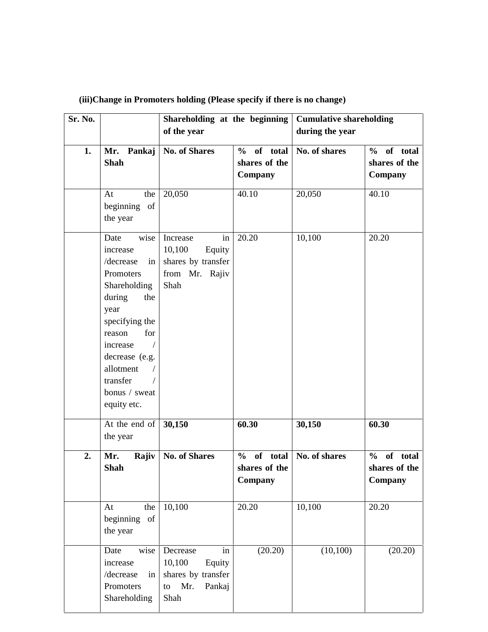| Sr. No. |                                                                                                                                                                                                                             | Shareholding at the beginning<br>of the year                                            |                                                       | <b>Cumulative shareholding</b><br>during the year |                                                        |  |  |
|---------|-----------------------------------------------------------------------------------------------------------------------------------------------------------------------------------------------------------------------------|-----------------------------------------------------------------------------------------|-------------------------------------------------------|---------------------------------------------------|--------------------------------------------------------|--|--|
| 1.      | Pankaj<br>Mr.<br><b>Shah</b>                                                                                                                                                                                                | <b>No. of Shares</b>                                                                    |                                                       | No. of shares                                     | of total<br>$\frac{6}{10}$<br>shares of the<br>Company |  |  |
|         | At<br>the<br>beginning of<br>the year                                                                                                                                                                                       | 20,050                                                                                  | 40.10                                                 | 20,050                                            | 40.10                                                  |  |  |
|         | wise<br>Date<br>increase<br>in<br>/decrease<br>Promoters<br>Shareholding<br>during<br>the<br>year<br>specifying the<br>for<br>reason<br>increase<br>decrease (e.g.<br>allotment<br>transfer<br>bonus / sweat<br>equity etc. | Increase<br>in<br>10,100<br>Equity<br>shares by transfer<br>from Mr. Rajiv<br>Shah      | 20.20                                                 | 10,100                                            | 20.20                                                  |  |  |
|         | At the end of<br>the year                                                                                                                                                                                                   | 30,150                                                                                  | 60.30                                                 | 30,150                                            | 60.30                                                  |  |  |
| 2.      | Mr.<br>Rajiv<br><b>Shah</b>                                                                                                                                                                                                 | <b>No. of Shares</b>                                                                    | of total<br>$\frac{0}{0}$<br>shares of the<br>Company | No. of shares                                     | of total<br>$\frac{0}{0}$<br>shares of the<br>Company  |  |  |
|         | the<br>At<br>beginning of<br>the year                                                                                                                                                                                       | 10,100                                                                                  | 20.20                                                 | 10,100                                            | 20.20                                                  |  |  |
|         | wise<br>Date<br>increase<br>/decrease<br>in<br>Promoters<br>Shareholding                                                                                                                                                    | in<br>Decrease<br>10,100<br>Equity<br>shares by transfer<br>Mr.<br>Pankaj<br>to<br>Shah | (20.20)                                               | (10, 100)                                         | (20.20)                                                |  |  |

# **(iii)Change in Promoters holding (Please specify if there is no change)**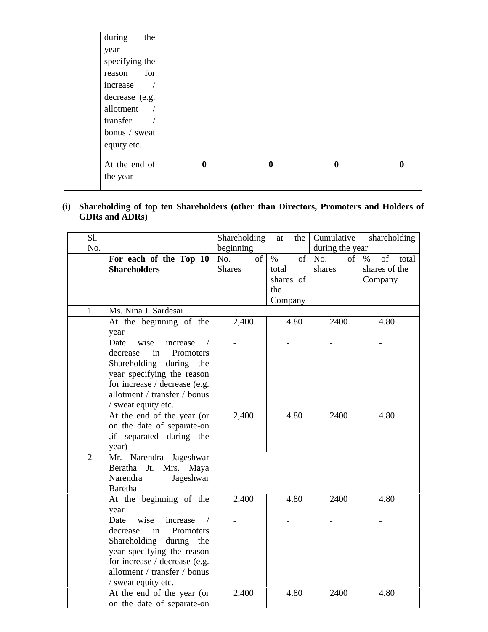| during<br>the  |          |          |                  |          |
|----------------|----------|----------|------------------|----------|
| year           |          |          |                  |          |
| specifying the |          |          |                  |          |
| for<br>reason  |          |          |                  |          |
| increase       |          |          |                  |          |
| decrease (e.g. |          |          |                  |          |
| allotment      |          |          |                  |          |
| transfer       |          |          |                  |          |
| bonus / sweat  |          |          |                  |          |
| equity etc.    |          |          |                  |          |
|                |          |          |                  |          |
| At the end of  | $\bf{0}$ | $\bf{0}$ | $\boldsymbol{0}$ | $\bf{0}$ |
| the year       |          |          |                  |          |
|                |          |          |                  |          |

# **(i) Shareholding of top ten Shareholders (other than Directors, Promoters and Holders of GDRs and ADRs)**

| Sl.            |                                                                                                                                                                                                          | Shareholding               | at<br>the                               | Cumulative          | shareholding                                    |
|----------------|----------------------------------------------------------------------------------------------------------------------------------------------------------------------------------------------------------|----------------------------|-----------------------------------------|---------------------|-------------------------------------------------|
| No.            |                                                                                                                                                                                                          | beginning                  |                                         | during the year     |                                                 |
|                | For each of the Top 10<br><b>Shareholders</b>                                                                                                                                                            | No.<br>of<br><b>Shares</b> | $\%$<br>of<br>total<br>shares of<br>the | No.<br>of<br>shares | of<br>$\%$<br>total<br>shares of the<br>Company |
| $\mathbf{1}$   | Ms. Nina J. Sardesai                                                                                                                                                                                     |                            | Company                                 |                     |                                                 |
|                | At the beginning of the<br>year                                                                                                                                                                          | 2,400                      | 4.80                                    | 2400                | 4.80                                            |
|                | wise<br>Date<br>increase<br>in<br>decrease<br>Promoters<br>Shareholding during the<br>year specifying the reason<br>for increase / decrease (e.g.<br>allotment / transfer / bonus<br>/ sweat equity etc. |                            |                                         |                     |                                                 |
|                | At the end of the year (or<br>on the date of separate-on<br>, if separated during the<br>year)                                                                                                           | 2,400                      | 4.80                                    | 2400                | 4.80                                            |
| $\overline{2}$ | Mr. Narendra Jageshwar<br>Beratha Jt. Mrs. Maya<br>Narendra<br>Jageshwar<br>Baretha                                                                                                                      |                            |                                         |                     |                                                 |
|                | At the beginning of the<br>year                                                                                                                                                                          | 2,400                      | 4.80                                    | 2400                | 4.80                                            |
|                | wise<br>increase<br>Date<br>Promoters<br>decrease<br>in<br>Shareholding during the<br>year specifying the reason<br>for increase / decrease (e.g.<br>allotment / transfer / bonus<br>/ sweat equity etc. |                            |                                         |                     |                                                 |
|                | At the end of the year (or<br>on the date of separate-on                                                                                                                                                 | 2,400                      | 4.80                                    | 2400                | 4.80                                            |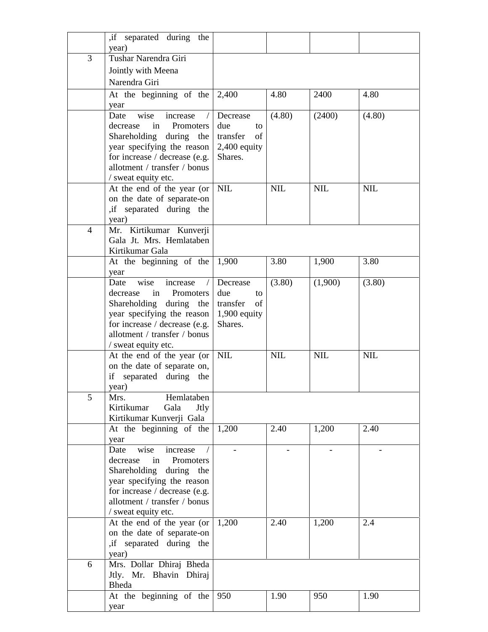|                | if separated during the                                 |                          |            |            |            |
|----------------|---------------------------------------------------------|--------------------------|------------|------------|------------|
| 3              | year)<br>Tushar Narendra Giri                           |                          |            |            |            |
|                |                                                         |                          |            |            |            |
|                | Jointly with Meena                                      |                          |            |            |            |
|                | Narendra Giri                                           |                          |            |            |            |
|                | At the beginning of the                                 | 2,400                    | 4.80       | 2400       | 4.80       |
|                | year                                                    |                          |            |            |            |
|                | wise<br>increase<br>Date                                | Decrease                 | (4.80)     | (2400)     | (4.80)     |
|                | decrease<br>in<br>Promoters                             | due<br>to<br>of          |            |            |            |
|                | Shareholding during the<br>year specifying the reason   | transfer<br>2,400 equity |            |            |            |
|                | for increase / decrease (e.g.                           | Shares.                  |            |            |            |
|                | allotment / transfer / bonus                            |                          |            |            |            |
|                | / sweat equity etc.                                     |                          |            |            |            |
|                | At the end of the year (or                              | <b>NIL</b>               | <b>NIL</b> | <b>NIL</b> | <b>NIL</b> |
|                | on the date of separate-on                              |                          |            |            |            |
|                | , if separated during the                               |                          |            |            |            |
|                | year)                                                   |                          |            |            |            |
| $\overline{4}$ | Mr. Kirtikumar Kunverji                                 |                          |            |            |            |
|                | Gala Jt. Mrs. Hemlataben                                |                          |            |            |            |
|                | Kirtikumar Gala<br>At the beginning of the              | 1,900                    | 3.80       | 1,900      | 3.80       |
|                | year                                                    |                          |            |            |            |
|                | Date<br>wise<br>increase                                | Decrease                 | (3.80)     | (1,900)    | (3.80)     |
|                | decrease<br>in<br>Promoters                             | due<br>to                |            |            |            |
|                | Shareholding during the                                 | transfer<br>of           |            |            |            |
|                | year specifying the reason                              | $1,900$ equity           |            |            |            |
|                | for increase / decrease (e.g.                           | Shares.                  |            |            |            |
|                | allotment / transfer / bonus                            |                          |            |            |            |
|                | / sweat equity etc.<br>At the end of the year (or       | <b>NIL</b>               | <b>NIL</b> | <b>NIL</b> | <b>NIL</b> |
|                | on the date of separate on,                             |                          |            |            |            |
|                | if separated during the                                 |                          |            |            |            |
|                | year)                                                   |                          |            |            |            |
| 5              | Hemlataben<br>Mrs.                                      |                          |            |            |            |
|                | Kirtikumar<br>Gala<br>Jtly                              |                          |            |            |            |
|                | Kirtikumar Kunverji Gala                                |                          |            |            |            |
|                | At the beginning of the                                 | 1,200                    | 2.40       | 1,200      | 2.40       |
|                | year                                                    |                          |            |            |            |
|                | wise<br>increase<br>Date<br>decrease<br>in<br>Promoters |                          |            |            |            |
|                | Shareholding during the                                 |                          |            |            |            |
|                | year specifying the reason                              |                          |            |            |            |
|                | for increase / decrease (e.g.                           |                          |            |            |            |
|                | allotment / transfer / bonus                            |                          |            |            |            |
|                | / sweat equity etc.                                     |                          |            |            |            |
|                | At the end of the year (or                              | 1,200                    | 2.40       | 1,200      | 2.4        |
|                | on the date of separate-on                              |                          |            |            |            |
|                | , if separated during the                               |                          |            |            |            |
| 6              | year)<br>Mrs. Dollar Dhiraj Bheda                       |                          |            |            |            |
|                | Jtly. Mr. Bhavin Dhiraj                                 |                          |            |            |            |
|                | Bheda                                                   |                          |            |            |            |
|                | At the beginning of the                                 | 950                      | 1.90       | 950        | 1.90       |
|                | year                                                    |                          |            |            |            |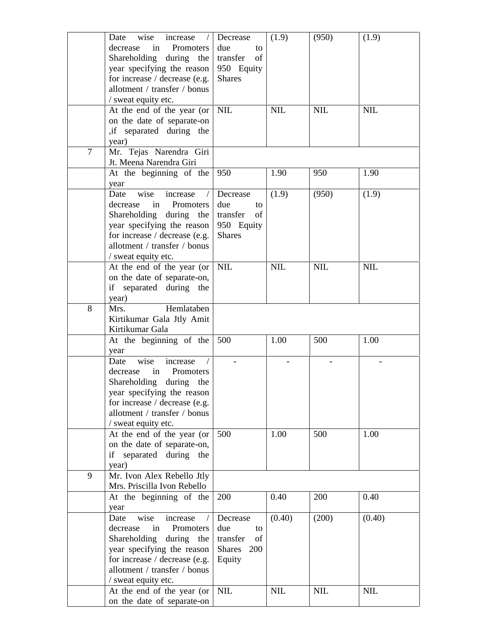|   | wise<br>Date<br>increase<br>decrease<br>Promoters<br>in<br>Shareholding during the<br>year specifying the reason<br>for increase / decrease (e.g.<br>allotment / transfer / bonus<br>/ sweat equity etc.    | Decrease<br>due<br>to<br>transfer<br>of<br>950 Equity<br><b>Shares</b>    | (1.9)      | (950)      | (1.9)      |
|---|-------------------------------------------------------------------------------------------------------------------------------------------------------------------------------------------------------------|---------------------------------------------------------------------------|------------|------------|------------|
|   | At the end of the year (or<br>on the date of separate-on<br>, if separated during the<br>year)                                                                                                              | <b>NIL</b>                                                                | <b>NIL</b> | <b>NIL</b> | <b>NIL</b> |
| 7 | Mr. Tejas Narendra Giri<br>Jt. Meena Narendra Giri                                                                                                                                                          |                                                                           |            |            |            |
|   | At the beginning of the<br>year                                                                                                                                                                             | 950                                                                       | 1.90       | 950        | 1.90       |
|   | wise<br>Date<br>increase<br>in<br>Promoters<br>decrease<br>Shareholding during the<br>year specifying the reason<br>for increase / decrease (e.g.<br>allotment / transfer / bonus<br>/ sweat equity etc.    | Decrease<br>due<br>to<br>transfer<br>of<br>950 Equity<br><b>Shares</b>    | (1.9)      | (950)      | (1.9)      |
|   | At the end of the year (or<br>on the date of separate-on,<br>if separated during the<br>year)                                                                                                               | <b>NIL</b>                                                                | <b>NIL</b> | <b>NIL</b> | <b>NIL</b> |
| 8 | Hemlataben<br>Mrs.<br>Kirtikumar Gala Jtly Amit<br>Kirtikumar Gala                                                                                                                                          |                                                                           |            |            |            |
|   | At the beginning of the<br>year                                                                                                                                                                             | 500                                                                       | 1.00       | 500        | 1.00       |
|   | wise<br>increase<br>Date<br>decrease<br>in<br>Promoters<br>Shareholding<br>during the<br>year specifying the reason<br>for increase / decrease (e.g.<br>allotment / transfer / bonus<br>/ sweat equity etc. |                                                                           |            |            |            |
|   | At the end of the year (or<br>on the date of separate-on,<br>if separated during the<br>year)                                                                                                               | 500                                                                       | 1.00       | 500        | 1.00       |
| 9 | Mr. Ivon Alex Rebello Jtly<br>Mrs. Priscilla Ivon Rebello                                                                                                                                                   |                                                                           |            |            |            |
|   | At the beginning of the<br>year                                                                                                                                                                             | 200                                                                       | 0.40       | 200        | 0.40       |
|   | increase<br>Date<br>wise<br>decrease<br>Promoters<br>in<br>Shareholding<br>during the<br>year specifying the reason<br>for increase / decrease (e.g.<br>allotment / transfer / bonus<br>/ sweat equity etc. | Decrease<br>due<br>to<br>transfer<br>of<br><b>Shares</b><br>200<br>Equity | (0.40)     | (200)      | (0.40)     |
|   | At the end of the year (or<br>on the date of separate-on                                                                                                                                                    | <b>NIL</b>                                                                | <b>NIL</b> | <b>NIL</b> | <b>NIL</b> |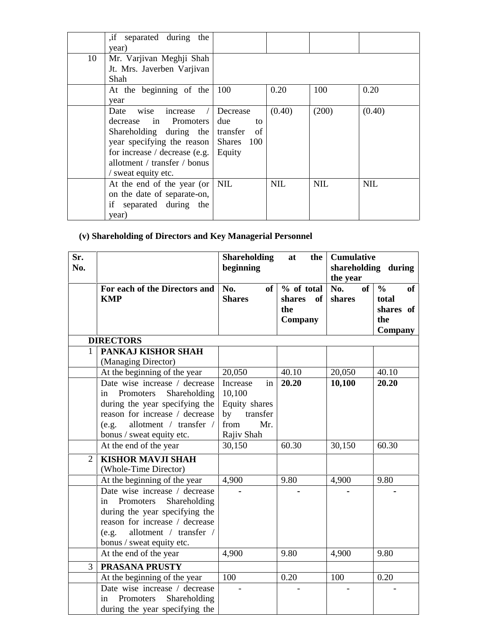|    | , if separated during the<br>year)                                                                                                                                                                   |                                                                 |            |            |            |
|----|------------------------------------------------------------------------------------------------------------------------------------------------------------------------------------------------------|-----------------------------------------------------------------|------------|------------|------------|
| 10 | Mr. Varjivan Meghji Shah<br>Jt. Mrs. Javerben Varjivan<br>Shah                                                                                                                                       |                                                                 |            |            |            |
|    | At the beginning of the<br>year                                                                                                                                                                      | 100                                                             | 0.20       | 100        | 0.20       |
|    | Date<br>wise increase<br>in Promoters<br>decrease<br>Shareholding during the<br>year specifying the reason<br>for increase $/$ decrease (e.g.<br>allotment / transfer / bonus<br>/ sweat equity etc. | Decrease<br>due<br>to<br>transfer<br>of<br>Shares 100<br>Equity | (0.40)     | (200)      | (0.40)     |
|    | At the end of the year (or<br>on the date of separate-on,<br>if<br>separated during the<br>year)                                                                                                     | NIL                                                             | <b>NIL</b> | <b>NIL</b> | <b>NIL</b> |

# **(v) Shareholding of Directors and Key Managerial Personnel**

| Sr.<br>No.     |                                                                                                                                                                                                      | <b>Shareholding</b><br>beginning                                           | at<br>the                                    | <b>Cumulative</b><br>shareholding during<br>the year |                                                             |
|----------------|------------------------------------------------------------------------------------------------------------------------------------------------------------------------------------------------------|----------------------------------------------------------------------------|----------------------------------------------|------------------------------------------------------|-------------------------------------------------------------|
|                | For each of the Directors and<br><b>KMP</b>                                                                                                                                                          | No.<br>of<br><b>Shares</b>                                                 | % of total<br>of<br>shares<br>the<br>Company | of<br>No.<br>shares                                  | $\frac{0}{0}$<br>of<br>total<br>shares of<br>the<br>Company |
|                | <b>DIRECTORS</b>                                                                                                                                                                                     |                                                                            |                                              |                                                      |                                                             |
| 1              | PANKAJ KISHOR SHAH<br>(Managing Director)                                                                                                                                                            |                                                                            |                                              |                                                      |                                                             |
|                | At the beginning of the year                                                                                                                                                                         | 20,050                                                                     | 40.10                                        | 20,050                                               | 40.10                                                       |
|                | Date wise increase / decrease<br>Shareholding<br>Promoters<br>in<br>during the year specifying the<br>reason for increase / decrease<br>allotment / transfer /<br>(e.g.                              | Increase<br>in<br>10,100<br>Equity shares<br>by<br>transfer<br>from<br>Mr. | 20.20                                        | 10,100                                               | 20.20                                                       |
|                | bonus / sweat equity etc.                                                                                                                                                                            | Rajiv Shah                                                                 |                                              |                                                      |                                                             |
|                | At the end of the year                                                                                                                                                                               | 30,150                                                                     | 60.30                                        | 30,150                                               | 60.30                                                       |
| $\overline{2}$ | <b>KISHOR MAVJI SHAH</b><br>(Whole-Time Director)                                                                                                                                                    |                                                                            |                                              |                                                      |                                                             |
|                | At the beginning of the year                                                                                                                                                                         | 4,900                                                                      | 9.80                                         | 4,900                                                | 9.80                                                        |
|                | Date wise increase / decrease<br>Shareholding<br>Promoters<br>in<br>during the year specifying the<br>reason for increase / decrease<br>allotment / transfer /<br>(e.g.<br>bonus / sweat equity etc. |                                                                            |                                              |                                                      |                                                             |
|                | At the end of the year                                                                                                                                                                               | 4,900                                                                      | 9.80                                         | 4,900                                                | 9.80                                                        |
| 3              | <b>PRASANA PRUSTY</b>                                                                                                                                                                                |                                                                            |                                              |                                                      |                                                             |
|                | At the beginning of the year<br>Date wise increase / decrease<br>Shareholding<br>Promoters<br>in<br>during the year specifying the                                                                   | 100                                                                        | 0.20                                         | 100                                                  | 0.20                                                        |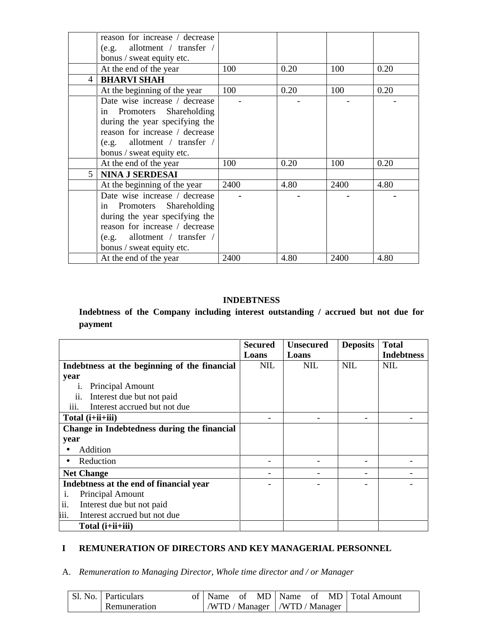|                | reason for increase / decrease |      |      |      |      |
|----------------|--------------------------------|------|------|------|------|
|                | (e.g. allotment / transfer /   |      |      |      |      |
|                | bonus / sweat equity etc.      |      |      |      |      |
|                | At the end of the year         | 100  | 0.20 | 100  | 0.20 |
| 4              | <b>BHARVI SHAH</b>             |      |      |      |      |
|                | At the beginning of the year   | 100  | 0.20 | 100  | 0.20 |
|                | Date wise increase / decrease  |      |      |      |      |
|                | in Promoters Shareholding      |      |      |      |      |
|                | during the year specifying the |      |      |      |      |
|                | reason for increase / decrease |      |      |      |      |
|                | $(e.g.$ allotment / transfer / |      |      |      |      |
|                | bonus / sweat equity etc.      |      |      |      |      |
|                | At the end of the year         | 100  | 0.20 | 100  | 0.20 |
| $\overline{5}$ | <b>NINA J SERDESAI</b>         |      |      |      |      |
|                | At the beginning of the year   | 2400 | 4.80 | 2400 | 4.80 |
|                | Date wise increase / decrease  |      |      |      |      |
|                | in Promoters Shareholding      |      |      |      |      |
|                | during the year specifying the |      |      |      |      |
|                | reason for increase / decrease |      |      |      |      |
|                | $(e.g.$ allotment / transfer / |      |      |      |      |
|                | bonus / sweat equity etc.      |      |      |      |      |
|                | At the end of the year         | 2400 | 4.80 | 2400 | 4.80 |

## **INDEBTNESS**

# **Indebtness of the Company including interest outstanding / accrued but not due for payment**

|                                              | <b>Secured</b> | <b>Unsecured</b> | <b>Deposits</b> | <b>Total</b>      |
|----------------------------------------------|----------------|------------------|-----------------|-------------------|
|                                              | Loans          | Loans            |                 | <b>Indebtness</b> |
| Indebtness at the beginning of the financial | <b>NIL</b>     | <b>NIL</b>       | <b>NIL</b>      | <b>NIL</b>        |
| year                                         |                |                  |                 |                   |
| Principal Amount                             |                |                  |                 |                   |
| Interest due but not paid<br>11.             |                |                  |                 |                   |
| Interest accrued but not due<br><i>iii.</i>  |                |                  |                 |                   |
| Total $(i+iii+iii)$                          |                |                  |                 |                   |
| Change in Indebtedness during the financial  |                |                  |                 |                   |
| year                                         |                |                  |                 |                   |
| Addition                                     |                |                  |                 |                   |
| Reduction                                    |                |                  |                 |                   |
| <b>Net Change</b>                            |                |                  |                 |                   |
| Indebtness at the end of financial year      |                |                  |                 |                   |
| Principal Amount<br>$\mathbf{1}$ .           |                |                  |                 |                   |
| ii.<br>Interest due but not paid             |                |                  |                 |                   |
| iii.<br>Interest accrued but not due         |                |                  |                 |                   |
| Total (i+ii+iii)                             |                |                  |                 |                   |

# **I REMUNERATION OF DIRECTORS AND KEY MANAGERIAL PERSONNEL**

# A. *Remuneration to Managing Director, Whole time director and / or Manager*

| <b>Sl. No.   Particulars</b> |  |  |                                 |  | of   Name of MD   Name of MD   Total Amount |
|------------------------------|--|--|---------------------------------|--|---------------------------------------------|
| Remuneration                 |  |  | /WTD / Manager   /WTD / Manager |  |                                             |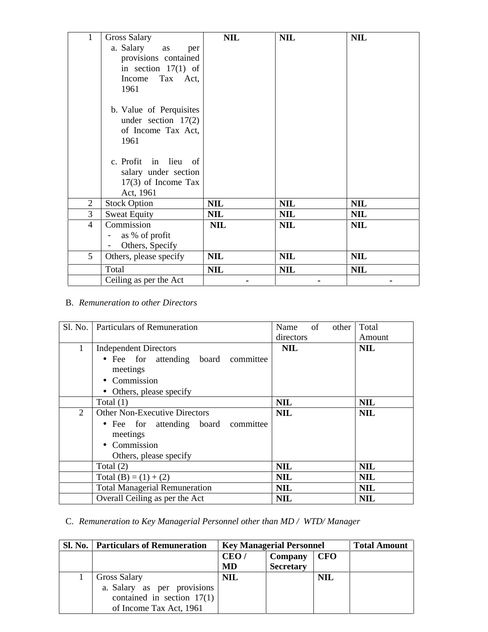| 1                        | Gross Salary            | <b>NIL</b> | <b>NIL</b> | <b>NIL</b> |
|--------------------------|-------------------------|------------|------------|------------|
|                          | a. Salary<br>as<br>per  |            |            |            |
|                          | provisions contained    |            |            |            |
|                          | in section $17(1)$ of   |            |            |            |
|                          | Tax Act,<br>Income      |            |            |            |
|                          | 1961                    |            |            |            |
|                          | b. Value of Perquisites |            |            |            |
|                          | under section $17(2)$   |            |            |            |
|                          | of Income Tax Act,      |            |            |            |
|                          | 1961                    |            |            |            |
|                          |                         |            |            |            |
|                          | c. Profit in lieu of    |            |            |            |
|                          | salary under section    |            |            |            |
|                          | $17(3)$ of Income Tax   |            |            |            |
|                          | Act, 1961               |            |            |            |
| $\overline{2}$           | <b>Stock Option</b>     | <b>NIL</b> | <b>NIL</b> | <b>NIL</b> |
| 3                        | <b>Sweat Equity</b>     | <b>NIL</b> | <b>NIL</b> | <b>NIL</b> |
| $\overline{\mathcal{A}}$ | Commission              | <b>NIL</b> | <b>NIL</b> | <b>NIL</b> |
|                          | as % of profit          |            |            |            |
|                          | Others, Specify<br>-    |            |            |            |
| 5                        | Others, please specify  | <b>NIL</b> | <b>NIL</b> | <b>NIL</b> |
|                          | Total                   | <b>NIL</b> | <b>NIL</b> | <b>NIL</b> |
|                          | Ceiling as per the Act  |            |            |            |

# B. *Remuneration to other Directors*

| Sl. No.        | <b>Particulars of Remuneration</b>   | of<br>Name<br>other | Total      |
|----------------|--------------------------------------|---------------------|------------|
|                |                                      | directors           | Amount     |
| 1              | <b>Independent Directors</b>         | <b>NIL</b>          | <b>NIL</b> |
|                | • Fee for attending board committee  |                     |            |
|                | meetings                             |                     |            |
|                | • Commission                         |                     |            |
|                | • Others, please specify             |                     |            |
|                | Total $(1)$                          | <b>NIL</b>          | <b>NIL</b> |
| $\overline{2}$ | <b>Other Non-Executive Directors</b> | <b>NIL</b>          | <b>NIL</b> |
|                | • Fee for attending board committee  |                     |            |
|                | meetings                             |                     |            |
|                | • Commission                         |                     |            |
|                | Others, please specify               |                     |            |
|                | Total $(2)$                          | <b>NIL</b>          | <b>NIL</b> |
|                | Total $(B) = (1) + (2)$              | <b>NIL</b>          | <b>NIL</b> |
|                | <b>Total Managerial Remuneration</b> | <b>NIL</b>          | <b>NIL</b> |
|                | Overall Ceiling as per the Act       | <b>NIL</b>          | <b>NIL</b> |

# C. *Remuneration to Key Managerial Personnel other than MD / WTD/ Manager*

| SI. No. | <b>Particulars of Remuneration</b> | <b>Key Managerial Personnel</b> |                             |            | <b>Total Amount</b> |
|---------|------------------------------------|---------------------------------|-----------------------------|------------|---------------------|
|         |                                    | CEO/<br><b>MD</b>               | Company<br><b>Secretary</b> | <b>CFO</b> |                     |
|         | Gross Salary                       | <b>NIL</b>                      |                             | <b>NIL</b> |                     |
|         | a. Salary as per provisions        |                                 |                             |            |                     |
|         | contained in section $17(1)$       |                                 |                             |            |                     |
|         | of Income Tax Act, 1961            |                                 |                             |            |                     |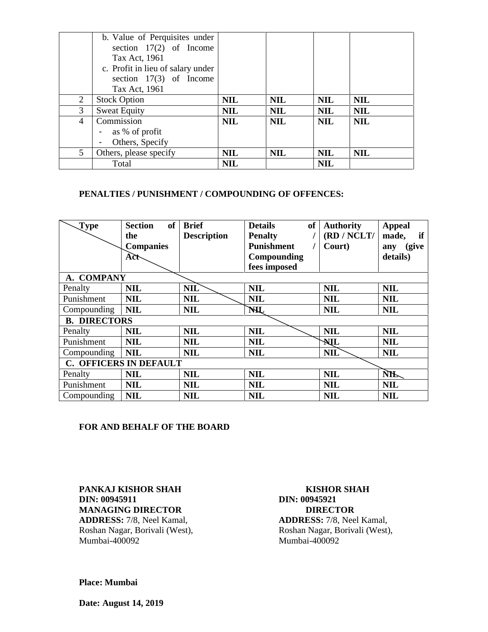|   | b. Value of Perquisites under     |            |            |            |            |
|---|-----------------------------------|------------|------------|------------|------------|
|   | section $17(2)$ of Income         |            |            |            |            |
|   | Tax Act, 1961                     |            |            |            |            |
|   | c. Profit in lieu of salary under |            |            |            |            |
|   | section $17(3)$ of Income         |            |            |            |            |
|   | Tax Act, 1961                     |            |            |            |            |
| 2 | <b>Stock Option</b>               | <b>NIL</b> | <b>NIL</b> | <b>NIL</b> | <b>NIL</b> |
| 3 | <b>Sweat Equity</b>               | <b>NIL</b> | <b>NIL</b> | <b>NIL</b> | <b>NIL</b> |
| 4 | Commission                        | <b>NIL</b> | <b>NIL</b> | <b>NIL</b> | <b>NIL</b> |
|   | as % of profit                    |            |            |            |            |
|   | Others, Specify                   |            |            |            |            |
| 5 | Others, please specify            | <b>NIL</b> | <b>NIL</b> | <b>NIL</b> | <b>NIL</b> |
|   | Total                             | <b>NIL</b> |            | <b>NIL</b> |            |

## **PENALTIES / PUNISHMENT / COMPOUNDING OF OFFENCES:**

| $\mathbf{Type}$               | of<br><b>Section</b><br>the<br><b>Companies</b> | <b>Brief</b><br><b>Description</b> | of<br><b>Details</b><br><b>Penalty</b><br><b>Punishment</b> | <b>Authority</b><br>(RD / NCLT/<br>Court) | <b>Appeal</b><br>if<br>made,<br>(give<br>any |  |
|-------------------------------|-------------------------------------------------|------------------------------------|-------------------------------------------------------------|-------------------------------------------|----------------------------------------------|--|
|                               | Act                                             |                                    | Compounding<br>fees imposed                                 |                                           | details)                                     |  |
| A. COMPANY                    |                                                 |                                    |                                                             |                                           |                                              |  |
| Penalty                       | <b>NIL</b>                                      | <b>NIL</b>                         | <b>NIL</b>                                                  | <b>NIL</b>                                | <b>NIL</b>                                   |  |
| Punishment                    | <b>NIL</b>                                      | <b>NIL</b>                         | <b>NIL</b>                                                  | <b>NIL</b>                                | <b>NIL</b>                                   |  |
| Compounding                   | <b>NIL</b>                                      | <b>NIL</b>                         | NHL                                                         | <b>NIL</b>                                | <b>NIL</b>                                   |  |
| <b>B. DIRECTORS</b>           |                                                 |                                    |                                                             |                                           |                                              |  |
| Penalty                       | <b>NIL</b>                                      | <b>NIL</b>                         | <b>NIL</b>                                                  | <b>NIL</b>                                | <b>NIL</b>                                   |  |
| Punishment                    | <b>NIL</b>                                      | <b>NIL</b>                         | <b>NIL</b>                                                  | NIL                                       | <b>NIL</b>                                   |  |
| Compounding                   | <b>NIL</b>                                      | <b>NIL</b>                         | <b>NIL</b>                                                  | <b>NIL</b>                                | <b>NIL</b>                                   |  |
| <b>C. OFFICERS IN DEFAULT</b> |                                                 |                                    |                                                             |                                           |                                              |  |
| Penalty                       | <b>NIL</b>                                      | <b>NIL</b>                         | <b>NIL</b>                                                  | <b>NIL</b>                                | <b>NIL</b>                                   |  |
| Punishment                    | <b>NIL</b>                                      | <b>NIL</b>                         | <b>NIL</b>                                                  | <b>NIL</b>                                | <b>NIL</b>                                   |  |
| Compounding                   | <b>NIL</b>                                      | <b>NIL</b>                         | <b>NIL</b>                                                  | <b>NIL</b>                                | <b>NIL</b>                                   |  |

### **FOR AND BEHALF OF THE BOARD**

**PANKAJ KISHOR SHAH KISHOR SHAH DIN: 00945911 DIN: 00945921 MANAGING DIRECTOR<br>
ADDRESS:** 7/8, Neel Kamal, **ADDRESS:** 7/8, Nee

**ADDRESS:** 7/8, Neel Kamal, **ADDRESS:** 7/8, Neel Kamal, Roshan Nagar, Borivali (West), Roshan Nagar, Borivali (West), Roshan Nagar, Borivali (West), Rumbai-400092 Mumbai-400092 Mumbai-400092

**Place: Mumbai**

**Date: August 14, 2019**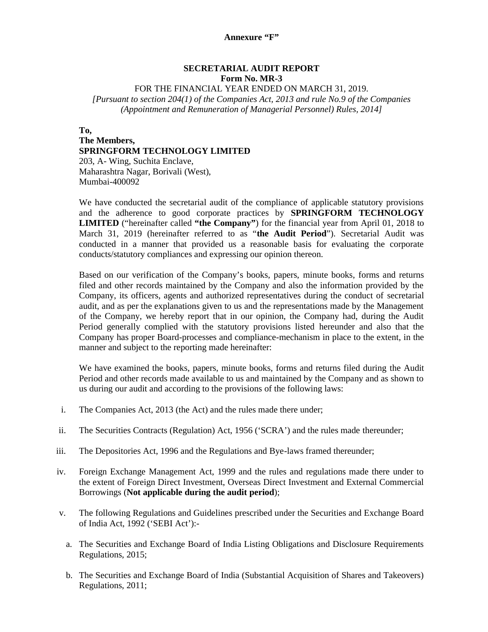## **SECRETARIAL AUDIT REPORT Form No. MR-3**

### FOR THE FINANCIAL YEAR ENDED ON MARCH 31, 2019.

*[Pursuant to section 204(1) of the Companies Act, 2013 and rule No.9 of the Companies (Appointment and Remuneration of Managerial Personnel) Rules, 2014]*

### **To,**

**The Members, SPRINGFORM TECHNOLOGY LIMITED** 203, A- Wing, Suchita Enclave, Maharashtra Nagar, Borivali (West), Mumbai-400092

We have conducted the secretarial audit of the compliance of applicable statutory provisions and the adherence to good corporate practices by **SPRINGFORM TECHNOLOGY LIMITED** ("hereinafter called **"the Company"**) for the financial year from April 01, 2018 to March 31, 2019 (hereinafter referred to as "**the Audit Period**"). Secretarial Audit was conducted in a manner that provided us a reasonable basis for evaluating the corporate conducts/statutory compliances and expressing our opinion thereon.

Based on our verification of the Company's books, papers, minute books, forms and returns filed and other records maintained by the Company and also the information provided by the Company, its officers, agents and authorized representatives during the conduct of secretarial audit, and as per the explanations given to us and the representations made by the Management of the Company, we hereby report that in our opinion, the Company had, during the Audit Period generally complied with the statutory provisions listed hereunder and also that the Company has proper Board-processes and compliance-mechanism in place to the extent, in the manner and subject to the reporting made hereinafter:

We have examined the books, papers, minute books, forms and returns filed during the Audit Period and other records made available to us and maintained by the Company and as shown to us during our audit and according to the provisions of the following laws:

- i. The Companies Act, 2013 (the Act) and the rules made there under;
- ii. The Securities Contracts (Regulation) Act, 1956 ('SCRA') and the rules made thereunder;
- iii. The Depositories Act, 1996 and the Regulations and Bye-laws framed thereunder;
- iv. Foreign Exchange Management Act, 1999 and the rules and regulations made there under to the extent of Foreign Direct Investment, Overseas Direct Investment and External Commercial Borrowings (**Not applicable during the audit period**);
- v. The following Regulations and Guidelines prescribed under the Securities and Exchange Board of India Act, 1992 ('SEBI Act'):
	- a. The Securities and Exchange Board of India Listing Obligations and Disclosure Requirements Regulations, 2015;
	- b. The Securities and Exchange Board of India (Substantial Acquisition of Shares and Takeovers) Regulations, 2011;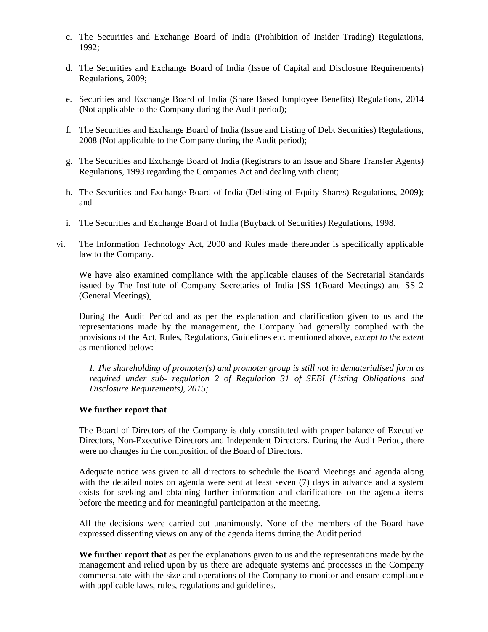- c. The Securities and Exchange Board of India (Prohibition of Insider Trading) Regulations, 1992;
- d. The Securities and Exchange Board of India (Issue of Capital and Disclosure Requirements) Regulations, 2009;
- e. Securities and Exchange Board of India (Share Based Employee Benefits) Regulations, 2014 **(**Not applicable to the Company during the Audit period);
- f. The Securities and Exchange Board of India (Issue and Listing of Debt Securities) Regulations, 2008 (Not applicable to the Company during the Audit period);
- g. The Securities and Exchange Board of India (Registrars to an Issue and Share Transfer Agents) Regulations, 1993 regarding the Companies Act and dealing with client;
- h. The Securities and Exchange Board of India (Delisting of Equity Shares) Regulations, 2009**)**; and
- i. The Securities and Exchange Board of India (Buyback of Securities) Regulations, 1998.
- vi. The Information Technology Act, 2000 and Rules made thereunder is specifically applicable law to the Company.

We have also examined compliance with the applicable clauses of the Secretarial Standards issued by The Institute of Company Secretaries of India [SS 1(Board Meetings) and SS 2 (General Meetings)]

During the Audit Period and as per the explanation and clarification given to us and the representations made by the management, the Company had generally complied with the provisions of the Act, Rules, Regulations, Guidelines etc. mentioned above*, except to the extent* as mentioned below:

*I. The shareholding of promoter(s) and promoter group is still not in dematerialised form as required under sub- regulation 2 of Regulation 31 of SEBI (Listing Obligations and Disclosure Requirements), 2015;*

### **We further report that**

The Board of Directors of the Company is duly constituted with proper balance of Executive Directors, Non-Executive Directors and Independent Directors. During the Audit Period, there were no changes in the composition of the Board of Directors.

Adequate notice was given to all directors to schedule the Board Meetings and agenda along with the detailed notes on agenda were sent at least seven (7) days in advance and a system exists for seeking and obtaining further information and clarifications on the agenda items before the meeting and for meaningful participation at the meeting.

All the decisions were carried out unanimously. None of the members of the Board have expressed dissenting views on any of the agenda items during the Audit period.

**We further report that** as per the explanations given to us and the representations made by the management and relied upon by us there are adequate systems and processes in the Company commensurate with the size and operations of the Company to monitor and ensure compliance with applicable laws, rules, regulations and guidelines.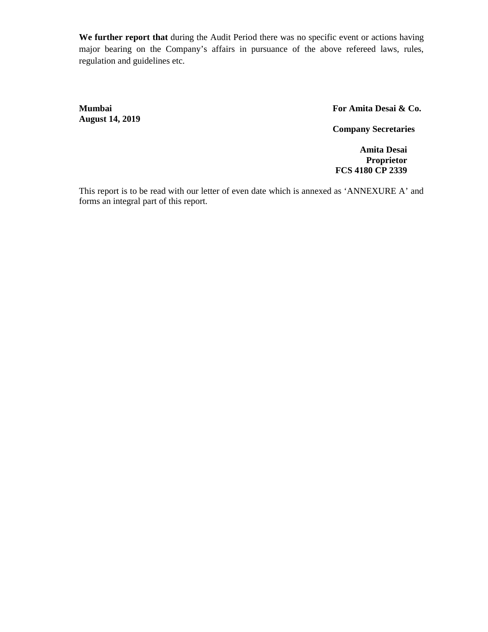**We further report that** during the Audit Period there was no specific event or actions having major bearing on the Company's affairs in pursuance of the above refereed laws, rules, regulation and guidelines etc.

**August 14, 2019**

**Mumbai For Amita Desai & Co.**

**Company Secretaries**

**Amita Desai Proprietor FCS 4180 CP 2339**

This report is to be read with our letter of even date which is annexed as 'ANNEXURE A' and forms an integral part of this report.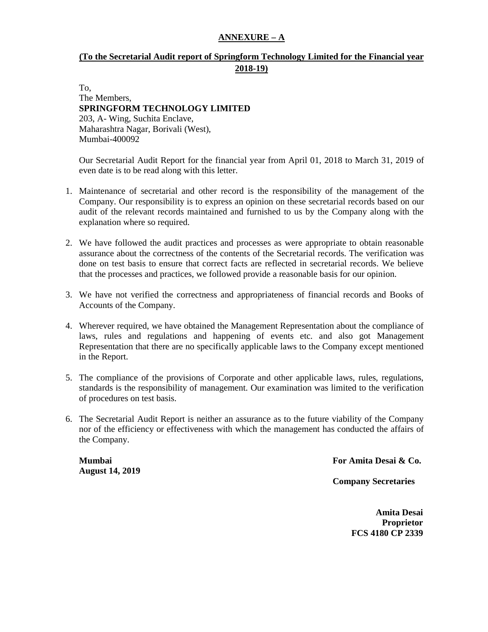# **ANNEXURE – A**

# **(To the Secretarial Audit report of Springform Technology Limited for the Financial year 2018-19)**

To, The Members, **SPRINGFORM TECHNOLOGY LIMITED** 203, A- Wing, Suchita Enclave, Maharashtra Nagar, Borivali (West), Mumbai-400092

Our Secretarial Audit Report for the financial year from April 01, 2018 to March 31, 2019 of even date is to be read along with this letter.

- 1. Maintenance of secretarial and other record is the responsibility of the management of the Company. Our responsibility is to express an opinion on these secretarial records based on our audit of the relevant records maintained and furnished to us by the Company along with the explanation where so required.
- 2. We have followed the audit practices and processes as were appropriate to obtain reasonable assurance about the correctness of the contents of the Secretarial records. The verification was done on test basis to ensure that correct facts are reflected in secretarial records. We believe that the processes and practices, we followed provide a reasonable basis for our opinion.
- 3. We have not verified the correctness and appropriateness of financial records and Books of Accounts of the Company.
- 4. Wherever required, we have obtained the Management Representation about the compliance of laws, rules and regulations and happening of events etc. and also got Management Representation that there are no specifically applicable laws to the Company except mentioned in the Report.
- 5. The compliance of the provisions of Corporate and other applicable laws, rules, regulations, standards is the responsibility of management. Our examination was limited to the verification of procedures on test basis.
- 6. The Secretarial Audit Report is neither an assurance as to the future viability of the Company nor of the efficiency or effectiveness with which the management has conducted the affairs of the Company.

**August 14, 2019**

**Mumbai For Amita Desai & Co.**

**Company Secretaries**

**Amita Desai Proprietor FCS 4180 CP 2339**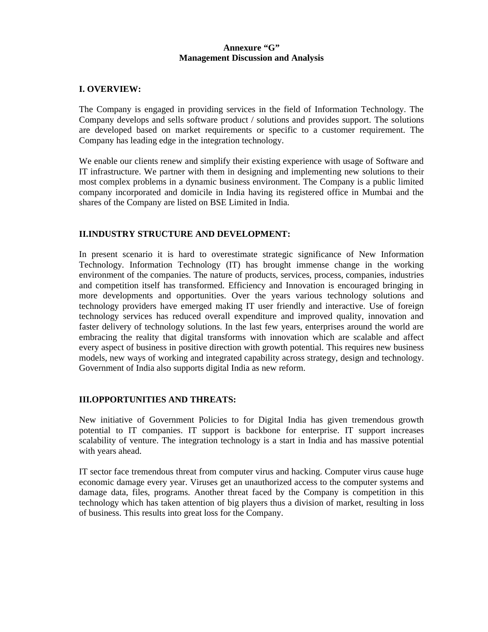### **Annexure "G" Management Discussion and Analysis**

### **I. OVERVIEW:**

The Company is engaged in providing services in the field of Information Technology. The Company develops and sells software product / solutions and provides support. The solutions are developed based on market requirements or specific to a customer requirement. The Company has leading edge in the integration technology.

We enable our clients renew and simplify their existing experience with usage of Software and IT infrastructure. We partner with them in designing and implementing new solutions to their most complex problems in a dynamic business environment. The Company is a public limited company incorporated and domicile in India having its registered office in Mumbai and the shares of the Company are listed on BSE Limited in India.

### **II.INDUSTRY STRUCTURE AND DEVELOPMENT:**

In present scenario it is hard to overestimate strategic significance of New Information Technology. Information Technology (IT) has brought immense change in the working environment of the companies. The nature of products, services, process, companies, industries and competition itself has transformed. Efficiency and Innovation is encouraged bringing in more developments and opportunities. Over the years various technology solutions and technology providers have emerged making IT user friendly and interactive. Use of foreign technology services has reduced overall expenditure and improved quality, innovation and faster delivery of technology solutions. In the last few years, enterprises around the world are embracing the reality that digital transforms with innovation which are scalable and affect every aspect of business in positive direction with growth potential. This requires new business models, new ways of working and integrated capability across strategy, design and technology. Government of India also supports digital India as new reform.

### **III.OPPORTUNITIES AND THREATS:**

New initiative of Government Policies to for Digital India has given tremendous growth potential to IT companies. IT support is backbone for enterprise. IT support increases scalability of venture. The integration technology is a start in India and has massive potential with years ahead.

IT sector face tremendous threat from computer virus and hacking. Computer virus cause huge economic damage every year. Viruses get an unauthorized access to the computer systems and damage data, files, programs. Another threat faced by the Company is competition in this technology which has taken attention of big players thus a division of market, resulting in loss of business. This results into great loss for the Company.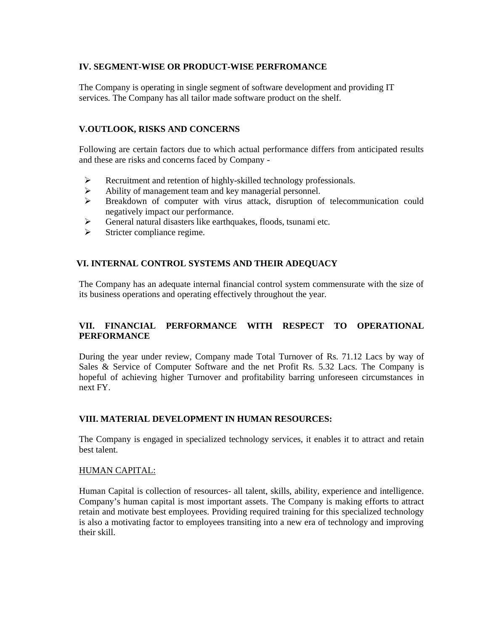## **IV. SEGMENT-WISE OR PRODUCT-WISE PERFROMANCE**

The Company is operating in single segment of software development and providing IT services. The Company has all tailor made software product on the shelf.

# **V.OUTLOOK, RISKS AND CONCERNS**

Following are certain factors due to which actual performance differs from anticipated results and these are risks and concerns faced by Company -

- Recruitment and retention of highly-skilled technology professionals.
- Ability of management team and key managerial personnel.
- Breakdown of computer with virus attack, disruption of telecommunication could negatively impact our performance.
- $\triangleright$  General natural disasters like earthquakes, floods, tsunami etc.
- $\triangleright$  Stricter compliance regime.

# **VI. INTERNAL CONTROL SYSTEMS AND THEIR ADEQUACY**

The Company has an adequate internal financial control system commensurate with the size of its business operations and operating effectively throughout the year.

# **VII. FINANCIAL PERFORMANCE WITH RESPECT TO OPERATIONAL PERFORMANCE**

During the year under review, Company made Total Turnover of Rs. 71.12 Lacs by way of Sales & Service of Computer Software and the net Profit Rs. 5.32 Lacs. The Company is hopeful of achieving higher Turnover and profitability barring unforeseen circumstances in next FY.

# **VIII. MATERIAL DEVELOPMENT IN HUMAN RESOURCES:**

The Company is engaged in specialized technology services, it enables it to attract and retain best talent.

### HUMAN CAPITAL:

Human Capital is collection of resources- all talent, skills, ability, experience and intelligence. Company's human capital is most important assets. The Company is making efforts to attract retain and motivate best employees. Providing required training for this specialized technology is also a motivating factor to employees transiting into a new era of technology and improving their skill.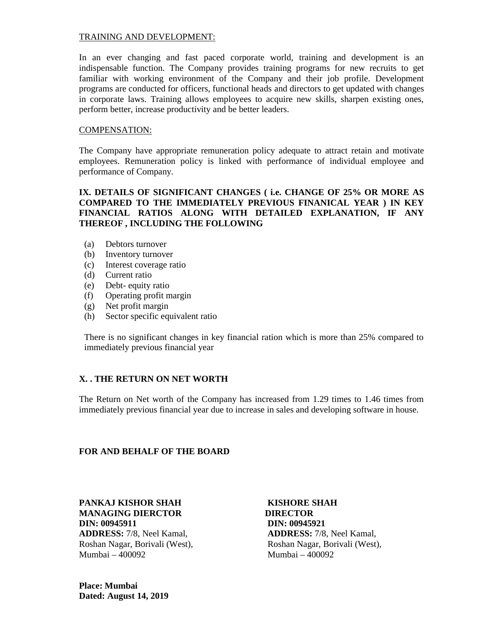### TRAINING AND DEVELOPMENT:

In an ever changing and fast paced corporate world, training and development is an indispensable function. The Company provides training programs for new recruits to get familiar with working environment of the Company and their job profile. Development programs are conducted for officers, functional heads and directors to get updated with changes in corporate laws. Training allows employees to acquire new skills, sharpen existing ones, perform better, increase productivity and be better leaders.

### COMPENSATION:

The Company have appropriate remuneration policy adequate to attract retain and motivate employees. Remuneration policy is linked with performance of individual employee and performance of Company.

# **IX. DETAILS OF SIGNIFICANT CHANGES ( i.e. CHANGE OF 25% OR MORE AS COMPARED TO THE IMMEDIATELY PREVIOUS FINANICAL YEAR ) IN KEY FINANCIAL RATIOS ALONG WITH DETAILED EXPLANATION, IF ANY THEREOF , INCLUDING THE FOLLOWING**

- (a) Debtors turnover
- (b) Inventory turnover
- (c) Interest coverage ratio
- (d) Current ratio
- (e) Debt- equity ratio
- (f) Operating profit margin
- (g) Net profit margin
- (h) Sector specific equivalent ratio

There is no significant changes in key financial ration which is more than 25% compared to immediately previous financial year

### **X. . THE RETURN ON NET WORTH**

The Return on Net worth of the Company has increased from 1.29 times to 1.46 times from immediately previous financial year due to increase in sales and developing software in house.

### **FOR AND BEHALF OF THE BOARD**

**PANKAJ KISHOR SHAH KISHORE SHAH MANAGING DIERCTOR DIRECTOR DIN: 00945911 DIN: 00945921 ADDRESS:** 7/8, Neel Kamal, **ADDRESS:** 7/8, Neel Kamal, Roshan Nagar, Borivali (West), Roshan Nagar, Borivali (West), Mumbai – 400092 Mumbai – 400092

**Place: Mumbai Dated: August 14, 2019**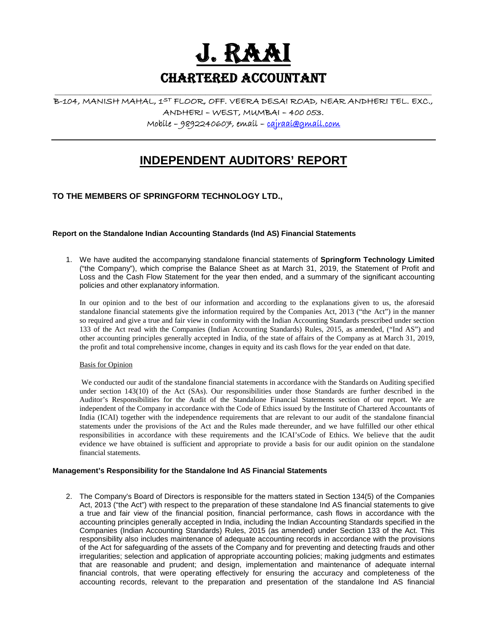

**Chartered Accountant**

**\_\_\_\_\_\_\_\_\_\_\_\_\_\_\_\_\_\_\_\_\_\_\_\_\_\_\_\_\_\_\_\_\_\_\_\_\_\_\_\_\_\_\_\_\_\_\_\_\_\_\_\_\_\_\_\_\_\_\_\_\_\_\_\_\_\_\_\_\_\_\_\_\_\_\_**

# **B-104, MANISH MAHAL, 1ST FLOOR, OFF. VEERA DESAI ROAD, NEAR ANDHERI TEL. EXC., ANDHERI – WEST, MUMBAI – 400 053. Mobile – 9892240607, email – cajraai@gmail.com**

# **INDEPENDENT AUDITORS' REPORT**

## **TO THE MEMBERS OF SPRINGFORM TECHNOLOGY LTD.,**

### **Report on the Standalone Indian Accounting Standards (Ind AS) Financial Statements**

1. We have audited the accompanying standalone financial statements of **Springform Technology Limited** ("the Company"), which comprise the Balance Sheet as at March 31, 2019, the Statement of Profit and Loss and the Cash Flow Statement for the year then ended, and a summary of the significant accounting policies and other explanatory information.

In our opinion and to the best of our information and according to the explanations given to us, the aforesaid standalone financial statements give the information required by the Companies Act, 2013 ("the Act") in the manner so required and give a true and fair view in conformity with the Indian Accounting Standards prescribed under section 133 of the Act read with the Companies (Indian Accounting Standards) Rules, 2015, as amended, ("Ind AS") and other accounting principles generally accepted in India, of the state of affairs of the Company as at March 31, 2019, the profit and total comprehensive income, changes in equity and its cash flows for the year ended on that date.

### Basis for Opinion

We conducted our audit of the standalone financial statements in accordance with the Standards on Auditing specified under section 143(10) of the Act (SAs). Our responsibilities under those Standards are further described in the Auditor's Responsibilities for the Audit of the Standalone Financial Statements section of our report. We are independent of the Company in accordance with the Code of Ethics issued by the Institute of Chartered Accountants of India (ICAI) together with the independence requirements that are relevant to our audit of the standalone financial statements under the provisions of the Act and the Rules made thereunder, and we have fulfilled our other ethical responsibilities in accordance with these requirements and the ICAI'sCode of Ethics. We believe that the audit evidence we have obtained is sufficient and appropriate to provide a basis for our audit opinion on the standalone financial statements.

### **Management's Responsibility for the Standalone Ind AS Financial Statements**

2. The Company's Board of Directors is responsible for the matters stated in Section 134(5) of the Companies Act, 2013 ("the Act") with respect to the preparation of these standalone Ind AS financial statements to give a true and fair view of the financial position, financial performance, cash flows in accordance with the accounting principles generally accepted in India, including the Indian Accounting Standards specified in the Companies (Indian Accounting Standards) Rules, 2015 (as amended) under Section 133 of the Act. This responsibility also includes maintenance of adequate accounting records in accordance with the provisions of the Act for safeguarding of the assets of the Company and for preventing and detecting frauds and other irregularities; selection and application of appropriate accounting policies; making judgments and estimates that are reasonable and prudent; and design, implementation and maintenance of adequate internal financial controls, that were operating effectively for ensuring the accuracy and completeness of the accounting records, relevant to the preparation and presentation of the standalone Ind AS financial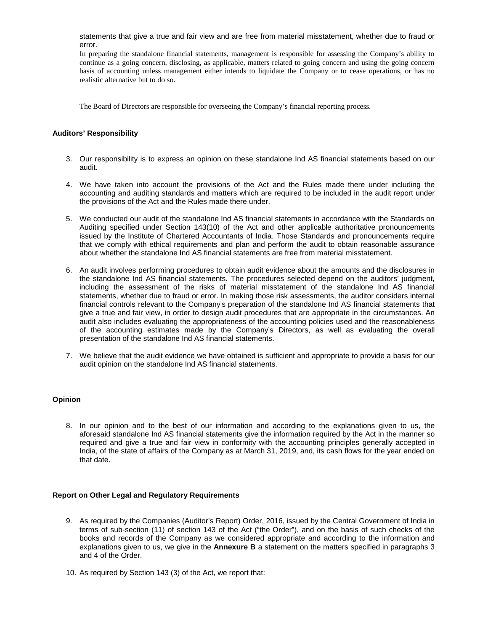statements that give a true and fair view and are free from material misstatement, whether due to fraud or error.

In preparing the standalone financial statements, management is responsible for assessing the Company's ability to continue as a going concern, disclosing, as applicable, matters related to going concern and using the going concern basis of accounting unless management either intends to liquidate the Company or to cease operations, or has no realistic alternative but to do so.

The Board of Directors are responsible for overseeing the Company's financial reporting process.

### **Auditors' Responsibility**

- 3. Our responsibility is to express an opinion on these standalone Ind AS financial statements based on our audit.
- 4. We have taken into account the provisions of the Act and the Rules made there under including the accounting and auditing standards and matters which are required to be included in the audit report under the provisions of the Act and the Rules made there under.
- 5. We conducted our audit of the standalone Ind AS financial statements in accordance with the Standards on Auditing specified under Section 143(10) of the Act and other applicable authoritative pronouncements issued by the Institute of Chartered Accountants of India. Those Standards and pronouncements require that we comply with ethical requirements and plan and perform the audit to obtain reasonable assurance about whether the standalone Ind AS financial statements are free from material misstatement.
- 6. An audit involves performing procedures to obtain audit evidence about the amounts and the disclosures in the standalone Ind AS financial statements. The procedures selected depend on the auditors' judgment, including the assessment of the risks of material misstatement of the standalone Ind AS financial statements, whether due to fraud or error. In making those risk assessments, the auditor considers internal financial controls relevant to the Company's preparation of the standalone Ind AS financial statements that give a true and fair view, in order to design audit procedures that are appropriate in the circumstances. An audit also includes evaluating the appropriateness of the accounting policies used and the reasonableness of the accounting estimates made by the Company's Directors, as well as evaluating the overall presentation of the standalone Ind AS financial statements.
- 7. We believe that the audit evidence we have obtained is sufficient and appropriate to provide a basis for our audit opinion on the standalone Ind AS financial statements.

### **Opinion**

8. In our opinion and to the best of our information and according to the explanations given to us, the aforesaid standalone Ind AS financial statements give the information required by the Act in the manner so required and give a true and fair view in conformity with the accounting principles generally accepted in India, of the state of affairs of the Company as at March 31, 2019, and, its cash flows for the year ended on that date.

### **Report on Other Legal and Regulatory Requirements**

- 9. As required by the Companies (Auditor's Report) Order, 2016, issued by the Central Government of India in terms of sub-section (11) of section 143 of the Act ("the Order"), and on the basis of such checks of the books and records of the Company as we considered appropriate and according to the information and explanations given to us, we give in the **Annexure B** a statement on the matters specified in paragraphs 3 and 4 of the Order.
- 10. As required by Section 143 (3) of the Act, we report that: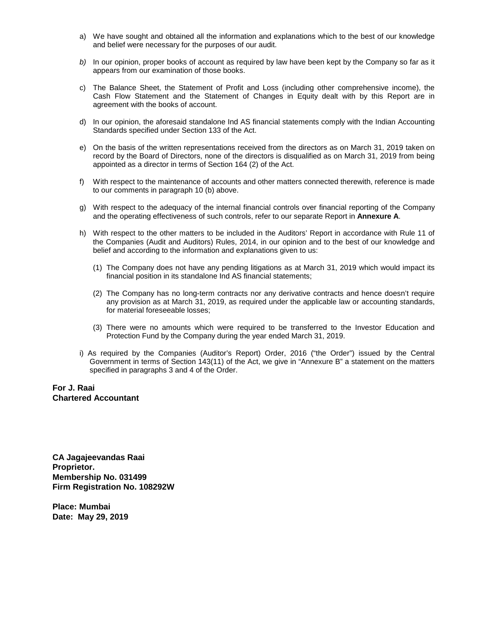- a) We have sought and obtained all the information and explanations which to the best of our knowledge and belief were necessary for the purposes of our audit.
- *b)* In our opinion, proper books of account as required by law have been kept by the Company so far as it appears from our examination of those books.
- c) The Balance Sheet, the Statement of Profit and Loss (including other comprehensive income), the Cash Flow Statement and the Statement of Changes in Equity dealt with by this Report are in agreement with the books of account.
- d) In our opinion, the aforesaid standalone Ind AS financial statements comply with the Indian Accounting Standards specified under Section 133 of the Act.
- e) On the basis of the written representations received from the directors as on March 31, 2019 taken on record by the Board of Directors, none of the directors is disqualified as on March 31, 2019 from being appointed as a director in terms of Section 164 (2) of the Act.
- f) With respect to the maintenance of accounts and other matters connected therewith, reference is made to our comments in paragraph 10 (b) above.
- g) With respect to the adequacy of the internal financial controls over financial reporting of the Company and the operating effectiveness of such controls, refer to our separate Report in **Annexure A**.
- h) With respect to the other matters to be included in the Auditors' Report in accordance with Rule 11 of the Companies (Audit and Auditors) Rules, 2014, in our opinion and to the best of our knowledge and belief and according to the information and explanations given to us:
	- (1) The Company does not have any pending litigations as at March 31, 2019 which would impact its financial position in its standalone Ind AS financial statements;
	- (2) The Company has no long-term contracts nor any derivative contracts and hence doesn't require any provision as at March 31, 2019, as required under the applicable law or accounting standards, for material foreseeable losses;
	- (3) There were no amounts which were required to be transferred to the Investor Education and Protection Fund by the Company during the year ended March 31, 2019.
- i) As required by the Companies (Auditor's Report) Order, 2016 ("the Order") issued by the Central Government in terms of Section 143(11) of the Act, we give in "Annexure B" a statement on the matters specified in paragraphs 3 and 4 of the Order.

### **For J. Raai Chartered Accountant**

**CA Jagajeevandas Raai Proprietor. Membership No. 031499 Firm Registration No. 108292W**

**Place: Mumbai Date: May 29, 2019**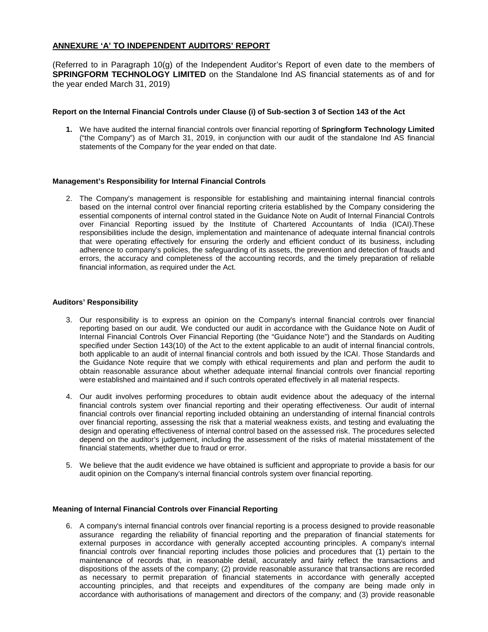### **ANNEXURE 'A' TO INDEPENDENT AUDITORS' REPORT**

(Referred to in Paragraph 10(g) of the Independent Auditor's Report of even date to the members of **SPRINGFORM TECHNOLOGY LIMITED** on the Standalone Ind AS financial statements as of and for the year ended March 31, 2019)

### **Report on the Internal Financial Controls under Clause (i) of Sub-section 3 of Section 143 of the Act**

**1.** We have audited the internal financial controls over financial reporting of **Springform Technology Limited** ("the Company") as of March 31, 2019, in conjunction with our audit of the standalone Ind AS financial statements of the Company for the year ended on that date.

### **Management's Responsibility for Internal Financial Controls**

2. The Company's management is responsible for establishing and maintaining internal financial controls based on the internal control over financial reporting criteria established by the Company considering the essential components of internal control stated in the Guidance Note on Audit of Internal Financial Controls over Financial Reporting issued by the Institute of Chartered Accountants of India (ICAI).These responsibilities include the design, implementation and maintenance of adequate internal financial controls that were operating effectively for ensuring the orderly and efficient conduct of its business, including adherence to company's policies, the safeguarding of its assets, the prevention and detection of frauds and errors, the accuracy and completeness of the accounting records, and the timely preparation of reliable financial information, as required under the Act.

### **Auditors' Responsibility**

- 3. Our responsibility is to express an opinion on the Company's internal financial controls over financial reporting based on our audit. We conducted our audit in accordance with the Guidance Note on Audit of Internal Financial Controls Over Financial Reporting (the "Guidance Note") and the Standards on Auditing specified under Section 143(10) of the Act to the extent applicable to an audit of internal financial controls, both applicable to an audit of internal financial controls and both issued by the ICAI. Those Standards and the Guidance Note require that we comply with ethical requirements and plan and perform the audit to obtain reasonable assurance about whether adequate internal financial controls over financial reporting were established and maintained and if such controls operated effectively in all material respects.
- 4. Our audit involves performing procedures to obtain audit evidence about the adequacy of the internal financial controls system over financial reporting and their operating effectiveness. Our audit of internal financial controls over financial reporting included obtaining an understanding of internal financial controls over financial reporting, assessing the risk that a material weakness exists, and testing and evaluating the design and operating effectiveness of internal control based on the assessed risk. The procedures selected depend on the auditor's judgement, including the assessment of the risks of material misstatement of the financial statements, whether due to fraud or error.
- 5. We believe that the audit evidence we have obtained is sufficient and appropriate to provide a basis for our audit opinion on the Company's internal financial controls system over financial reporting.

### **Meaning of Internal Financial Controls over Financial Reporting**

6. A company's internal financial controls over financial reporting is a process designed to provide reasonable assurance regarding the reliability of financial reporting and the preparation of financial statements for external purposes in accordance with generally accepted accounting principles. A company's internal financial controls over financial reporting includes those policies and procedures that (1) pertain to the maintenance of records that, in reasonable detail, accurately and fairly reflect the transactions and dispositions of the assets of the company; (2) provide reasonable assurance that transactions are recorded as necessary to permit preparation of financial statements in accordance with generally accepted accounting principles, and that receipts and expenditures of the company are being made only in accordance with authorisations of management and directors of the company; and (3) provide reasonable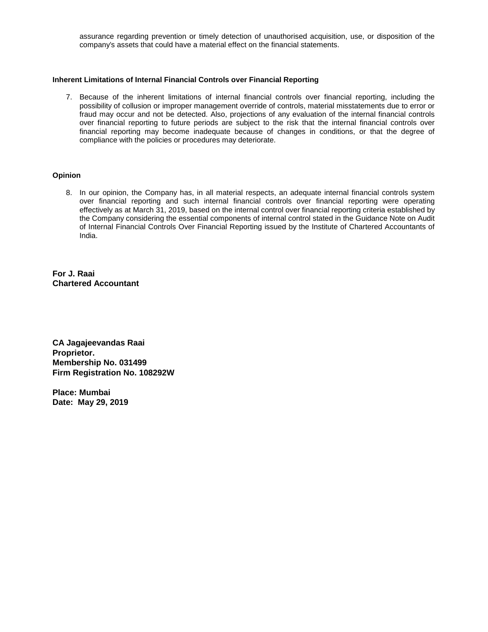assurance regarding prevention or timely detection of unauthorised acquisition, use, or disposition of the company's assets that could have a material effect on the financial statements.

### **Inherent Limitations of Internal Financial Controls over Financial Reporting**

7. Because of the inherent limitations of internal financial controls over financial reporting, including the possibility of collusion or improper management override of controls, material misstatements due to error or fraud may occur and not be detected. Also, projections of any evaluation of the internal financial controls over financial reporting to future periods are subject to the risk that the internal financial controls over financial reporting may become inadequate because of changes in conditions, or that the degree of compliance with the policies or procedures may deteriorate.

### **Opinion**

8. In our opinion, the Company has, in all material respects, an adequate internal financial controls system over financial reporting and such internal financial controls over financial reporting were operating effectively as at March 31, 2019, based on the internal control over financial reporting criteria established by the Company considering the essential components of internal control stated in the Guidance Note on Audit of Internal Financial Controls Over Financial Reporting issued by the Institute of Chartered Accountants of India.

**For J. Raai Chartered Accountant**

**CA Jagajeevandas Raai Proprietor. Membership No. 031499 Firm Registration No. 108292W**

**Place: Mumbai Date: May 29, 2019**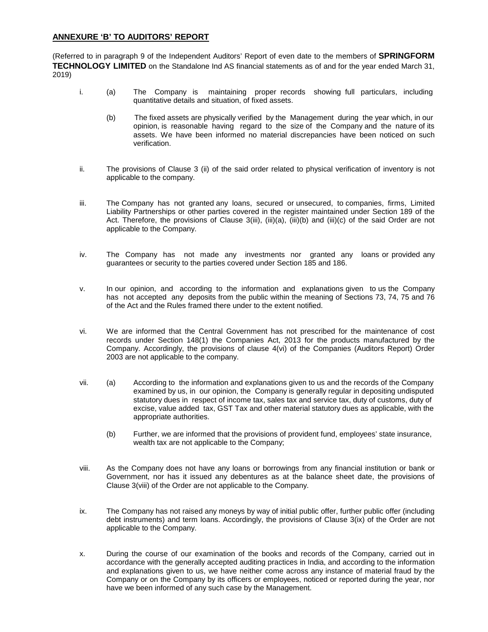### **ANNEXURE 'B' TO AUDITORS' REPORT**

(Referred to in paragraph 9 of the Independent Auditors' Report of even date to the members of **SPRINGFORM TECHNOLOGY LIMITED** on the Standalone Ind AS financial statements as of and for the year ended March 31, 2019)

- i. (a) The Company is maintaining proper records showing full particulars, including quantitative details and situation, of fixed assets.
	- (b) The fixed assets are physically verified by the Management during the year which, in our opinion, is reasonable having regard to the size of the Company and the nature of its assets. We have been informed no material discrepancies have been noticed on such verification.
- ii. The provisions of Clause 3 (ii) of the said order related to physical verification of inventory is not applicable to the company.
- iii. The Company has not granted any loans, secured or unsecured, to companies, firms, Limited Liability Partnerships or other parties covered in the register maintained under Section 189 of the Act. Therefore, the provisions of Clause 3(iii), (iii)(a), (iii)(b) and (iii)(c) of the said Order are not applicable to the Company.
- iv. The Company has not made any investments nor granted any loans or provided any guarantees or security to the parties covered under Section 185 and 186.
- v. In our opinion, and according to the information and explanations given to us the Company has not accepted any deposits from the public within the meaning of Sections 73, 74, 75 and 76 of the Act and the Rules framed there under to the extent notified.
- vi. We are informed that the Central Government has not prescribed for the maintenance of cost records under Section 148(1) the Companies Act, 2013 for the products manufactured by the Company. Accordingly, the provisions of clause 4(vi) of the Companies (Auditors Report) Order 2003 are not applicable to the company.
- vii. (a) According to the information and explanations given to us and the records of the Company examined by us, in our opinion, the Company is generally regular in depositing undisputed statutory dues in respect of income tax, sales tax and service tax, duty of customs, duty of excise, value added tax, GST Tax and other material statutory dues as applicable, with the appropriate authorities.
	- (b) Further, we are informed that the provisions of provident fund, employees' state insurance, wealth tax are not applicable to the Company;
- viii. As the Company does not have any loans or borrowings from any financial institution or bank or Government, nor has it issued any debentures as at the balance sheet date, the provisions of Clause 3(viii) of the Order are not applicable to the Company.
- ix. The Company has not raised any moneys by way of initial public offer, further public offer (including debt instruments) and term loans. Accordingly, the provisions of Clause 3(ix) of the Order are not applicable to the Company.
- x. During the course of our examination of the books and records of the Company, carried out in accordance with the generally accepted auditing practices in India, and according to the information and explanations given to us, we have neither come across any instance of material fraud by the Company or on the Company by its officers or employees, noticed or reported during the year, nor have we been informed of any such case by the Management.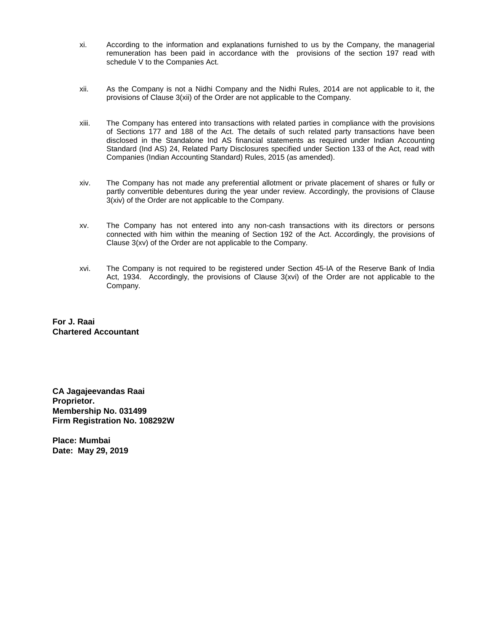- xi. According to the information and explanations furnished to us by the Company, the managerial remuneration has been paid in accordance with the provisions of the section 197 read with schedule V to the Companies Act.
- xii. As the Company is not a Nidhi Company and the Nidhi Rules, 2014 are not applicable to it, the provisions of Clause 3(xii) of the Order are not applicable to the Company.
- xiii. The Company has entered into transactions with related parties in compliance with the provisions of Sections 177 and 188 of the Act. The details of such related party transactions have been disclosed in the Standalone Ind AS financial statements as required under Indian Accounting Standard (Ind AS) 24, Related Party Disclosures specified under Section 133 of the Act, read with Companies (Indian Accounting Standard) Rules, 2015 (as amended).
- xiv. The Company has not made any preferential allotment or private placement of shares or fully or partly convertible debentures during the year under review. Accordingly, the provisions of Clause 3(xiv) of the Order are not applicable to the Company.
- xv. The Company has not entered into any non-cash transactions with its directors or persons connected with him within the meaning of Section 192 of the Act. Accordingly, the provisions of Clause 3(xv) of the Order are not applicable to the Company.
- xvi. The Company is not required to be registered under Section 45-IA of the Reserve Bank of India Act, 1934. Accordingly, the provisions of Clause 3(xvi) of the Order are not applicable to the Company.

**For J. Raai Chartered Accountant**

**CA Jagajeevandas Raai Proprietor. Membership No. 031499 Firm Registration No. 108292W**

**Place: Mumbai Date: May 29, 2019**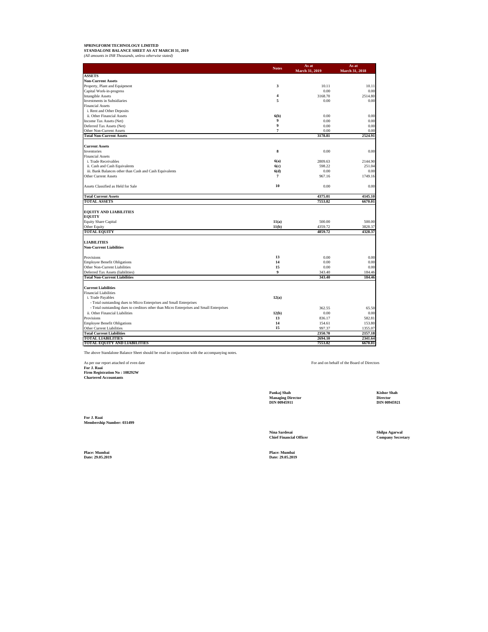# **SPRINGFORM TECHNOLOGY LIMITED STANDALONE BALANCE SHEET AS AT MARCH 31, 2019** *(All amounts in INR Thousands, unless otherwise stated)*

|                                                                                          | <b>Notes</b>            | As at              | As at              |
|------------------------------------------------------------------------------------------|-------------------------|--------------------|--------------------|
| <b>ASSETS</b>                                                                            |                         | March 31, 2019     | March 31, 2018     |
| <b>Non-Current Assets</b>                                                                |                         |                    |                    |
| Property, Plant and Equipment                                                            | 3                       | 10.11              | 10.11              |
| Capital Work-in-progress                                                                 |                         | 0.00               | 0.00               |
| <b>Intangible Assets</b>                                                                 | $\overline{\mathbf{4}}$ | 3168.70            | 2514.80            |
| <b>Investments in Subsidiaries</b>                                                       | 5                       | 0.00               | 0.00               |
| <b>Financial Assets</b>                                                                  |                         |                    |                    |
| i. Rent and Other Deposits                                                               |                         |                    |                    |
| ii. Other Financial Assets                                                               | 6(b)                    | 0.00               | 0.00               |
| Income Tax Assets (Net)                                                                  | 9                       | 0.00               | 0.00               |
| Deferred Tax Assets (Net)                                                                | $\overline{9}$          | 0.00               | 0.00               |
| Other Non-Current Assets                                                                 | $\overline{7}$          | 0.00               | 0.00               |
| <b>Total Non-Current Assets</b>                                                          |                         | 3178.81            | 2524.91            |
|                                                                                          |                         |                    |                    |
| <b>Current Assets</b>                                                                    |                         |                    |                    |
| Inventories                                                                              | 8                       | 0.00               | 0.00               |
| <b>Financial Assets</b>                                                                  |                         |                    |                    |
| i. Trade Receivables                                                                     | 6(a)                    | 2809.63            | 2144.90            |
| ii. Cash and Cash Equivalents                                                            | 6(c)                    | 598.22             | 251.04             |
| iii. Bank Balances other than Cash and Cash Equivalents                                  | 6(d)                    | 0.00               | 0.00               |
| <b>Other Current Assets</b>                                                              | $\overline{7}$          | 967.16             | 1749.16            |
| Assets Classified as Held for Sale                                                       | 10                      | 0.00               | 0.00               |
| <b>Total Current Assets</b>                                                              |                         | 4375.01            | 4145.10            |
| <b>TOTAL ASSETS</b>                                                                      |                         | 7553.82            | 6670.01            |
|                                                                                          |                         |                    |                    |
| <b>EQUITY AND LIABILITIES</b>                                                            |                         |                    |                    |
| <b>EQUITY</b>                                                                            |                         |                    |                    |
| <b>Equity Share Capital</b>                                                              | 11(a)                   | 500.00             | 500.00             |
| Other Equity                                                                             | 11(b)                   | 4359.72            | 3828.37            |
| <b>TOTAL EQUITY</b>                                                                      |                         | 4859.72            | 4328.37            |
| <b>LIABILITIES</b>                                                                       |                         |                    |                    |
| <b>Non-Current Liabilities</b>                                                           |                         |                    |                    |
|                                                                                          |                         |                    |                    |
| Provisions                                                                               | 13                      | 0.00               | 0.00               |
| <b>Employee Benefit Obligations</b>                                                      | 14                      | 0.00               | 0.00               |
| Other Non-Current Liabilities                                                            | 15                      | 0.00               | 0.00               |
| Deferred Tax Assets (liabilities)                                                        | 9                       | 343.40             | 184.46             |
| <b>Total Non-Current Liabilities</b>                                                     |                         | 343.40             | 184.46             |
| <b>Current Liabilities</b>                                                               |                         |                    |                    |
| <b>Financial Liabilities</b>                                                             |                         |                    |                    |
| i. Trade Payables                                                                        | 12(a)                   |                    |                    |
| - Total outstanding dues to Micro Enterprises and Small Enterprises                      |                         |                    |                    |
| - Total outstanding dues to creditors other than Micro Enterprises and Small Enterprises |                         | 362.55             | 65.50              |
| ii. Other Financial Liabilities                                                          | 12(b)                   | 0.00               | 0.00               |
|                                                                                          | 13                      |                    |                    |
| Provisions                                                                               | 14                      | 836.17             | 582.81             |
| <b>Employee Benefit Obligations</b>                                                      |                         | 154.61             | 153.80             |
| Other Current Liabilities                                                                | 15                      | 997.37             | 1355.07            |
| <b>Total Current Liabilities</b>                                                         |                         | 2350.70            | 2157.18            |
| <b>TOTAL LIABILITIES</b><br>TOTAL EQUITY AND LIABILITIES                                 |                         | 2694.10<br>7553.82 | 2341.64<br>6670.01 |

The above Standalone Balance Sheet should be read in conjunction with the accompanying notes.

As per our report attached of even date **For J. Raai Firm Registration No : 108292W Chartered Accountants**

For and on behalf of the Board of Directors

**Pankaj Shah Kishor Shah Managing Director Director DIN 00945911 DIN 00945921**

**For J. Raai Membership Number: 031499**

**Nina Sardesai Shilpa Agarwal Chief Financial Officer Company Secretary**

**Place: Mumbai Place: Mumbai Date: 29.05.2019 Date: 29.05.2019**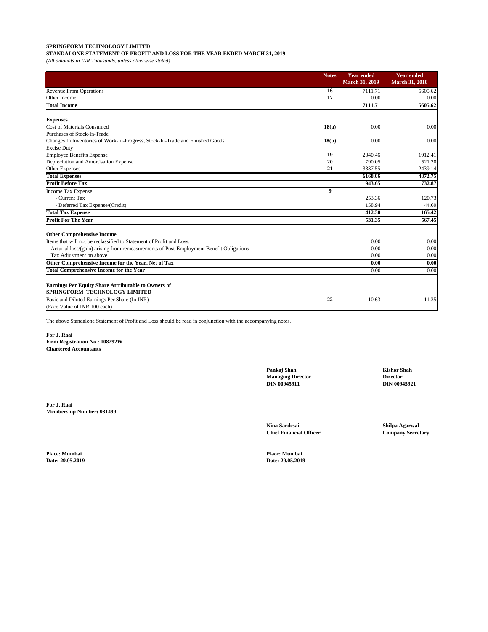**STANDALONE STATEMENT OF PROFIT AND LOSS FOR THE YEAR ENDED MARCH 31, 2019**

*(All amounts in INR Thousands, unless otherwise stated)*

|                                                                                                    | <b>Notes</b> | <b>Year ended</b><br><b>March 31, 2019</b> | <b>Year ended</b><br><b>March 31, 2018</b> |
|----------------------------------------------------------------------------------------------------|--------------|--------------------------------------------|--------------------------------------------|
| <b>Revenue From Operations</b>                                                                     | 16           | 7111.71                                    | 5605.62                                    |
| Other Income                                                                                       | 17           | 0.00                                       | 0.00                                       |
| <b>Total Income</b>                                                                                |              | 7111.71                                    | 5605.62                                    |
| <b>Expenses</b>                                                                                    |              |                                            |                                            |
| <b>Cost of Materials Consumed</b>                                                                  | 18(a)        | 0.00                                       | 0.00                                       |
| Purchases of Stock-In-Trade                                                                        |              |                                            |                                            |
| Changes In Inventories of Work-In-Progress, Stock-In-Trade and Finished Goods                      | 18(b)        | 0.00                                       | 0.00                                       |
| <b>Excise Duty</b>                                                                                 |              |                                            |                                            |
| <b>Employee Benefits Expense</b>                                                                   | 19           | 2040.46                                    | 1912.41                                    |
| Depreciation and Amortisation Expense                                                              | 20           | 790.05                                     | 521.20                                     |
| <b>Other Expenses</b>                                                                              | 21           | 3337.55                                    | 2439.14                                    |
| <b>Total Expenses</b>                                                                              |              | 6168.06                                    | 4872.75                                    |
| <b>Profit Before Tax</b>                                                                           |              | 943.65                                     | 732.87                                     |
| <b>Income Tax Expense</b>                                                                          | 9            |                                            |                                            |
| - Current Tax                                                                                      |              | 253.36                                     | 120.73                                     |
| - Deferred Tax Expense/(Credit)                                                                    |              | 158.94                                     | 44.69                                      |
| <b>Total Tax Expense</b>                                                                           |              | 412.30                                     | 165.42                                     |
| <b>Profit For The Year</b>                                                                         |              | 531.35                                     | 567.45                                     |
| <b>Other Comprehensive Income</b>                                                                  |              |                                            |                                            |
| Items that will not be reclassified to Statement of Profit and Loss:                               |              | 0.00                                       | 0.00                                       |
| Acturial loss/(gain) arising from remeasurements of Post-Employment Benefit Obligations            |              | 0.00                                       | 0.00                                       |
| Tax Adjustment on above                                                                            |              | 0.00                                       | 0.00                                       |
| Other Comprehensive Income for the Year, Net of Tax                                                |              | 0.00                                       | 0.00                                       |
| <b>Total Comprehensive Income for the Year</b>                                                     |              | 0.00                                       | 0.00                                       |
| <b>Earnings Per Equity Share Attributable to Owners of</b><br><b>SPRINGFORM TECHNOLOGY LIMITED</b> |              |                                            |                                            |
| Basic and Diluted Earnings Per Share (In INR)                                                      | 22           | 10.63                                      | 11.35                                      |
| (Face Value of INR 100 each)                                                                       |              |                                            |                                            |

The above Standalone Statement of Profit and Loss should be read in conjunction with the accompanying notes.

**For J. Raai Firm Registration No : 108292W Chartered Accountants**

**For J. Raai Membership Number: 031499** **Pankaj Shah Kishor Shah Managing Director Director DIN 00945911 DIN 00945921**

**Nina Sardesai Shilpa Agarwal**

**Date: 29.05.2019 Date: 29.05.2019**

**Place: Mumbai Place: Mumbai**

**Chief Financial Officer Company Secretary**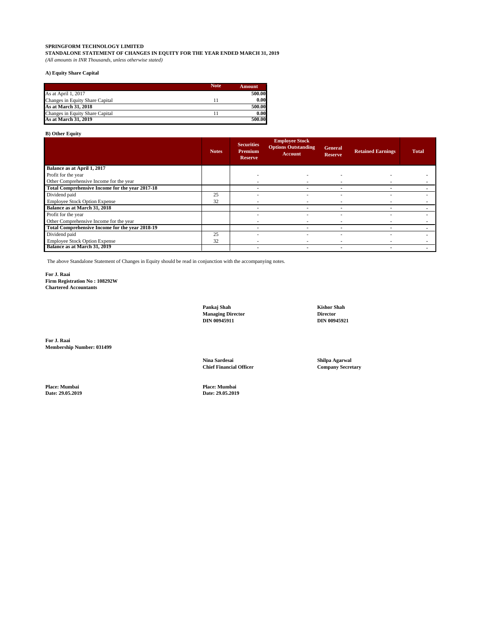**STANDALONE STATEMENT OF CHANGES IN EQUITY FOR THE YEAR ENDED MARCH 31, 2019** *(All amounts in INR Thousands, unless otherwise stated)*

#### **A) Equity Share Capital**

|                                 | <b>Note</b> | Amount |
|---------------------------------|-------------|--------|
| As at April 1, 2017             |             | 500.00 |
| Changes in Equity Share Capital |             | 0.00   |
| As at March 31, 2018            |             | 500.00 |
| Changes in Equity Share Capital |             | 0.00   |
| As at March 31, 2019            |             | 500.00 |

### **B) Other Equity**

|                                                 | <b>Notes</b> | <b>Securities</b><br><b>Premium</b><br><b>Reserve</b> | <b>Employee Stock</b><br><b>Options Outstanding</b><br><b>Account</b> | <b>General</b><br><b>Reserve</b> | <b>Retained Earnings</b> | <b>Total</b> |
|-------------------------------------------------|--------------|-------------------------------------------------------|-----------------------------------------------------------------------|----------------------------------|--------------------------|--------------|
| Balance as at April 1, 2017                     |              |                                                       |                                                                       |                                  |                          |              |
| Profit for the year                             |              |                                                       |                                                                       |                                  |                          |              |
| Other Comprehensive Income for the year         |              |                                                       |                                                                       |                                  |                          |              |
| Total Comprehensive Income for the year 2017-18 |              |                                                       |                                                                       |                                  |                          |              |
| Dividend paid                                   | 25           |                                                       |                                                                       |                                  |                          |              |
| <b>Employee Stock Option Expense</b>            | 32           |                                                       |                                                                       |                                  |                          |              |
| Balance as at March 31, 2018                    |              |                                                       |                                                                       |                                  |                          |              |
| Profit for the year                             |              |                                                       |                                                                       |                                  |                          |              |
| Other Comprehensive Income for the year         |              |                                                       |                                                                       |                                  |                          |              |
| Total Comprehensive Income for the year 2018-19 |              |                                                       |                                                                       |                                  |                          |              |
| Dividend paid                                   | 25           |                                                       |                                                                       |                                  |                          |              |
| <b>Employee Stock Option Expense</b>            | 32           |                                                       |                                                                       |                                  |                          |              |
| Balance as at March 31, 2019                    |              |                                                       |                                                                       |                                  |                          |              |

The above Standalone Statement of Changes in Equity should be read in conjunction with the accompanying notes.

**For J. Raai Firm Registration No : 108292W Chartered Accountants**

> **Pankaj Shah Kishor Shah Managing Director Director DIN 00945911 DIN 00945921**

**For J. Raai Membership Number: 031499**

> **Nina Sardesai Shilpa Agarwal Chief Financial Officer**

**Place: Mumbai Place: Mumbai**

**Date: 29.05.2019 Date: 29.05.2019**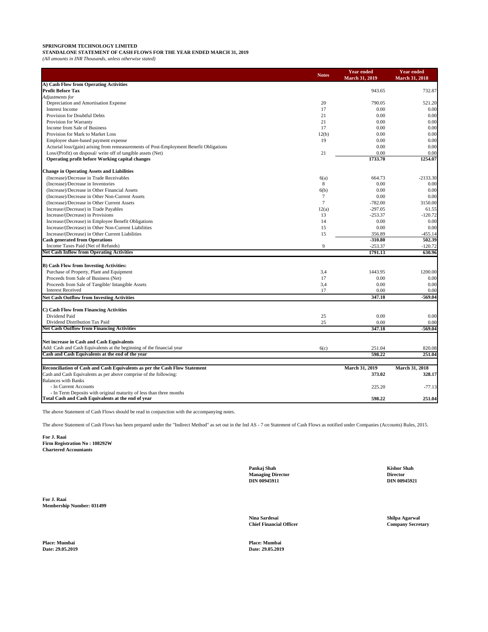**STANDALONE STATEMENT OF CASH FLOWS FOR THE YEAR ENDED MARCH 31, 2019**

*(All amounts in INR Thousands, unless otherwise stated)*

|                                                                                         | <b>Notes</b> | <b>Year ended</b><br><b>March 31, 2019</b> | <b>Year ended</b><br><b>March 31, 2018</b> |
|-----------------------------------------------------------------------------------------|--------------|--------------------------------------------|--------------------------------------------|
| A) Cash Flow from Operating Activities                                                  |              |                                            |                                            |
| <b>Profit Before Tax</b>                                                                |              | 943.65                                     | 732.87                                     |
| Adjustments for                                                                         |              |                                            |                                            |
| Depreciation and Amortisation Expense                                                   | 20           | 790.05                                     | 521.20                                     |
| <b>Interest Income</b>                                                                  | 17           | 0.00                                       | 0.00                                       |
| Provision for Doubtful Debts                                                            | 21           | 0.00                                       | 0.00                                       |
| Provision for Warranty                                                                  | 21           | 0.00                                       | 0.00                                       |
| Income from Sale of Business                                                            | 17           | 0.00                                       | 0.00                                       |
| Provision for Mark to Market Loss                                                       | 12(b)        | 0.00                                       | 0.00                                       |
| Employee share-based payment expense                                                    | 19           | 0.00                                       | 0.00                                       |
| Acturial loss/(gain) arising from remeasurements of Post-Employment Benefit Obligations |              | 0.00                                       | 0.00                                       |
| Loss/(Profit) on disposal/ write off of tangible assets (Net)                           | 21           | 0.00                                       | 0.00                                       |
| Operating profit before Working capital changes                                         |              | 1733.70                                    | 1254.07                                    |
|                                                                                         |              |                                            |                                            |
| <b>Change in Operating Assets and Liabilities</b>                                       |              |                                            |                                            |
| (Increase)/Decrease in Trade Receivables                                                | 6(a)         | 664.73                                     | $-2133.30$                                 |
| (Increase)/Decrease in Inventories                                                      | 8            | 0.00                                       | 0.00                                       |
| (Increase)/Decrease in Other Financial Assets                                           | 6(b)         | 0.00                                       | 0.00                                       |
| (Increase)/Decrease in Other Non-Current Assets                                         | $\tau$       | 0.00                                       | 0.00                                       |
| (Increase)/Decrease in Other Current Assets                                             | 7            | $-782.00$                                  | 3150.00                                    |
| Increase/(Decrease) in Trade Payables                                                   | 12(a)        | $-297.05$                                  | 61.55                                      |
| Increase/(Decrease) in Provisions                                                       | 13           | $-253.37$                                  | $-120.72$                                  |
| Increase/(Decrease) in Employee Benefit Obligations                                     | 14           | 0.00                                       | 0.00                                       |
| Increase/(Decrease) in Other Non-Current Liabilities                                    | 15           | 0.00                                       | 0.00                                       |
| Increase/(Decrease) in Other Current Liabilities                                        | 15           | 356.89                                     | -455.14                                    |
| Cash generated from Operations                                                          |              | $-310.80$                                  | 502.39                                     |
| Income Taxes Paid (Net of Refunds)                                                      | 9            | $-253.37$                                  | $-120.72$                                  |
| Net Cash Inflow from Operating Activities                                               |              | 1791.13                                    | 630.96                                     |
|                                                                                         |              |                                            |                                            |
| <b>B) Cash Flow from Investing Activities:</b>                                          |              |                                            |                                            |
| Purchase of Property, Plant and Equipment                                               | 3,4          | 1443.95                                    | 1200.00                                    |
| Proceeds from Sale of Business (Net)                                                    | 17           | 0.00                                       | 0.00                                       |
| Proceeds from Sale of Tangible/ Intangible Assets                                       | 3,4          | 0.00                                       | 0.00                                       |
| <b>Interest Received</b>                                                                | 17           | 0.00                                       | 0.00                                       |
| <b>Net Cash Outflow from Investing Activities</b>                                       |              | 347.18                                     | $-569.04$                                  |
| C) Cash Flow from Financing Activities                                                  |              |                                            |                                            |
| Dividend Paid                                                                           | 25           | 0.00                                       | 0.00                                       |
| Dividend Distribution Tax Paid                                                          | 25           | 0.00                                       | 0.00                                       |
| Net Cash Outflow from Financing Activities                                              |              | 347.18                                     | $-569.04$                                  |
|                                                                                         |              |                                            |                                            |
| Net increase in Cash and Cash Equivalents                                               |              |                                            |                                            |
| Add: Cash and Cash Equivalents at the beginning of the financial year                   | 6(c)         | 251.04                                     | 820.08                                     |
| Cash and Cash Equivalents at the end of the year                                        |              | 598.22                                     | 251.04                                     |
| Reconciliation of Cash and Cash Equivalents as per the Cash Flow Statement              |              | <b>March 31, 2019</b>                      | <b>March 31, 2018</b>                      |
|                                                                                         |              |                                            |                                            |
| Cash and Cash Equivalents as per above comprise of the following:                       |              | 373.02                                     | 328.17                                     |
| <b>Balances with Banks</b>                                                              |              |                                            |                                            |
| - In Current Accounts                                                                   |              | 225.20                                     | $-77.13$                                   |
| - In Term Deposits with original maturity of less than three months                     |              |                                            |                                            |
| Total Cash and Cash Equivalents at the end of year                                      |              | 598.22                                     | 251.04                                     |

The above Statement of Cash Flows should be read in conjunction with the accompanying notes.

The above Statement of Cash Flows has been prepared under the "Indirect Method" as set out in the Ind AS - 7 on Statement of Cash Flows as notified under Companies (Accounts) Rules, 2015.

**For J. Raai Firm Registration No : 108292W Chartered Accountants**

**For J. Raai Membership Number: 031499** Pankaj Shah **Managing Director**<br>
1999 - Director DIN 00945911<br>
1999 - DIN 00945911 **Managing Director Director DIN 00945911 DIN 00945921**

**Nina Sardesai Shilpa Agarwal Chief Financial Officer** 

**Date: 29.05.2019 Date: 29.05.2019**

**Place: Mumbai Place: Mumbai**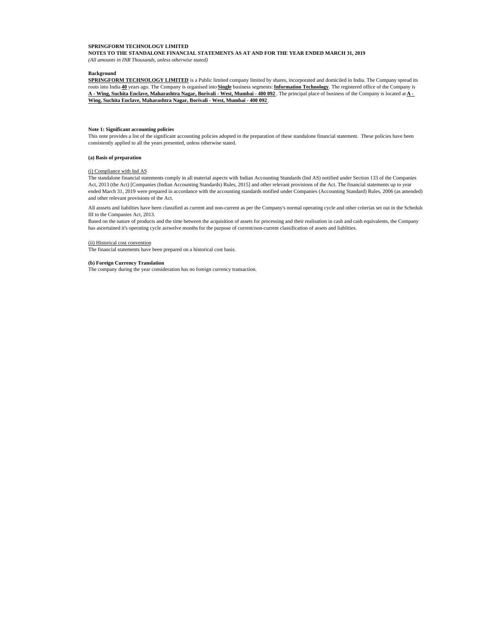**NOTES TO THE STANDALONE FINANCIAL STATEMENTS AS AT AND FOR THE YEAR ENDED MARCH 31, 2019** *(All amounts in INR Thousands, unless otherwise stated)*

#### **Background**

**SPRINGFORM TECHNOLOGY LIMITED** is a Public limited company limited by shares, incorporated and domiciled in India. The Company spread its roots into India **40** years ago. The Company is organised into **Single** business segments:**Information Technology**. The registered office of the Company is **A - Wing, Suchita Enclave, Maharashtra Nagar, Borivali - West, Mumbai - 400 092** . The principal place of business of the Company is located at **A - Wing, Suchita Enclave, Maharashtra Nagar, Borivali - West, Mumbai - 400 092** .

#### **Note 1: Significant accounting policies**

This note provides a list of the significant accounting policies adopted in the preparation of these standalone financial statement. These policies have been consistently applied to all the years presented, unless otherwise stated.

#### **(a) Basis of preparation**

#### (i) Compliance with Ind AS

The standalone financial statements comply in all material aspects with Indian Accounting Standards (Ind AS) notified under Section 133 of the Companies Act, 2013 (the Act) [Companies (Indian Accounting Standards) Rules, 2015] and other relevant provisions of the Act. The financial statements up to year ended March 31, 2019 were prepared in accordance with the accounting standards notified under Companies (Accounting Standard) Rules, 2006 (as amended) and other relevant provisions of the Act.

All asssets and liabilties have been classified as current and non-current as per the Company's normal operating cycle and other criterias set out in the Schedule III to the Companies Act, 2013.

Based on the nature of products and the time between the acquisition of assets for processing and their realisation in cash and cash equivalents, the Company has ascertained it's operating cycle astwelve months for the purpose of current/non-current classification of assets and liablities.

#### (ii) Historical cost convention

The financial statements have been prepared on a historical cost basis.

#### **(b) Foreign Currency Translation**

The company during the year consideration has no foreign currency transaction.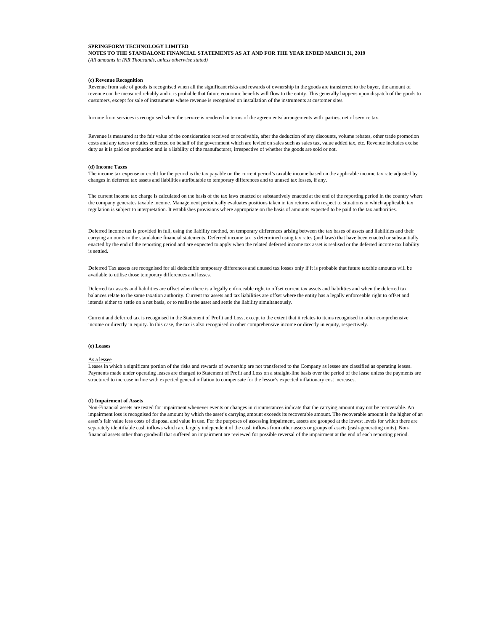**NOTES TO THE STANDALONE FINANCIAL STATEMENTS AS AT AND FOR THE YEAR ENDED MARCH 31, 2019** *(All amounts in INR Thousands, unless otherwise stated)*

#### **(c) Revenue Recognition**

Revenue from sale of goods is recognised when all the significant risks and rewards of ownership in the goods are transferred to the buyer, the amount of revenue can be measured reliably and it is probable that future economic benefits will flow to the entity. This generally happens upon dispatch of the goods to customers, except for sale of instruments where revenue is recognised on installation of the instruments at customer sites.

Income from services is recognised when the service is rendered in terms of the agreements/ arrangements with parties, net of service tax.

Revenue is measured at the fair value of the consideration received or receivable, after the deduction of any discounts, volume rebates, other trade promotion costs and any taxes or duties collected on behalf of the government which are levied on sales such as sales tax, value added tax, etc. Revenue includes excise duty as it is paid on production and is a liability of the manufacturer, irrespective of whether the goods are sold or not.

#### **(d) Income Taxes**

The income tax expense or credit for the period is the tax payable on the current period's taxable income based on the applicable income tax rate adjusted by changes in deferred tax assets and liabilities attributable to temporary differences and to unused tax losses, if any.

The current income tax charge is calculated on the basis of the tax laws enacted or substantively enacted at the end of the reporting period in the country where the company generates taxable income. Management periodically evaluates positions taken in tax returns with respect to situations in which applicable tax regulation is subject to interpretation. It establishes provisions where appropriate on the basis of amounts expected to be paid to the tax authorities.

Deferred income tax is provided in full, using the liability method, on temporary differences arising between the tax bases of assets and liabilities and their carrying amounts in the standalone financial statements. Deferred income tax is determined using tax rates (and laws) that have been enacted or substantially enacted by the end of the reporting period and are expected to apply when the related deferred income tax asset is realised or the deferred income tax liability is settled.

Deferred Tax assets are recognised for all deductible temporary differences and unused tax losses only if it is probable that future taxable amounts will be available to utilise those temporary differences and losses.

Deferred tax assets and liabilities are offset when there is a legally enforceable right to offset current tax assets and liabilities and when the deferred tax balances relate to the same taxation authority. Current tax assets and tax liabilities are offset where the entity has a legally enforceable right to offset and intends either to settle on a net basis, or to realise the asset and settle the liability simultaneously.

Current and deferred tax is recognised in the Statement of Profit and Loss, except to the extent that it relates to items recognised in other comprehensive income or directly in equity. In this case, the tax is also recognised in other comprehensive income or directly in equity, respectively.

#### **(e) Leases**

#### As a lessee

Leases in which a significant portion of the risks and rewards of ownership are not transferred to the Company as lessee are classified as operating leases. Payments made under operating leases are charged to Statement of Profit and Loss on a straight-line basis over the period of the lease unless the payments are structured to increase in line with expected general inflation to compensate for the lessor's expected inflationary cost increases.

#### **(f) Impairment of Assets**

Non-Financial assets are tested for impairment whenever events or changes in circumstances indicate that the carrying amount may not be recoverable. An impairment loss is recognised for the amount by which the asset's carrying amount exceeds its recoverable amount. The recoverable amount is the higher of an asset's fair value less costs of disposal and value in use. For the purposes of assessing impairment, assets are grouped at the lowest levels for which there are separately identifiable cash inflows which are largely independent of the cash inflows from other assets or groups of assets (cash-generating units). Nonfinancial assets other than goodwill that suffered an impairment are reviewed for possible reversal of the impairment at the end of each reporting period.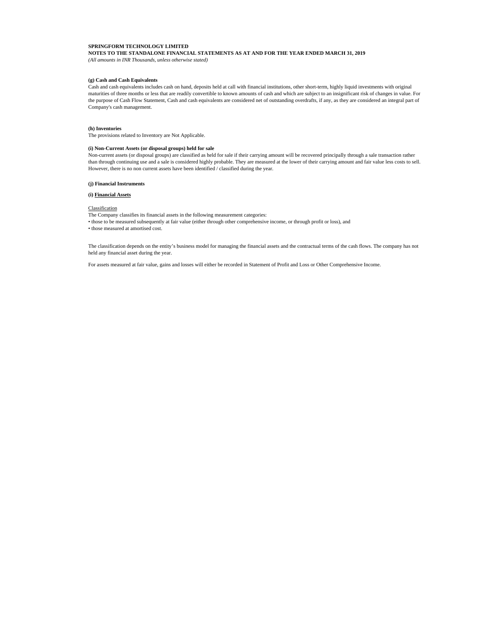**NOTES TO THE STANDALONE FINANCIAL STATEMENTS AS AT AND FOR THE YEAR ENDED MARCH 31, 2019** *(All amounts in INR Thousands, unless otherwise stated)*

#### **(g) Cash and Cash Equivalents**

Cash and cash equivalents includes cash on hand, deposits held at call with financial institutions, other short-term, highly liquid investments with original maturities of three months or less that are readily convertible to known amounts of cash and which are subject to an insignificant risk of changes in value. For the purpose of Cash Flow Statement, Cash and cash equivalents are considered net of outstanding overdrafts, if any, as they are considered an integral part of Company's cash management.

#### **(h) Inventories**

The provisions related to Inventory are Not Applicable.

#### **(i) Non-Current Assets (or disposal groups) held for sale**

Non-current assets (or disposal groups) are classified as held for sale if their carrying amount will be recovered principally through a sale transaction rather than through continuing use and a sale is considered highly probable. They are measured at the lower of their carrying amount and fair value less costs to sell. However, there is no non current assets have been identified / classified during the year.

#### **(j) Financial Instruments**

**(i) Financial Assets**

#### **Classification**

The Company classifies its financial assets in the following measurement categories:

• those to be measured subsequently at fair value (either through other comprehensive income, or through profit or loss), and

• those measured at amortised cost.

The classification depends on the entity's business model for managing the financial assets and the contractual terms of the cash flows. The company has not held any financial asset during the year.

For assets measured at fair value, gains and losses will either be recorded in Statement of Profit and Loss or Other Comprehensive Income.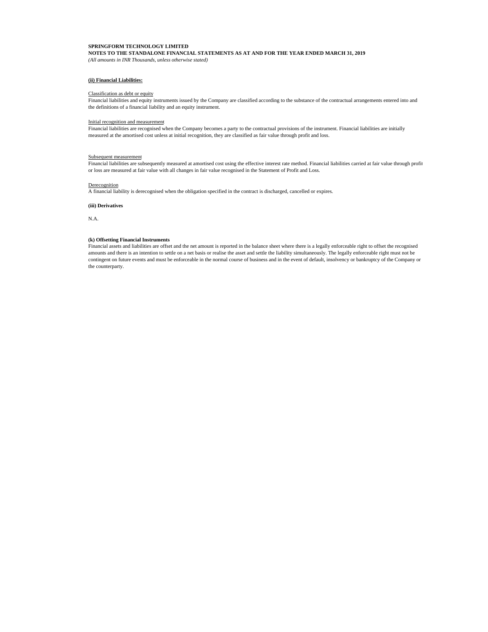**NOTES TO THE STANDALONE FINANCIAL STATEMENTS AS AT AND FOR THE YEAR ENDED MARCH 31, 2019** *(All amounts in INR Thousands, unless otherwise stated)*

#### **(ii) Financial Liabilities:**

#### Classification as debt or equity

Financial liabilities and equity instruments issued by the Company are classified according to the substance of the contractual arrangements entered into and the definitions of a financial liability and an equity instrument.

#### Initial recognition and measurement

Financial liabilities are recognised when the Company becomes a party to the contractual provisions of the instrument. Financial liabilities are initially measured at the amortised cost unless at initial recognition, they are classified as fair value through profit and loss.

#### Subsequent measurement

Financial liabilities are subsequently measured at amortised cost using the effective interest rate method. Financial liabilities carried at fair value through profit or loss are measured at fair value with all changes in fair value recognised in the Statement of Profit and Loss.

#### Derecognition

A financial liability is derecognised when the obligation specified in the contract is discharged, cancelled or expires.

**(iii) Derivatives**

N.A.

#### **(k) Offsetting Financial Instruments**

Financial assets and liabilities are offset and the net amount is reported in the balance sheet where there is a legally enforceable right to offset the recognised amounts and there is an intention to settle on a net basis or realise the asset and settle the liability simultaneously. The legally enforceable right must not be contingent on future events and must be enforceable in the normal course of business and in the event of default, insolvency or bankruptcy of the Company or the counterparty.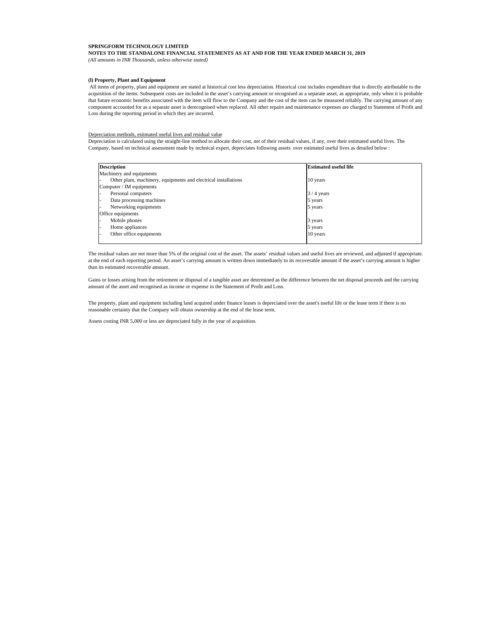#### **NOTES TO THE STANDALONE FINANCIAL STATEMENTS AS AT AND FOR THE YEAR ENDED MARCH 31, 2019** *(All amounts in INR Thousands, unless otherwise stated)*

#### **(l) Property, Plant and Equipment**

 All items of property, plant and equipment are stated at historical cost less depreciation. Historical cost includes expenditure that is directly attributable to the acquisition of the items. Subsequent costs are included in the asset's carrying amount or recognised as a separate asset, as appropriate, only when it is probable that future economic benefits associated with the item will flow to the Company and the cost of the item can be measured reliably. The carrying amount of any component accounted for as a separate asset is derecognised when replaced. All other repairs and maintenance expenses are charged to Statement of Profit and Loss during the reporting period in which they are incurred.

#### Depreciation methods, estimated useful lives and residual value

Depreciation is calculated using the straight-line method to allocate their cost, net of their residual values, if any, over their estimated useful lives. The Company, based on technical assessment made by technical expert, depreciates following assets over estimated useful lives as detailed below :

| <b>Description</b>                                              | <b>Estimated useful life</b> |
|-----------------------------------------------------------------|------------------------------|
| Machinery and equipments                                        |                              |
| Other plant, machinery, equipments and electrical installations | 10 years                     |
| Computer / IM equipments                                        |                              |
| Personal computers                                              | $3/4$ years                  |
| Data processing machines                                        | 5 years                      |
| Networking equipments                                           | 5 years                      |
| Office equipments                                               |                              |
| Mobile phones                                                   | 3 years                      |
| Home appliances                                                 | 5 years                      |
| Other office equipments                                         | 10 years                     |
|                                                                 |                              |

The residual values are not more than 5% of the original cost of the asset. The assets' residual values and useful lives are reviewed, and adjusted if appropriate, at the end of each reporting period. An asset's carrying amount is written down immediately to its recoverable amount if the asset's carrying amount is higher than its estimated recoverable amount.

Gains or losses arising from the retirement or disposal of a tangible asset are determined as the difference between the net disposal proceeds and the carrying amount of the asset and recognised as income or expense in the Statement of Profit and Loss.

The property, plant and equipment including land acquired under finance leases is depreciated over the asset's useful life or the lease term if there is no reasonable certainty that the Company will obtain ownership at the end of the lease term.

Assets costing INR 5,000 or less are depreciated fully in the year of acquisition.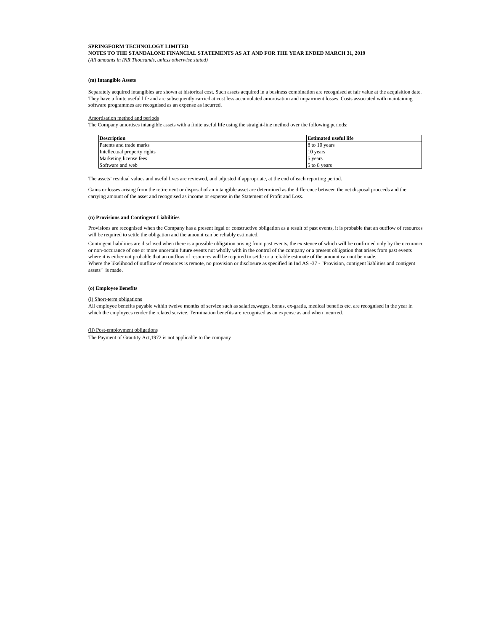**NOTES TO THE STANDALONE FINANCIAL STATEMENTS AS AT AND FOR THE YEAR ENDED MARCH 31, 2019** *(All amounts in INR Thousands, unless otherwise stated)*

#### **(m) Intangible Assets**

Separately acquired intangibles are shown at historical cost. Such assets acquired in a business combination are recognised at fair value at the acquisition date. They have a finite useful life and are subsequently carried at cost less accumulated amortisation and impairment losses. Costs associated with maintaining software programmes are recognised as an expense as incurred.

#### Amortisation method and periods

The Company amortises intangible assets with a finite useful life using the straight-line method over the following periods:

| <b>Description</b>           | <b>Estimated useful life</b> |
|------------------------------|------------------------------|
| Patents and trade marks      | 8 to 10 years                |
| Intellectual property rights | 10 years                     |
| Marketing license fees       | 5 years                      |
| Software and web             | 5 to 8 years                 |

The assets' residual values and useful lives are reviewed, and adjusted if appropriate, at the end of each reporting period.

Gains or losses arising from the retirement or disposal of an intangible asset are determined as the difference between the net disposal proceeds and the carrying amount of the asset and recognised as income or expense in the Statement of Profit and Loss.

#### **(n) Provisions and Contingent Liabilities**

Provisions are recognised when the Company has a present legal or constructive obligation as a result of past events, it is probable that an outflow of resources will be required to settle the obligation and the amount can be reliably estimated.

Contingent liabilities are disclosed when there is a possible obligation arising from past events, the existence of which will be confirmed only by the occurance or non-occurance of one or more uncertain future events not wholly with in the control of the company or a present obligation that arises from past events where it is either not probable that an outflow of resources will be required to settle or a reliable estimate of the amount can not be made. Where the likelihood of outflow of resources is remote, no provision or disclosure as specified in Ind AS -37 - "Provision, contigent liablities and contigent assets" is made.

#### **(o) Employee Benefits**

#### (i) Short-term obligations

All employee benefits payable within twelve months of service such as salaries,wages, bonus, ex-gratia, medical benefits etc. are recognised in the year in which the employees render the related service. Termination benefits are recognised as an expense as and when incurred.

#### (ii) Post-employment obligations

The Payment of Grautity Act,1972 is not applicable to the company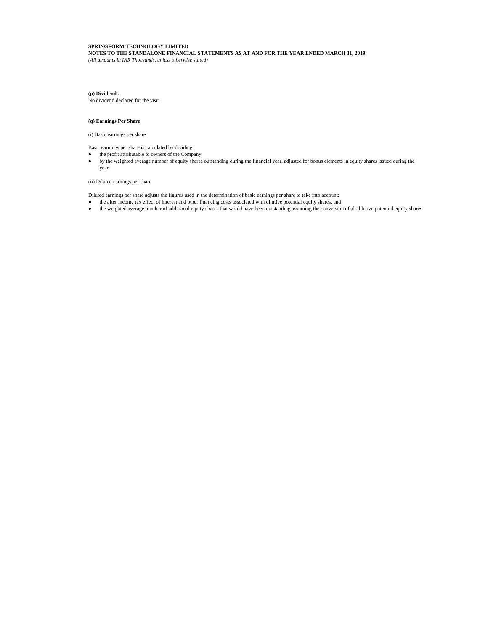**NOTES TO THE STANDALONE FINANCIAL STATEMENTS AS AT AND FOR THE YEAR ENDED MARCH 31, 2019** *(All amounts in INR Thousands, unless otherwise stated)*

### **(p) Dividends**

No dividend declared for the year

### **(q) Earnings Per Share**

(i) Basic earnings per share

Basic earnings per share is calculated by dividing:

the profit attributable to owners of the Company

by the weighted average number of equity shares outstanding during the financial year, adjusted for bonus elements in equity shares issued during the year

(ii) Diluted earnings per share

Diluted earnings per share adjusts the figures used in the determination of basic earnings per share to take into account: the after income tax effect of interest and other financing costs associated with dilutive potential equity shares, and the weighted average number of additional equity shares that would have been outstanding assuming the conversion of all dilutive potential equity shares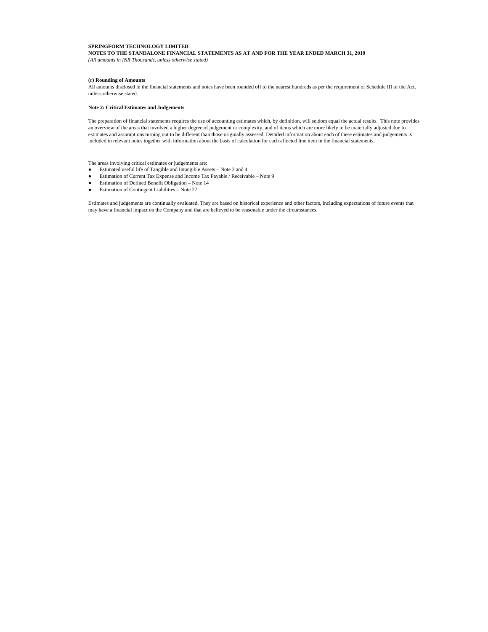**NOTES TO THE STANDALONE FINANCIAL STATEMENTS AS AT AND FOR THE YEAR ENDED MARCH 31, 2019** *(All amounts in INR Thousands, unless otherwise stated)*

#### **(r) Rounding of Amounts**

All amounts disclosed in the financial statements and notes have been rounded off to the nearest hundreds as per the requirement of Schedule III of the Act, unless otherwise stated.

#### **Note 2: Critical Estimates and Judgements**

The preparation of financial statements requires the use of accounting estimates which, by definition, will seldom equal the actual results. This note provides an overview of the areas that involved a higher degree of judgement or complexity, and of items which are more likely to be materially adjusted due to estimates and assumptions turning out to be different than those originally assessed. Detailed information about each of these estimates and judgements is included in relevant notes together with information about the basis of calculation for each affected line item in the financial statements.

The areas involving critical estimates or judgements are:

Estimated useful life of Tangible and Intangible Assets – Note 3 and 4 Estimation of Current Tax Expense and Income Tax Payable / Receivable – Note 9 Estimation of Defined Benefit Obligation – Note 14 Estimation of Contingent Liabilities – Note 27

Estimates and judgements are continually evaluated. They are based on historical experience and other factors, including expectations of future events that may have a financial impact on the Company and that are believed to be reasonable under the circumstances.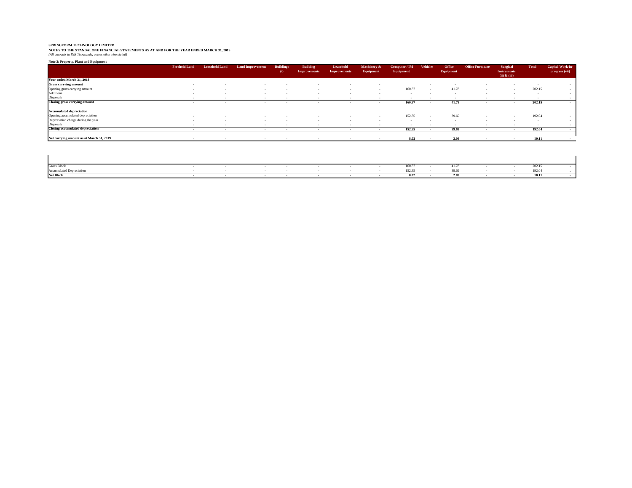**NOTES TO THE STANDALONE FINANCIAL STATEMENTS AS AT AND FOR THE YEAR ENDED MARCH 31, 2019** *(All amounts in INR Thousands, unless otherwise stated)*

| Note 3: Property, Plant and Equipment    |                      |                       |                         |                                                                                                                 |                                                                                                                 |                                  |                                     |                            |                 |                     |                         |                                                    |              |                                           |
|------------------------------------------|----------------------|-----------------------|-------------------------|-----------------------------------------------------------------------------------------------------------------|-----------------------------------------------------------------------------------------------------------------|----------------------------------|-------------------------------------|----------------------------|-----------------|---------------------|-------------------------|----------------------------------------------------|--------------|-------------------------------------------|
|                                          | <b>Freehold Land</b> | <b>Leasehold Land</b> | <b>Land Improvement</b> | <b>Buildings</b><br>(i)                                                                                         | <b>Building</b><br><b>Improvements</b>                                                                          | Leasehold<br><b>Improvements</b> | Machinery &<br>Equipment            | Computer / IM<br>Equipment | <b>Vehicles</b> | Office<br>Equipment | <b>Office Furniture</b> | Surgical<br><b>Instruments</b><br>$(ii)$ & $(iii)$ | <b>Total</b> | <b>Capital Work-in-</b><br>progress (vii) |
| Year ended March 31, 2018                |                      |                       |                         |                                                                                                                 |                                                                                                                 |                                  |                                     |                            |                 |                     |                         |                                                    |              |                                           |
| <b>Gross carrying amount</b>             | <b>1999</b>          |                       |                         |                                                                                                                 |                                                                                                                 | $\overline{\phantom{a}}$         |                                     |                            |                 |                     |                         |                                                    |              |                                           |
| Opening gross carrying amount            |                      |                       |                         |                                                                                                                 |                                                                                                                 | $\sim$                           |                                     | 160.37                     |                 | 41.78               |                         |                                                    | 202.15       |                                           |
| <b>Additions</b>                         |                      |                       |                         |                                                                                                                 |                                                                                                                 |                                  |                                     | $\sim$                     |                 |                     |                         |                                                    |              |                                           |
| Disposals                                |                      |                       |                         |                                                                                                                 |                                                                                                                 |                                  |                                     |                            |                 |                     |                         |                                                    |              |                                           |
| <b>Closing gross carrying amount</b>     |                      |                       |                         | the contract of the contract of the contract of the contract of the contract of the contract of the contract of |                                                                                                                 |                                  | the contract of the contract of the | 160.37                     |                 | 41.78               |                         |                                                    | 202.15       |                                           |
| <b>Accumulated depreciation</b>          |                      |                       |                         |                                                                                                                 |                                                                                                                 |                                  |                                     |                            |                 |                     |                         |                                                    |              |                                           |
| Opening accumulated depreciation         |                      |                       |                         |                                                                                                                 |                                                                                                                 |                                  |                                     | 152.35                     |                 | 39.69               |                         |                                                    | 192.04       |                                           |
| Depreciation charge during the year      | . .                  |                       |                         | $\sim$                                                                                                          |                                                                                                                 | $\sim$                           |                                     | . .                        |                 | $\sim$              | .                       |                                                    | $\sim$       |                                           |
| Disposals                                |                      |                       |                         |                                                                                                                 |                                                                                                                 |                                  |                                     |                            |                 |                     |                         |                                                    |              |                                           |
| <b>Closing accumulated depreciation</b>  |                      |                       |                         |                                                                                                                 | the contract of the contract of the contract of the contract of the contract of the contract of the contract of |                                  |                                     | 152.35                     |                 | 39.69               |                         |                                                    | 192.04       |                                           |
| Net carrying amount as at March 31, 2019 |                      |                       |                         |                                                                                                                 |                                                                                                                 |                                  |                                     | 8.02                       |                 | 2.09                |                         |                                                    | 10.11        |                                           |

| <b>Gross Block</b> |  |  |  |          |  |  | $\sim$ $\sim$ |  |
|--------------------|--|--|--|----------|--|--|---------------|--|
| Accu               |  |  |  | $\cdots$ |  |  |               |  |
| <b>Net Block</b>   |  |  |  | Q A      |  |  |               |  |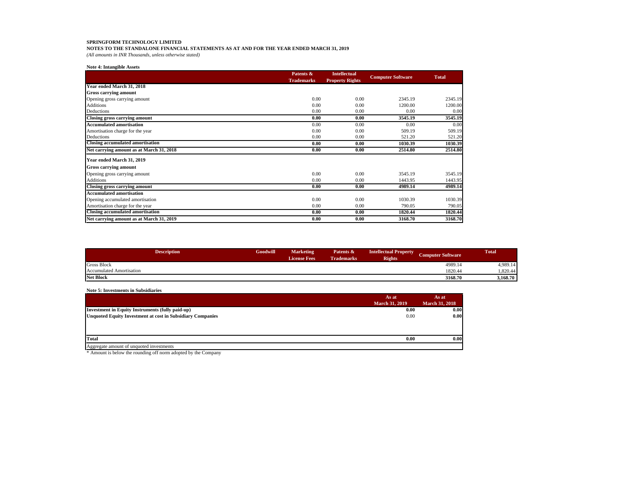**NOTES TO THE STANDALONE FINANCIAL STATEMENTS AS AT AND FOR THE YEAR ENDED MARCH 31, 2019**

*(All amounts in INR Thousands, unless otherwise stated)*

## **Note 4: Intangible Assets**

|                                          | Patents &         | <b>Intellectual</b>    | <b>Computer Software</b> |              |  |
|------------------------------------------|-------------------|------------------------|--------------------------|--------------|--|
|                                          | <b>Trademarks</b> | <b>Property Rights</b> |                          | <b>Total</b> |  |
| Year ended March 31, 2018                |                   |                        |                          |              |  |
| <b>Gross carrying amount</b>             |                   |                        |                          |              |  |
| Opening gross carrying amount            | 0.00              | 0.00                   | 2345.19                  | 2345.19      |  |
| Additions                                | 0.00              | 0.00                   | 1200.00                  | 1200.00      |  |
| Deductions                               | 0.00              | 0.00                   | 0.00                     | 0.00         |  |
| Closing gross carrying amount            | 0.00              | 0.00                   | 3545.19                  | 3545.19      |  |
| <b>Accumulated amortisation</b>          | 0.00              | 0.00                   | 0.00                     | 0.00         |  |
| Amortisation charge for the year         | 0.00              | 0.00                   | 509.19                   | 509.19       |  |
| Deductions                               | 0.00              | 0.00                   | 521.20                   | 521.20       |  |
| <b>Closing accumulated amortisation</b>  | 0.00              | 0.00                   | 1030.39                  | 1030.39      |  |
| Net carrying amount as at March 31, 2018 | 0.00              | 0.00                   | 2514.80                  | 2514.80      |  |
| Year ended March 31, 2019                |                   |                        |                          |              |  |
| <b>Gross carrying amount</b>             |                   |                        |                          |              |  |
| Opening gross carrying amount            | 0.00              | 0.00                   | 3545.19                  | 3545.19      |  |
| Additions                                | 0.00              | 0.00                   | 1443.95                  | 1443.95      |  |
| <b>Closing gross carrying amount</b>     | 0.00              | 0.00                   | 4989.14                  | 4989.14      |  |
| <b>Accumulated amortisation</b>          |                   |                        |                          |              |  |
| Opening accumulated amortisation         | 0.00              | 0.00                   | 1030.39                  | 1030.39      |  |
| Amortisation charge for the year         | 0.00              | 0.00                   | 790.05                   | 790.05       |  |
| <b>Closing accumulated amortisation</b>  | 0.00              | 0.00                   | 1820.44                  | 1820.44      |  |
| Net carrying amount as at March 31, 2019 | 0.00              | 0.00                   | 3168.70                  | 3168.70      |  |

| <b>Description</b>              | <b>Goodwill</b> | <b>Marketing</b><br><b>License Fees</b> | Patents &<br><b>Trademarks</b> | <b>Intellectual Property</b><br><b>Rights</b> | Computer Software | <b>Total</b> |
|---------------------------------|-----------------|-----------------------------------------|--------------------------------|-----------------------------------------------|-------------------|--------------|
| <b>Gross Block</b>              |                 |                                         |                                |                                               | 4989.14           | 4,989.14     |
| <b>Accumulated Amortisation</b> |                 |                                         |                                |                                               | 1820.44           | 1.820.44     |
| <b>Net Block</b>                |                 |                                         |                                |                                               | 3168.70           | 3,168.70     |

# **Note 5: Investments in Subsidiaries**

|                                                                   | As at                 | As at                 |
|-------------------------------------------------------------------|-----------------------|-----------------------|
|                                                                   | <b>March 31, 2019</b> | <b>March 31, 2018</b> |
| Investment in Equity Instruments (fully paid-up)                  | 0.00                  | 0.00                  |
| <b>Unquoted Equity Investment at cost in Subsidiary Companies</b> | 0.00                  | 0.00                  |
|                                                                   |                       |                       |
|                                                                   |                       |                       |
| Total                                                             | 0.00                  | 0.00                  |
|                                                                   |                       |                       |
| Aggregate amount of unquoted investments                          |                       |                       |

\* Amount is below the rounding off norm adopted by the Company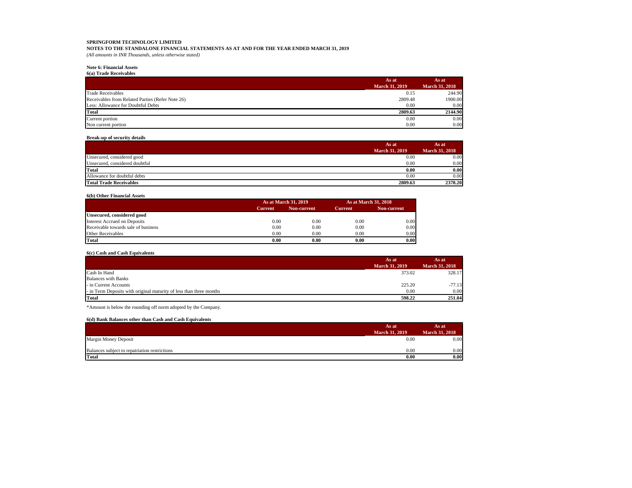**NOTES TO THE STANDALONE FINANCIAL STATEMENTS AS AT AND FOR THE YEAR ENDED MARCH 31, 2019** *(All amounts in INR Thousands, unless otherwise stated)*

## **Note 6: Financial Assets**

**6(a) Trade Receivables**

|                                                  | As at                 | As at                 |
|--------------------------------------------------|-----------------------|-----------------------|
|                                                  | <b>March 31, 2019</b> | <b>March 31, 2018</b> |
| <b>Trade Receivables</b>                         | 0.15                  | 244.90                |
| Receivables from Related Parties (Refer Note 26) | 2809.48               | 1900.00               |
| Less: Allowance for Doubtful Debts               | 0.00                  | 0.00                  |
| Total                                            | 2809.63               | 2144.90               |
| Current portion                                  | 0.00                  | 0.00                  |
| Non current portion                              | 0.00                  | 0.00                  |

## **Break-up of security details**

|                                | As at                 | As at.                |
|--------------------------------|-----------------------|-----------------------|
|                                | <b>March 31, 2019</b> | <b>March 31, 2018</b> |
| Unsecured, considered good     | 0.00                  | 0.00                  |
| Unsecured, considered doubtful | 0.00                  | 0.00                  |
| <b>Total</b>                   | 0.00                  | 0.00                  |
| Allowance for doubtful debts   | 0.00                  | 0.00                  |
| <b>Total Trade Receivables</b> | 2809.63               | 2378.20               |

#### **6(b) Other Financial Assets**

|                                     |                | As at March 31, 2019 |                |             |
|-------------------------------------|----------------|----------------------|----------------|-------------|
|                                     | <b>Current</b> | Non-current          | <b>Current</b> | Non-current |
| Unsecured, considered good          |                |                      |                |             |
| Interest Accrued on Deposits        | 0.00           | 0.00                 | 0.00           | 0.00        |
| Receivable towards sale of business | 0.00           | 0.00                 | 0.00           | 0.00        |
| <b>Other Receivables</b>            | 0.00           | 0.00                 | 0.00           | 0.00        |
| Total                               | 0.00           | 0.00                 | 0.00           | 0.00        |

# **6(c) Cash and Cash Equivalents**

|                                                                     | As at                 | As at                 |
|---------------------------------------------------------------------|-----------------------|-----------------------|
|                                                                     | <b>March 31, 2019</b> | <b>March 31, 2018</b> |
| Cash In Hand                                                        | 373.02                | 328.17                |
| <b>Balances with Banks</b>                                          |                       |                       |
| - in Current Accounts                                               | 225.20                | $-77.13$              |
| - in Term Deposits with original maturity of less than three months | 0.00                  | 0.00                  |
| Total                                                               | 598.22                | 251.04                |

\*Amount is below the rounding off norm adopted by the Company.

## **6(d) Bank Balances other than Cash and Cash Equivalents**

|                                               | As at                 | As at                 |
|-----------------------------------------------|-----------------------|-----------------------|
|                                               | <b>March 31, 2019</b> | <b>March 31, 2018</b> |
| Margin Money Deposit                          | 0.00                  | 0.00                  |
| Balances subject to repatriation restrictions | 0.00                  | 0.00                  |
| <b>Total</b>                                  | 0.00                  | 0.00                  |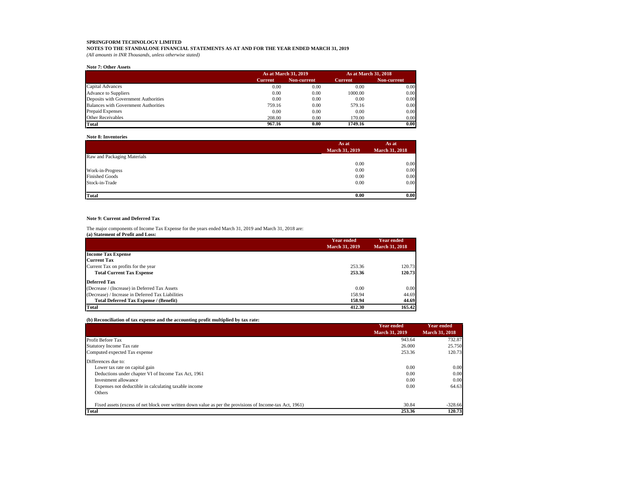**NOTES TO THE STANDALONE FINANCIAL STATEMENTS AS AT AND FOR THE YEAR ENDED MARCH 31, 2019** *(All amounts in INR Thousands, unless otherwise stated)*

#### **Note 7: Other Assets**

|                                             |                | As at March 31, 2019 |                | As at March 31, 2018 |
|---------------------------------------------|----------------|----------------------|----------------|----------------------|
|                                             | <b>Current</b> | Non-current          | <b>Current</b> | Non-current          |
| Capital Advances                            | 0.00           | 0.00                 | 0.00           | 0.00                 |
| <b>Advance to Suppliers</b>                 | 0.00           | 0.00                 | 1000.00        | 0.00                 |
| Deposits with Government Authorities        | 0.00           | 0.00                 | 0.00           | 0.00                 |
| <b>Balances with Government Authorities</b> | 759.16         | 0.00                 | 579.16         | 0.00                 |
| <b>Prepaid Expenses</b>                     | 0.00           | 0.00                 | 0.00           | 0.00                 |
| Other Receivables                           | 208.00         | 0.00                 | 170.00         | 0.00                 |
| Total                                       | 967.16         | 0.00                 | 1749.16        | 0.00                 |

## **Note 8: Inventories**

|                             | As at                 | As at                 |  |
|-----------------------------|-----------------------|-----------------------|--|
|                             | <b>March 31, 2019</b> | <b>March 31, 2018</b> |  |
| Raw and Packaging Materials |                       |                       |  |
|                             | 0.00                  | 0.00                  |  |
| Work-in-Progress            | 0.00                  | 0.00                  |  |
| <b>Finished Goods</b>       | 0.00                  | 0.00                  |  |
| Stock-in-Trade              | 0.00                  | 0.00                  |  |
|                             |                       |                       |  |
| Total                       | 0.00                  | 0.00                  |  |

# **Note 9: Current and Deferred Tax**

The major components of Income Tax Expense for the years ended March 31, 2019 and March 31, 2018 are:

|  | (a) Statement of Profit and Loss: |  |  |
|--|-----------------------------------|--|--|
|--|-----------------------------------|--|--|

|                                                   | <b>Year ended</b>     | <b>Year ended</b>     |
|---------------------------------------------------|-----------------------|-----------------------|
|                                                   | <b>March 31, 2019</b> | <b>March 31, 2018</b> |
| <b>Income Tax Expense</b>                         |                       |                       |
| <b>Current Tax</b>                                |                       |                       |
| Current Tax on profits for the year               | 253.36                | 120.73                |
| <b>Total Current Tax Expense</b>                  | 253.36                | 120.73                |
| <b>Deferred Tax</b>                               |                       |                       |
| (Decrease / (Increase) in Deferred Tax Assets     | 0.00                  | 0.00                  |
| (Decrease) / Increase in Deferred Tax Liabilities | 158.94                | 44.69                 |
| <b>Total Deferred Tax Expense / (Benefit)</b>     | 158.94                | 44.69                 |
| <b>Total</b>                                      | 412.30                | 165.42                |

# **(b) Reconciliation of tax expense and the accounting profit multiplied by tax rate:**

|                                                                                                          | Year ended<br><b>March 31, 2019</b> | <b>Year ended</b><br><b>March 31, 2018</b> |
|----------------------------------------------------------------------------------------------------------|-------------------------------------|--------------------------------------------|
| Profit Before Tax                                                                                        | 943.64                              | 732.87                                     |
| Statutory Income Tax rate                                                                                | 26,000                              | 25.750                                     |
| Computed expected Tax expense                                                                            | 253.36                              | 120.73                                     |
| Differences due to:                                                                                      |                                     |                                            |
| Lower tax rate on capital gain                                                                           | 0.00                                | 0.00                                       |
| Deductions under chapter VI of Income Tax Act, 1961                                                      | 0.00                                | 0.00                                       |
| Investment allowance                                                                                     | 0.00                                | 0.00                                       |
| Expenses not deductible in calculating taxable income                                                    | 0.00                                | 64.63                                      |
| Others                                                                                                   |                                     |                                            |
| Fixed assets (excess of net block over written down value as per the provisions of Income-tax Act, 1961) | 30.84                               | $-328.66$                                  |
| <b>Total</b>                                                                                             | 253.36                              | 120.73                                     |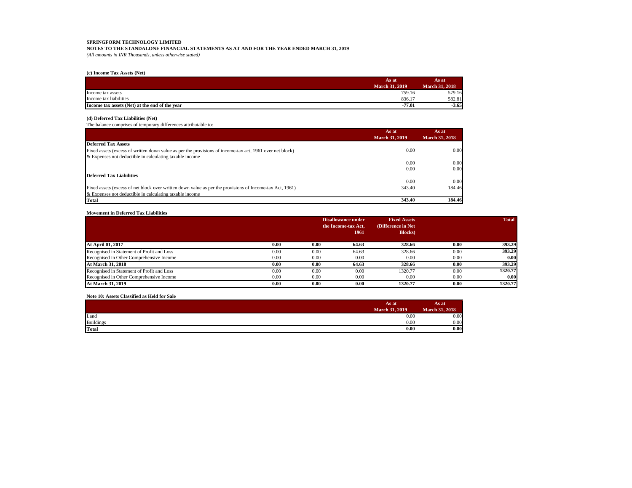**NOTES TO THE STANDALONE FINANCIAL STATEMENTS AS AT AND FOR THE YEAR ENDED MARCH 31, 2019** *(All amounts in INR Thousands, unless otherwise stated)*

## **(c) Income Tax Assets (Net)**

|                                                | As at                 | As at                 |
|------------------------------------------------|-----------------------|-----------------------|
|                                                | <b>March 31, 2019</b> | <b>March 31, 2018</b> |
| Income tax assets                              | 759.16                | 579.16                |
| Income tax liabilities                         | 836.17                | 582.81                |
| Income tax assets (Net) at the end of the vear | $-77.01$              | $-3.65$               |

## **(d) Deferred Tax Liabilities (Net)**

The balance comprises of temporary differences attributable to:

|                                                                                                          | As at<br><b>March 31, 2019</b> | As at<br><b>March 31, 2018</b> |
|----------------------------------------------------------------------------------------------------------|--------------------------------|--------------------------------|
| <b>Deferred Tax Assets</b>                                                                               |                                |                                |
| Fixed assets (excess of written down value as per the provisions of income-tax act, 1961 over net block) | 0.00                           | 0.00                           |
| & Expenses not deductible in calculating taxable income                                                  |                                |                                |
|                                                                                                          | 0.00                           | 0.00                           |
|                                                                                                          | 0.00                           | 0.00                           |
| <b>Deferred Tax Liabilities</b>                                                                          |                                |                                |
|                                                                                                          | 0.00                           | 0.00                           |
| Fixed assets (excess of net block over written down value as per the provisions of Income-tax Act, 1961) | 343.40                         | 184.46                         |
| & Expenses not deductible in calculating taxable income                                                  |                                |                                |
| <b>Total</b>                                                                                             | 343.40                         | 184.46                         |

#### **Movement in Deferred Tax Liabilities**

|                                            |      |      | <b>Disallowance under</b> | <b>Fixed Assets</b> |      | <b>Total</b> |
|--------------------------------------------|------|------|---------------------------|---------------------|------|--------------|
|                                            |      |      | the Income-tax Act,       | (Difference in Net) |      |              |
|                                            |      |      | 1961                      | <b>Blocks</b> )     |      |              |
| At April 01, 2017                          | 0.00 | 0.00 | 64.63                     | 328.66              | 0.00 | 393.29       |
| Recognised in Statement of Profit and Loss | 0.00 | 0.00 | 64.63                     | 328.66              | 0.00 | 393.29       |
| Recognised in Other Comprehensive Income   | 0.00 | 0.00 | 0.00                      | 0.00                | 0.00 | 0.00         |
| At March 31, 2018                          | 0.00 | 0.00 | 64.63                     | 328.66              | 0.00 | 393.29       |
| Recognised in Statement of Profit and Loss | 0.00 | 0.00 | 0.00                      | 1320.77             | 0.00 | 1320.77      |
| Recognised in Other Comprehensive Income   | 0.00 | 0.00 | 0.00                      | 0.00                | 0.00 | 0.00         |
| <b>At March 31, 2019</b>                   | 0.00 | 0.00 | 0.00                      | 1320.77             | 0.00 | 1320.77      |

## **Note 10: Assets Classified as Held for Sale**

|                  | As at                 | As at                 |
|------------------|-----------------------|-----------------------|
|                  | <b>March 31, 2019</b> | <b>March 31, 2018</b> |
| Land             | 0.00                  | 0.00                  |
| <b>Buildings</b> | 0.00                  | 0.00                  |
| <b>Total</b>     | 0.00                  | 0.00                  |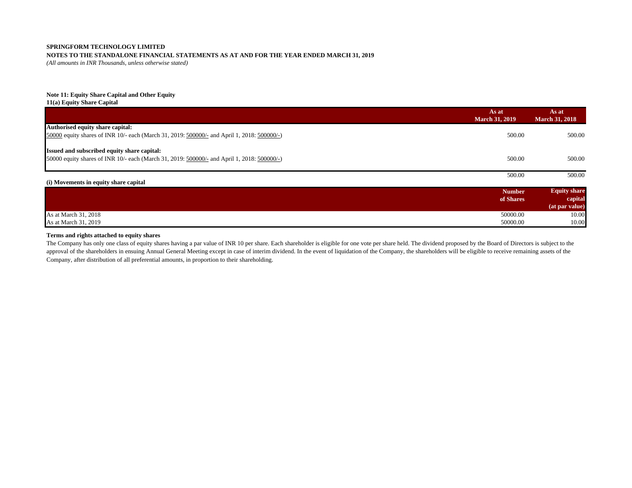# **NOTES TO THE STANDALONE FINANCIAL STATEMENTS AS AT AND FOR THE YEAR ENDED MARCH 31, 2019**

*(All amounts in INR Thousands, unless otherwise stated)*

# **Note 11: Equity Share Capital and Other Equity**

**11(a) Equity Share Capital**

|                                                                                             | As at<br><b>March 31, 2019</b> | As at<br><b>March 31, 2018</b> |
|---------------------------------------------------------------------------------------------|--------------------------------|--------------------------------|
| Authorised equity share capital:                                                            |                                |                                |
| 50000 equity shares of INR 10/- each (March 31, 2019: 500000/- and April 1, 2018: 500000/-) | 500.00                         | 500.00                         |
| Issued and subscribed equity share capital:                                                 |                                |                                |
|                                                                                             |                                |                                |
| 50000 equity shares of INR 10/- each (March 31, 2019: 500000/- and April 1, 2018: 500000/-) | 500.00                         | 500.00                         |
|                                                                                             | 500.00                         | 500.00                         |
| (i) Movements in equity share capital                                                       |                                |                                |
|                                                                                             | <b>Number</b>                  | <b>Equity share</b>            |
|                                                                                             | of Shares                      | capital                        |
|                                                                                             |                                | (at par value)                 |
| As at March 31, 2018                                                                        | 50000.00                       | 10.00                          |
| As at March 31, 2019                                                                        | 50000.00                       | 10.00                          |

# **Terms and rights attached to equity shares**

The Company has only one class of equity shares having a par value of INR 10 per share. Each shareholder is eligible for one vote per share held. The dividend proposed by the Board of Directors is subject to the approval of the shareholders in ensuing Annual General Meeting except in case of interim dividend. In the event of liquidation of the Company, the shareholders will be eligible to receive remaining assets of the Company, after distribution of all preferential amounts, in proportion to their shareholding.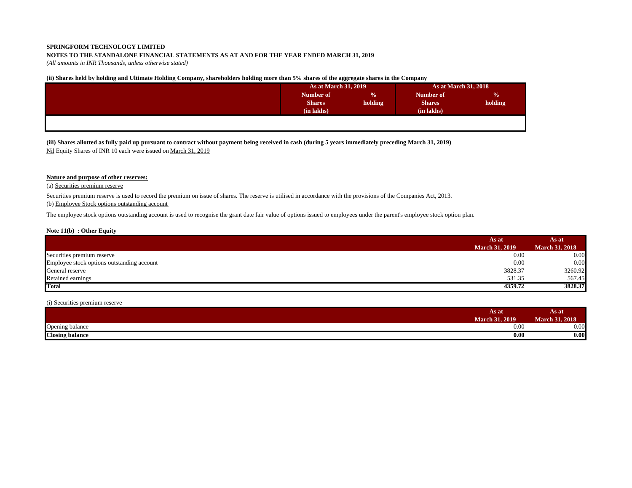# **NOTES TO THE STANDALONE FINANCIAL STATEMENTS AS AT AND FOR THE YEAR ENDED MARCH 31, 2019**

*(All amounts in INR Thousands, unless otherwise stated)*

# **(ii) Shares held by holding and Ultimate Holding Company, shareholders holding more than 5% shares of the aggregate shares in the Company**

| Number of     | $\frac{0}{0}$ |               |               |
|---------------|---------------|---------------|---------------|
|               |               | Number of     | $\frac{0}{0}$ |
| <b>Shares</b> | holding       | <b>Shares</b> | holding       |
| (in lakhs)    |               | (in lakhs)    |               |
|               |               |               |               |
|               |               |               |               |
|               |               |               |               |

**(iii) Shares allotted as fully paid up pursuant to contract without payment being received in cash (during 5 years immediately preceding March 31, 2019)** Nil Equity Shares of INR 10 each were issued on March 31, 2019

# **Nature and purpose of other reserves:**

(a) Securities premium reserve

Securities premium reserve is used to record the premium on issue of shares. The reserve is utilised in accordance with the provisions of the Companies Act, 2013.

# (b) Employee Stock options outstanding account

The employee stock options outstanding account is used to recognise the grant date fair value of options issued to employees under the parent's employee stock option plan.

## **Note 11(b) : Other Equity**

|                                            | As at                 | As at                 |  |
|--------------------------------------------|-----------------------|-----------------------|--|
|                                            | <b>March 31, 2019</b> | <b>March 31, 2018</b> |  |
| Securities premium reserve                 | 0.00                  | 0.00                  |  |
| Employee stock options outstanding account | 0.00                  | 0.00                  |  |
| General reserve                            | 3828.37               | 3260.92               |  |
| Retained earnings                          | 531.35                | 567.45                |  |
| Total                                      | 4359.72               | 3828.37               |  |

# (i) Securities premium reserve

|                        | As at<br><b>March 31, 2019</b> | As at<br><b>March 31, 2018</b> |
|------------------------|--------------------------------|--------------------------------|
| ~<br>Opening balance   | 0.00                           | <b>U.UU</b>                    |
| <b>Closing balance</b> | 0.00                           | 0.00                           |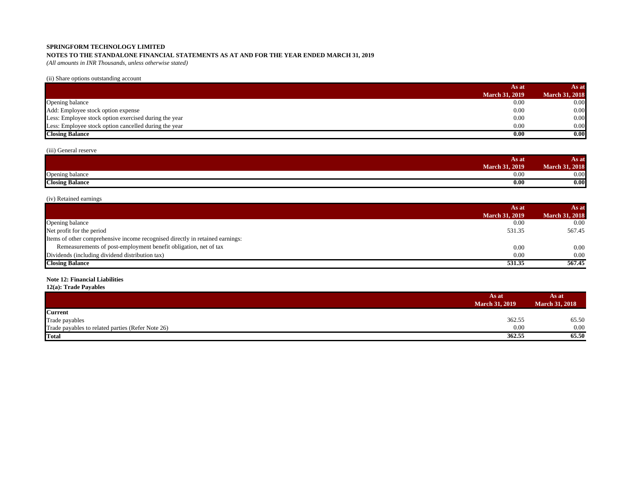# **NOTES TO THE STANDALONE FINANCIAL STATEMENTS AS AT AND FOR THE YEAR ENDED MARCH 31, 2019**

*(All amounts in INR Thousands, unless otherwise stated)*

(ii) Share options outstanding account

|                                                       | As at                 | As at                 |
|-------------------------------------------------------|-----------------------|-----------------------|
|                                                       | <b>March 31, 2019</b> | <b>March 31, 2018</b> |
| Opening balance                                       | 0.00                  | 0.00                  |
| Add: Employee stock option expense                    | 0.00                  | 0.00                  |
| Less: Employee stock option exercised during the year | 0.00                  | 0.00                  |
| Less: Employee stock option cancelled during the year | 0.00                  | 0.00                  |
| <b>Closing Balance</b>                                | 0.00                  | 0.00                  |

# (iii) General reserve

|                        | As at            | As at            |
|------------------------|------------------|------------------|
|                        | . 2019<br>March. | 1.2018<br>магси. |
| Opening balance        | 0.00             | $\Omega$<br>v.vv |
| <b>Closing Balance</b> | 0.00             | 0.00             |

# (iv) Retained earnings

|                                                                               | As at                 | As at                 |
|-------------------------------------------------------------------------------|-----------------------|-----------------------|
|                                                                               | <b>March 31, 2019</b> | <b>March 31, 2018</b> |
| Opening balance                                                               | 0.00                  | 0.00                  |
| Net profit for the period                                                     | 531.35                | 567.45                |
| Items of other comprehensive income recognised directly in retained earnings: |                       |                       |
| Remeasurements of post-employment benefit obligation, net of tax              | 0.00                  | 0.00                  |
| Dividends (including dividend distribution tax)                               | 0.00                  | 0.00                  |
| <b>Closing Balance</b>                                                        | 531.35                | 567.45                |

# **Note 12: Financial Liabilities**

**12(a): Trade Payables**

|                                                   | As at<br><b>March 31, 2019</b> | As at<br><b>March 31, 2018</b> |
|---------------------------------------------------|--------------------------------|--------------------------------|
| <b>Current</b>                                    |                                |                                |
| Trade payables                                    | 362.55                         | 65.50                          |
| Trade payables to related parties (Refer Note 26) | 0.00                           | 0.00                           |
| <b>Total</b>                                      | 362.55                         | 65.50                          |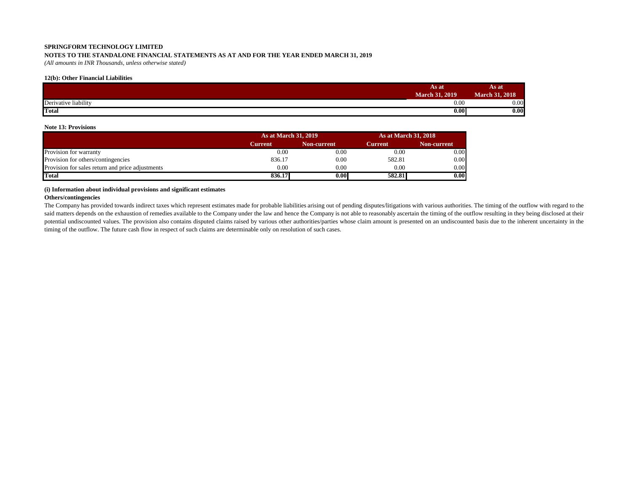# **NOTES TO THE STANDALONE FINANCIAL STATEMENTS AS AT AND FOR THE YEAR ENDED MARCH 31, 2019**

*(All amounts in INR Thousands, unless otherwise stated)*

# **12(b): Other Financial Liabilities**

|                      | As at                 | As at                 |
|----------------------|-----------------------|-----------------------|
|                      | <b>March 31, 2019</b> | <b>March 31, 2018</b> |
| Derivative liability | 0.00                  | 0.00                  |
| <b>Total</b>         | 0.00                  | 0.00                  |

## **Note 13: Provisions**

|                                                  | <b>As at March 31, 2019</b> |             |         | <b>As at March 31, 2018</b> |  |
|--------------------------------------------------|-----------------------------|-------------|---------|-----------------------------|--|
|                                                  | Current                     | Non-current | Current | Non-current                 |  |
| Provision for warranty                           | 0.00                        | 0.00        | 0.00    | 0.00                        |  |
| Provision for others/contingencies               | 836.17                      | 0.00        | 582.81  | 0.00                        |  |
| Provision for sales return and price adjustments | 0.00                        | 0.00        | 0.00    | 0.00                        |  |
| Total                                            | 836.17                      | $0.00\,$    | 582.81  | 0.00                        |  |

# **(i) Information about individual provisions and significant estimates**

# **Others/contingencies**

The Company has provided towards indirect taxes which represent estimates made for probable liabilities arising out of pending disputes/litigations with various authorities. The timing of the outflow with regard to the said matters depends on the exhaustion of remedies available to the Company under the law and hence the Company is not able to reasonably ascertain the timing of the outflow resulting in they being disclosed at their potential undiscounted values. The provision also contains disputed claims raised by various other authorities/parties whose claim amount is presented on an undiscounted basis due to the inherent uncertainty in the timing of the outflow. The future cash flow in respect of such claims are determinable only on resolution of such cases.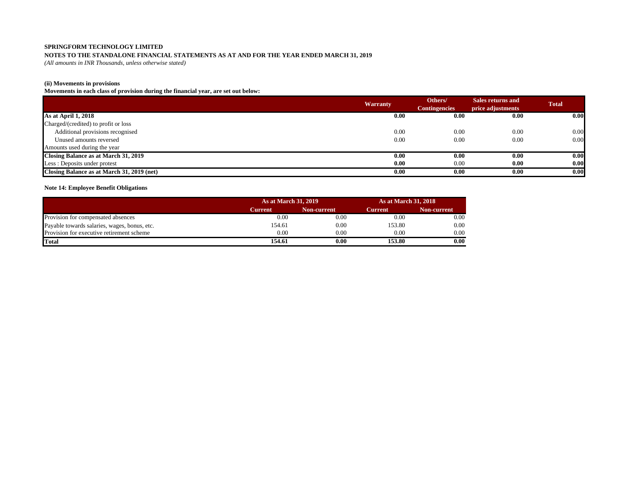# **NOTES TO THE STANDALONE FINANCIAL STATEMENTS AS AT AND FOR THE YEAR ENDED MARCH 31, 2019**

*(All amounts in INR Thousands, unless otherwise stated)*

# **(ii) Movements in provisions**

**Movements in each class of provision during the financial year, are set out below:**

|                                            |                 | Others/              | Sales returns and | <b>Total</b> |
|--------------------------------------------|-----------------|----------------------|-------------------|--------------|
|                                            | <b>Warranty</b> | <b>Contingencies</b> | price adjustments |              |
| As at April 1, 2018                        | 0.00            | 0.00                 | 0.00              | 0.00         |
| Charged/(credited) to profit or loss       |                 |                      |                   |              |
| Additional provisions recognised           | 0.00            | 0.00                 | 0.00              | 0.00         |
| Unused amounts reversed                    | 0.00            | 0.00                 | 0.00              | 0.00         |
| Amounts used during the year               |                 |                      |                   |              |
| Closing Balance as at March 31, 2019       | 0.00            | 0.00                 | 0.00              | 0.00         |
| Less: Deposits under protest               | 0.00            | 0.00                 | 0.00              | 0.00         |
| Closing Balance as at March 31, 2019 (net) | 0.00            | 0.00                 | 0.00              | 0.00         |

# **Note 14: Employee Benefit Obligations**

|                                              | <b>As at March 31, 2019</b> |             | <b>As at March 31, 2018</b> |             |
|----------------------------------------------|-----------------------------|-------------|-----------------------------|-------------|
|                                              | Current                     | Non-current | Current                     | Non-current |
| Provision for compensated absences           | $0.00\,$                    | 0.00        | 0.00                        | 0.00        |
| Payable towards salaries, wages, bonus, etc. | 154.61                      | 0.00        | 153.80                      | 0.00        |
| Provision for executive retirement scheme    | 0.00                        | 0.00        | 0.00                        | 0.00        |
| <b>Total</b>                                 | 154.61                      | 0.00        | 153.80                      | 0.00        |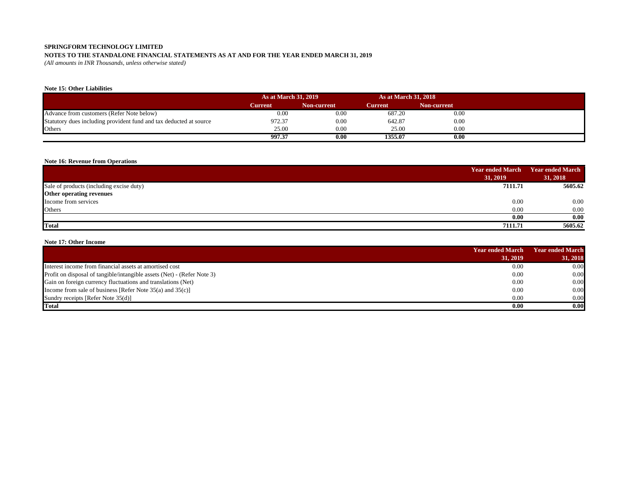# **NOTES TO THE STANDALONE FINANCIAL STATEMENTS AS AT AND FOR THE YEAR ENDED MARCH 31, 2019**

*(All amounts in INR Thousands, unless otherwise stated)*

# **Note 15: Other Liabilities**

|                                                                    | <b>As at March 31, 2019</b> |             | <b>As at March 31, 2018</b> |             |
|--------------------------------------------------------------------|-----------------------------|-------------|-----------------------------|-------------|
|                                                                    | Current                     | Non-current | Current                     | Non-current |
| Advance from customers (Refer Note below)                          | 0.00                        | 0.00        | 687.20                      | 0.00        |
| Statutory dues including provident fund and tax deducted at source | 972.37                      | 0.00        | 642.87                      | 0.00        |
| Others                                                             | 25.00                       | 0.00        | 25.00                       | 0.00        |
|                                                                    | 997.37                      | 0.00        | 1355.07                     | 0.00        |

# **Note 16: Revenue from Operations**

|                                          | <b>Year ended March</b> | <b>Year ended March</b> |  |
|------------------------------------------|-------------------------|-------------------------|--|
|                                          | 31, 2019                | 31, 2018                |  |
| Sale of products (including excise duty) | 7111.71                 | 5605.62                 |  |
| Other operating revenues                 |                         |                         |  |
| Income from services                     | 0.00                    | 0.00                    |  |
| Others                                   | 0.00                    | 0.00                    |  |
|                                          | 0.00                    | 0.00                    |  |
| <b>Total</b>                             | 7111.71                 | 5605.62                 |  |

# **Note 17: Other Income**

|                                                                         | <b>Year ended March</b> | Year ended March |  |
|-------------------------------------------------------------------------|-------------------------|------------------|--|
|                                                                         | 31, 2019                | 31, 2018         |  |
| Interest income from financial assets at amortised cost                 | 0.00                    | 0.00             |  |
| Profit on disposal of tangible/intangible assets (Net) - (Refer Note 3) | 0.00                    | 0.00             |  |
| Gain on foreign currency fluctuations and translations (Net)            | 0.00                    | 0.00             |  |
| Income from sale of business [Refer Note $35(a)$ and $35(c)$ ]          | 0.00                    | 0.00             |  |
| Sundry receipts [Refer Note 35(d)]                                      | 0.00                    | 0.00             |  |
| <b>Total</b>                                                            | 0.00                    | 0.00             |  |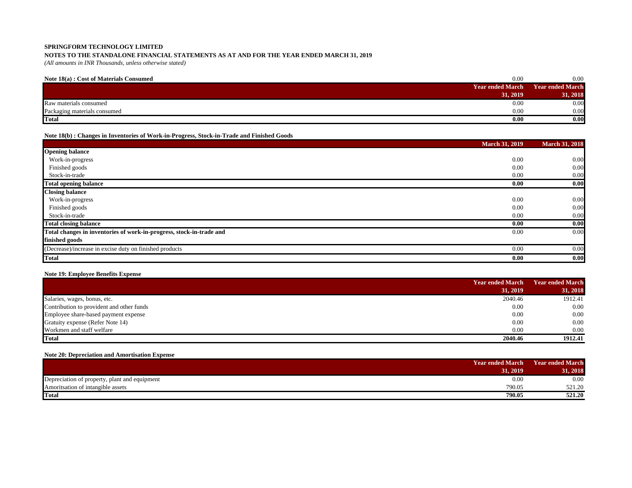# **NOTES TO THE STANDALONE FINANCIAL STATEMENTS AS AT AND FOR THE YEAR ENDED MARCH 31, 2019**

*(All amounts in INR Thousands, unless otherwise stated)*

| Note 18(a): Cost of Materials Consumed | 0.00                    | 0.00             |
|----------------------------------------|-------------------------|------------------|
|                                        | <b>Year ended March</b> | Year ended March |
|                                        | 31, 2019                | 31, 2018         |
| Raw materials consumed                 | 0.00                    | 0.00             |
| Packaging materials consumed           | 0.00                    | 0.00             |
| <b>Total</b>                           | 0.00                    | 0.00             |

# **Note 18(b) : Changes in Inventories of Work-in-Progress, Stock-in-Trade and Finished Goods**

|                                                                      | <b>March 31, 2019</b> | <b>March 31, 2018</b> |
|----------------------------------------------------------------------|-----------------------|-----------------------|
| <b>Opening balance</b>                                               |                       |                       |
| Work-in-progress                                                     | 0.00                  | 0.00                  |
| Finished goods                                                       | 0.00                  | 0.00                  |
| Stock-in-trade                                                       | 0.00                  | 0.00                  |
| <b>Total opening balance</b>                                         | 0.00                  | 0.00                  |
| <b>Closing balance</b>                                               |                       |                       |
| Work-in-progress                                                     | 0.00                  | 0.00                  |
| Finished goods                                                       | 0.00                  | 0.00                  |
| Stock-in-trade                                                       | 0.00                  | 0.00                  |
| <b>Total closing balance</b>                                         | 0.00                  | 0.00                  |
| Total changes in inventories of work-in-progress, stock-in-trade and | 0.00                  | 0.00                  |
| finished goods                                                       |                       |                       |
| (Decrease)/increase in excise duty on finished products              | 0.00                  | 0.00                  |
| <b>Total</b>                                                         | 0.00                  | 0.00                  |

# **Note 19: Employee Benefits Expense**

|                                           | <b>Year ended March</b> | <b>Year ended March</b> |
|-------------------------------------------|-------------------------|-------------------------|
|                                           | 31, 2019                | 31, 2018                |
| Salaries, wages, bonus, etc.              | 2040.46                 | 1912.41                 |
| Contribution to provident and other funds | 0.00                    | 0.00                    |
| Employee share-based payment expense      | 0.00                    | 0.00                    |
| Gratuity expense (Refer Note 14)          | 0.00                    | 0.00                    |
| Workmen and staff welfare                 | 0.00                    | 0.00                    |
| <b>Total</b>                              | 2040.46                 | 1912.41                 |

# **Note 20: Depreciation and Amortisation Expense**

|                                               | <b>Year ended March</b> | <b>Year ended March</b> |
|-----------------------------------------------|-------------------------|-------------------------|
|                                               | 31.2019                 | 31, 2018                |
| Depreciation of property, plant and equipment | 0.00                    | 0.00                    |
| Amoritsation of intangible assets             | 790.05                  | 521.20                  |
| <b>Total</b>                                  | 790.05                  | 521.20                  |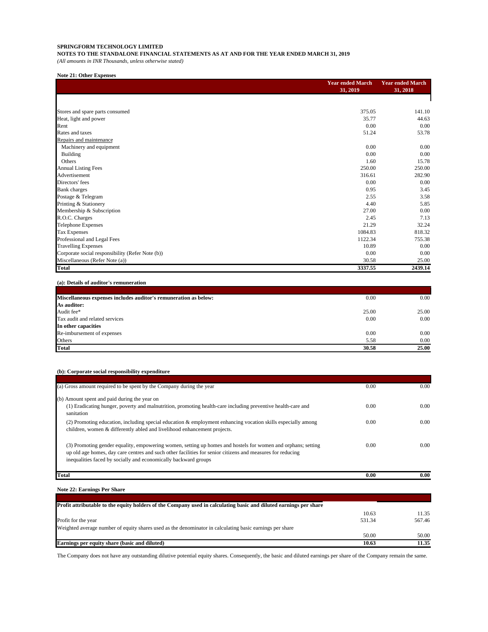**NOTES TO THE STANDALONE FINANCIAL STATEMENTS AS AT AND FOR THE YEAR ENDED MARCH 31, 2019**

*(All amounts in INR Thousands, unless otherwise stated)*

# **Note 21: Other Expenses**

|                                                  | <b>Year ended March</b> | <b>Year ended March</b> |  |
|--------------------------------------------------|-------------------------|-------------------------|--|
|                                                  | 31, 2019                | 31, 2018                |  |
|                                                  |                         |                         |  |
| Stores and spare parts consumed                  | 375.05                  | 141.10                  |  |
| Heat, light and power                            | 35.77                   | 44.63                   |  |
| Rent                                             | 0.00                    | 0.00                    |  |
| Rates and taxes                                  | 51.24                   | 53.78                   |  |
| Repairs and maintenance                          |                         |                         |  |
| Machinery and equipment                          | 0.00                    | 0.00                    |  |
| Building                                         | 0.00                    | 0.00                    |  |
| Others                                           | 1.60                    | 15.78                   |  |
| <b>Annual Listing Fees</b>                       | 250.00                  | 250.00                  |  |
| Advertisement                                    | 316.61                  | 282.90                  |  |
| Directors' fees                                  | 0.00                    | 0.00                    |  |
| <b>Bank</b> charges                              | 0.95                    | 3.45                    |  |
| Postage & Telegram                               | 2.55                    | 3.58                    |  |
| Printing & Stationery                            | 4.40                    | 5.85                    |  |
| Membership & Subscription                        | 27.00                   | 0.00                    |  |
| R.O.C. Charges                                   | 2.45                    | 7.13                    |  |
| Telephone Expenses                               | 21.29                   | 32.24                   |  |
| Tax Expenses                                     | 1084.83                 | 818.32                  |  |
| Professional and Legal Fees                      | 1122.34                 | 755.38                  |  |
| <b>Travelling Expenses</b>                       | 10.89                   | 0.00                    |  |
| Corporate social responsibility (Refer Note (b)) | 0.00                    | 0.00                    |  |
| Miscellaneous (Refer Note (a))                   | 30.58                   | 25.00                   |  |
| Total                                            | 3337.55                 | 2439.14                 |  |

# **(a): Details of auditor's remuneration**

| Miscellaneous expenses includes auditor's remuneration as below: | 0.00  | 0.00  |
|------------------------------------------------------------------|-------|-------|
| As auditor:                                                      |       |       |
| Audit fee*                                                       | 25.00 | 25.00 |
| Tax audit and related services                                   | 0.00  | 0.00  |
| In other capacities                                              |       |       |
| Re-imbursement of expenses                                       | 0.00  | 0.00  |
| Others                                                           | 5.58  | 0.00  |
| <b>Total</b>                                                     | 30.58 | 25.00 |

# **(b): Corporate social responsibility expenditure**

| (a) Gross amount required to be spent by the Company during the year                                                                                                                                                                                                                          | 0.00   | 0.00   |
|-----------------------------------------------------------------------------------------------------------------------------------------------------------------------------------------------------------------------------------------------------------------------------------------------|--------|--------|
| (b) Amount spent and paid during the year on                                                                                                                                                                                                                                                  |        |        |
| (1) Eradicating hunger, poverty and malnutrition, promoting health-care including preventive health-care and<br>sanitation                                                                                                                                                                    | 0.00   | 0.00   |
| (2) Promoting education, including special education & employment enhancing vocation skills especially among<br>children, women & differently abled and livelihood enhancement projects.                                                                                                      | 0.00   | 0.00   |
| (3) Promoting gender equality, empowering women, setting up homes and hostels for women and orphans; setting<br>up old age homes, day care centres and such other facilities for senior citizens and measures for reducing<br>inequalities faced by socially and economically backward groups | 0.00   | 0.00   |
| <b>Total</b>                                                                                                                                                                                                                                                                                  | 0.00   | 0.00   |
| <b>Note 22: Earnings Per Share</b>                                                                                                                                                                                                                                                            |        |        |
| Profit attributable to the equity holders of the Company used in calculating basic and diluted earnings per share                                                                                                                                                                             |        |        |
|                                                                                                                                                                                                                                                                                               | 10.63  | 11.35  |
| Profit for the year                                                                                                                                                                                                                                                                           | 531.34 | 567.46 |
| Weighted average number of equity shares used as the denominator in calculating basic earnings per share                                                                                                                                                                                      |        |        |
|                                                                                                                                                                                                                                                                                               | 50.00  | 50.00  |
| Earnings per equity share (basic and diluted)                                                                                                                                                                                                                                                 |        | 11.35  |

The Company does not have any outstanding dilutive potential equity shares. Consequently, the basic and diluted earnings per share of the Company remain the same.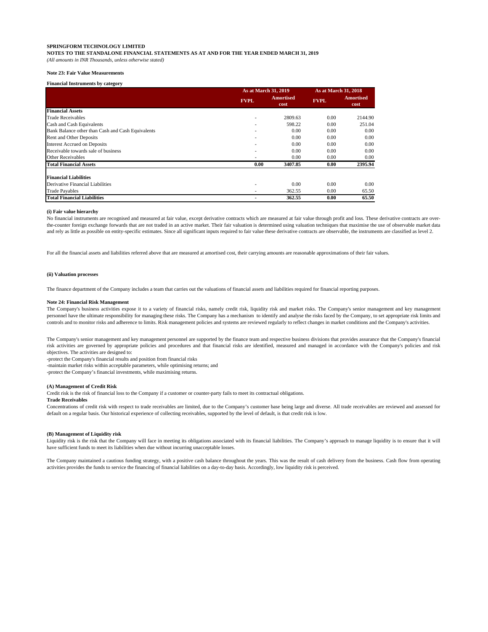**NOTES TO THE STANDALONE FINANCIAL STATEMENTS AS AT AND FOR THE YEAR ENDED MARCH 31, 2019**

*(All amounts in INR Thousands, unless otherwise stated)*

## **Note 23: Fair Value Measurements**

#### **Financial Instruments by category**

|                                                   |             | As at March 31, 2019     |             | As at March 31, 2018     |
|---------------------------------------------------|-------------|--------------------------|-------------|--------------------------|
|                                                   | <b>FVPL</b> | <b>Amortised</b><br>cost | <b>FVPL</b> | <b>Amortised</b><br>cost |
| <b>Financial Assets</b>                           |             |                          |             |                          |
| <b>Trade Receivables</b>                          |             | 2809.63                  | 0.00        | 2144.90                  |
| Cash and Cash Equivalents                         |             | 598.22                   | 0.00        | 251.04                   |
| Bank Balance other than Cash and Cash Equivalents | ٠           | 0.00                     | 0.00        | 0.00                     |
| Rent and Other Deposits                           | ٠           | 0.00                     | 0.00        | 0.00                     |
| <b>Interest Accrued on Deposits</b>               | ٠           | 0.00                     | 0.00        | 0.00                     |
| Receivable towards sale of business               |             | 0.00                     | 0.00        | 0.00                     |
| Other Receivables                                 |             | 0.00                     | 0.00        | 0.00                     |
| <b>Total Financial Assets</b>                     | 0.00        | 3407.85                  | 0.00        | 2395.94                  |
| <b>Financial Liabilities</b>                      |             |                          |             |                          |
| Derivative Financial Liabilities                  | ٠           | 0.00                     | 0.00        | 0.00                     |
| <b>Trade Payables</b>                             | ٠           | 362.55                   | 0.00        | 65.50                    |
| <b>Total Financial Liabilities</b>                |             | 362.55                   | 0.00        | 65.50                    |

#### **(i) Fair value hierarchy**

No financial instruments are recognised and measured at fair value, except derivative contracts which are measured at fair value through profit and loss. These derivative contracts are overthe-counter foreign exchange forwards that are not traded in an active market. Their fair valuation is determined using valuation techniques that maximise the use of observable market data and rely as little as possible on entity-specific estimates. Since all significant inputs required to fair value these derivative contracts are observable, the instruments are classified as level 2.

For all the financial assets and liabilities referred above that are measured at amortised cost, their carrying amounts are reasonable approximations of their fair values.

#### **(ii) Valuation processes**

The finance department of the Company includes a team that carries out the valuations of financial assets and liabilities required for financial reporting purposes.

## **Note 24: Financial Risk Management**

The Company's business activities expose it to a variety of financial risks, namely credit risk, liquidity risk and market risks. The Company's senior management and key management personnel have the ultimate responsibility for managing these risks. The Company has a mechanism to identify and analyse the risks faced by the Company, to set appropriate risk limits and controls and to monitor risks and adherence to limits. Risk management policies and systems are reviewed regularly to reflect changes in market conditions and the Company's activities.

The Company's senior management and key management personnel are supported by the finance team and respective business divisions that provides assurance that the Company's financial risk activities are governed by appropriate policies and procedures and that financial risks are identified, measured and managed in accordance with the Company's policies and risk objectives. The activities are designed to:

-protect the Company's financial results and position from financial risks

-maintain market risks within acceptable parameters, while optimising returns; and

-protect the Company's financial investments, while maximising returns.

#### **(A) Management of Credit Risk**

Credit risk is the risk of financial loss to the Company if a customer or counter-party fails to meet its contractual obligations.

#### **Trade Receivables**

Concentrations of credit risk with respect to trade receivables are limited, due to the Company's customer base being large and diverse. All trade receivables are reviewed and assessed for default on a regular basis. Our historical experience of collecting receivables, supported by the level of default, is that credit risk is low.

## **(B) Management of Liquidity risk**

Liquidity risk is the risk that the Company will face in meeting its obligations associated with its financial liabilities. The Company's approach to manage liquidity is to ensure that it will have sufficient funds to meet its liabilities when due without incurring unacceptable losses.

The Company maintained a cautious funding strategy, with a positive cash balance throughout the years. This was the result of cash delivery from the business. Cash flow from operating activities provides the funds to service the financing of financial liabilities on a day-to-day basis. Accordingly, low liquidity risk is perceived.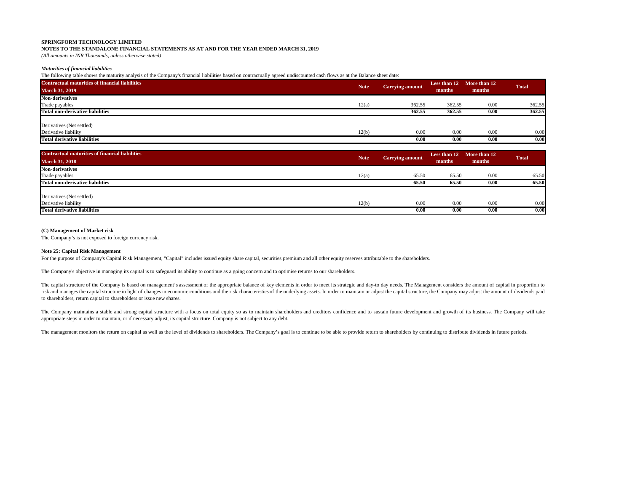**NOTES TO THE STANDALONE FINANCIAL STATEMENTS AS AT AND FOR THE YEAR ENDED MARCH 31, 2019**

*(All amounts in INR Thousands, unless otherwise stated)*

## *Maturities of financial liabilities*

The following table shows the maturity analysis of the Company's financial liabilities based on contractually agreed undiscounted cash flows as at the Balance sheet date:

| <b>Contractual maturities of financial liabilities</b> |             |                        |        | Less than 12 More than 12 |              |
|--------------------------------------------------------|-------------|------------------------|--------|---------------------------|--------------|
| <b>March 31, 2019</b>                                  | <b>Note</b> | <b>Carrying amount</b> | months | months                    | <b>Total</b> |
| <b>Non-derivatives</b>                                 |             |                        |        |                           |              |
| Trade payables                                         | 12(a)       | 362.55                 | 362.55 | 0.00                      | 362.55       |
| <b>Total non-derivative liabilities</b>                |             | 362.55                 | 362.55 | 0.00                      | 362.55       |
| Derivatives (Net settled)                              |             |                        |        |                           |              |
| Derivative liability                                   | 12(b)       | 0.00                   | 0.00   | 0.00                      | 0.00         |
| <b>Total derivative liabilities</b>                    |             | 0.00                   | 0.00   | 0.00                      | 0.00         |

| <b>Contractual maturities of financial liabilities</b> |             |                        | Less than 12 | More than 12 | <b>Total</b> |
|--------------------------------------------------------|-------------|------------------------|--------------|--------------|--------------|
| <b>March 31, 2018</b>                                  | <b>Note</b> | <b>Carrying amount</b> | months       | months       |              |
| <b>Non-derivatives</b>                                 |             |                        |              |              |              |
| Trade payables                                         | 12(a)       | 65.50                  | 65.50        | 0.00         | 65.50        |
| Total non-derivative liabilities                       |             | 65.50                  | 65.50        | 0.00         | 65.50        |
| Derivatives (Net settled)                              |             |                        |              |              |              |
| Derivative liability                                   | 12(b)       | 0.00                   | 0.00         | 0.00         | 0.00         |
| <b>Total derivative liabilities</b>                    |             | 0.00                   | 0.00         | 0.00         | 0.00         |

#### **(C) Management of Market risk**

The Company's is not exposed to foreign currency risk.

## **Note 25: Capital Risk Management**

For the purpose of Company's Capital Risk Management, "Capital" includes issued equity share capital, securities premium and all other equity reserves attributable to the shareholders.

The Company's objective in managing its capital is to safeguard its ability to continue as a going concern and to optimise returns to our shareholders.

The capital structure of the Company is based on management's assessment of the appropriate balance of key elements in order to meet its strategic and day-to day needs. The Management considers the amount of capital in pro risk and manages the capital structure in light of changes in economic conditions and the risk characteristics of the underlying assets. In order to maintain or adjust the capital structure, the Company may adjust the amou to shareholders, return capital to shareholders or issue new shares.

The Company maintains a stable and strong capital structure with a focus on total equity so as to maintain shareholders and creditors confidence and to sustain future development and growth of its business. The Company wil appropriate steps in order to maintain, or if necessary adjust, its capital structure. Company is not subject to any debt.

The management monitors the return on capital as well as the level of dividends to shareholders. The Company's goal is to continue to be able to provide return to shareholders by continuing to distribute dividends in futur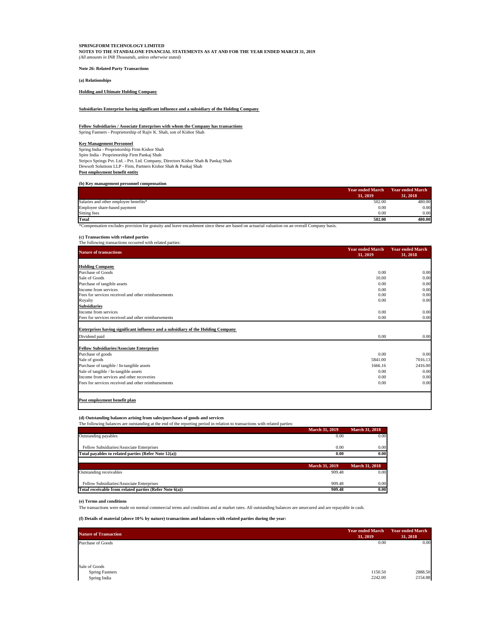**Note 26: Related Party Transactions**

**(a) Relationships**

**Holding and Ultimate Holding Company**

**Subsidiaries Enterprise having significant influence and a subsidiary of the Holding Company**

## **Fellow Subsidiaries / Associate Enterprises with whom the Company has transactions** Spring Fastners - Proprietorship of Rajiv K. Shah, son of Kishor Shah

**Key Management Personnel**

Spring India - Proprietorship Firm Kishor Shah Spire India - Proprietorship Firm Pankaj Shah Stripco Springs Pvt. Ltd. - Pvt. Ltd. Company, Directors Kishor Shah & Pankaj Shah Dewsoft Solutions LLP - Firm, Partners Kishor Shah & Pankaj Shah **Post employment benefit entity**

# **(b) Key management personnel compensation**

|                                       | <b>Year ended March</b> | <b>Year ended March</b> |
|---------------------------------------|-------------------------|-------------------------|
|                                       | 31, 2019                | 31, 2018                |
| Salaries and other employee benefits* | 502.00                  | 480.00                  |
| Employee share-based payment          | 0.00                    | 0.00                    |
| Sitting fees                          | 0.00                    | 0.00                    |
| Total                                 | 502.00                  | 480.00                  |

\*Compensation excludes provision for gratuity and leave encashment since these are based on actuarial valuation on an overall Company basis.

**(c) Transactions with related parties**

| <b>Nature of transactions</b>                                                                                                                                                                                                                                                                                                                                                         | <b>Year ended March</b><br>31, 2019 | <b>Year ended March</b><br>31, 2018 |
|---------------------------------------------------------------------------------------------------------------------------------------------------------------------------------------------------------------------------------------------------------------------------------------------------------------------------------------------------------------------------------------|-------------------------------------|-------------------------------------|
| <b>Holding Company</b>                                                                                                                                                                                                                                                                                                                                                                |                                     |                                     |
| Purchase of Goods                                                                                                                                                                                                                                                                                                                                                                     | 0.00                                | 0.00                                |
| Sale of Goods                                                                                                                                                                                                                                                                                                                                                                         | 10.00                               | 0.00                                |
| Purchase of tangible assets                                                                                                                                                                                                                                                                                                                                                           | 0.00                                | 0.00                                |
| Income from services                                                                                                                                                                                                                                                                                                                                                                  | 0.00                                | 0.00                                |
| Fees for services received and other reimbursements                                                                                                                                                                                                                                                                                                                                   | 0.00                                | 0.00                                |
| Royalty                                                                                                                                                                                                                                                                                                                                                                               | 0.00                                | 0.00                                |
| <b>Subsidiaries</b>                                                                                                                                                                                                                                                                                                                                                                   |                                     |                                     |
| Income from services                                                                                                                                                                                                                                                                                                                                                                  | 0.00                                | 0.00                                |
| Fees for services received and other reimbursements                                                                                                                                                                                                                                                                                                                                   | 0.00                                | 0.00                                |
|                                                                                                                                                                                                                                                                                                                                                                                       |                                     |                                     |
|                                                                                                                                                                                                                                                                                                                                                                                       | 0.00                                | 0.00                                |
|                                                                                                                                                                                                                                                                                                                                                                                       |                                     |                                     |
|                                                                                                                                                                                                                                                                                                                                                                                       | 0.00                                |                                     |
|                                                                                                                                                                                                                                                                                                                                                                                       | 5841.00                             | 0.00                                |
|                                                                                                                                                                                                                                                                                                                                                                                       | 1666.16                             | 7016.13                             |
|                                                                                                                                                                                                                                                                                                                                                                                       | 0.00                                |                                     |
|                                                                                                                                                                                                                                                                                                                                                                                       | 0.00                                |                                     |
| Enterprises having significant influence and a subsidiary of the Holding Company<br>Dividend paid<br><b>Fellow Subsidiaries/Associate Enterprises</b><br>Purchase of goods<br>Sale of goods<br>Purchase of tangible / In-tangible assets<br>Sale of tangible / In-tangible assets<br>Income from services and other recoveries<br>Fees for services received and other reimbursements | 0.00                                | 2416.00<br>0.00<br>0.00<br>0.00     |

#### **(d) Outstanding balances arising from sales/purchases of goods and services** The following balances are outstanding at the end of the reporting period in relation to transactions with related parties:

|                                                                      | <b>March 31, 2019</b> | <b>March 31, 2018</b> |
|----------------------------------------------------------------------|-----------------------|-----------------------|
| Outstanding payables                                                 | 0.00                  | 0.00                  |
| Fellow Subsidiaries/Associate Enterprises                            | 0.00                  | 0.00                  |
| Total payables to related parties (Refer Note 12(a))                 | 0.00                  | 0.00                  |
|                                                                      |                       |                       |
|                                                                      | <b>March 31, 2019</b> | <b>March 31, 2018</b> |
|                                                                      |                       |                       |
|                                                                      | 909.48                | 0.00                  |
| Outstanding receivables<br>Fellow Subsidiaries/Associate Enterprises | 909.48                | 0.00                  |

**(e) Terms and conditions**

The transactions were made on normal commercial terms and conditions and at market rates. All outstanding balances are unsecured and are repayable in cash.

# **(f) Details of material (above 10% by nature) transactions and balances with related parties during the year:**

| <b>Nature of Transaction</b>                            | <b>Year ended March</b><br>31, 2019 | <b>Year ended March</b><br>31, 2018 |
|---------------------------------------------------------|-------------------------------------|-------------------------------------|
| Purchase of Goods                                       | 0.00                                | 0.00                                |
| Sale of Goods<br><b>Spring Fastners</b><br>Spring India | 1150.50<br>2242.00                  | 2888.50<br>2154.88                  |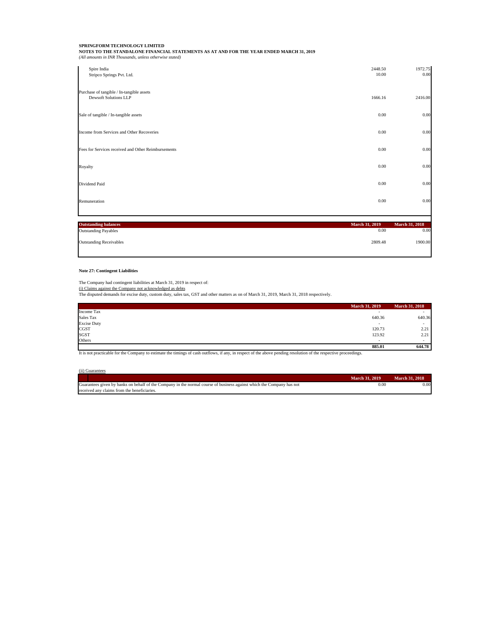| Spire India<br>Stripco Springs Pvt. Ltd.                                  | 2448.50<br>10.00 | 1972.75<br>0.00 |
|---------------------------------------------------------------------------|------------------|-----------------|
| Purchase of tangible / In-tangible assets<br><b>Dewsoft Solutions LLP</b> | 1666.16          | 2416.00         |
| Sale of tangible / In-tangible assets                                     | 0.00             | 0.00            |
| Income from Services and Other Recoveries                                 | 0.00             | 0.00            |
| Fees for Services received and Other Reimbursements                       | 0.00             | 0.00            |
| Royalty                                                                   | 0.00             | 0.00            |
| Dividend Paid                                                             | 0.00             | 0.00            |
| Remuneration                                                              | 0.00             | 0.00            |
| <b>Outstanding balances</b>                                               | March 31, 2019   | March 31, 2018  |
| <b>Outstanding Payables</b>                                               | 0.00             | 0.00            |
| <b>Outstanding Receivables</b>                                            | 2809.48          | 1900.00         |

# **Note 27: Contingent Liabilities**

The Company had contingent liabilities at March 31, 2019 in respect of:<br>(i) Claims against the Company not acknowledged as debts<br>The disputed demands for excise duty, custom duty, sales tax, GST and other matters as on of

|                    | March 31, 2019           | <b>March 31, 2018</b>    |
|--------------------|--------------------------|--------------------------|
| Income Tax         |                          |                          |
| Sales Tax          | 640.36                   | 640.36                   |
| <b>Excise Duty</b> | $\overline{\phantom{a}}$ | $\overline{\phantom{a}}$ |
| CGST               | 120.73                   | 2.21                     |
| SGST               | 123.92                   | 2.21                     |
| Others             | . .                      | $\sim$                   |
|                    | 885.01                   | 644.78                   |

It is not practicable for the Company to estimate the timings of cash outflows, if any, in respect of the above pending resolution of the respective proceedings.

| (ii) Guarantees                                                                                                       |                       |                       |
|-----------------------------------------------------------------------------------------------------------------------|-----------------------|-----------------------|
|                                                                                                                       | <b>March 31, 2019</b> | <b>March 31, 2018</b> |
| Guarantees given by banks on behalf of the Company in the normal course of business against which the Company has not | 0.00                  | 0.00                  |
| received any claims from the beneficiaries.                                                                           |                       |                       |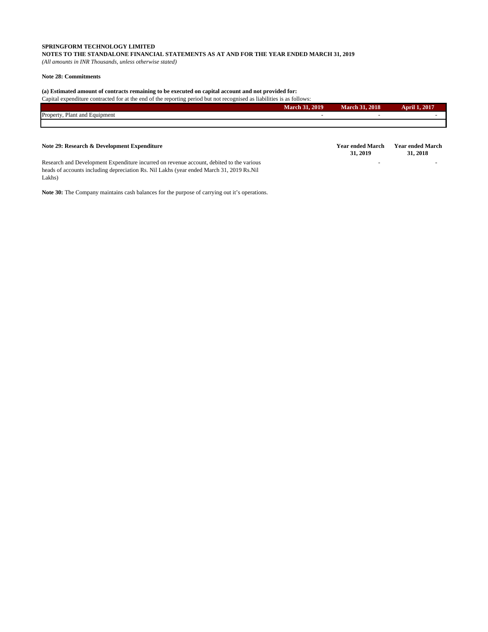# **SPRINGFORM TECHNOLOGY LIMITED NOTES TO THE STANDALONE FINANCIAL STATEMENTS AS AT AND FOR THE YEAR ENDED MARCH 31, 2019**

*(All amounts in INR Thousands, unless otherwise stated)*

# **Note 28: Commitments**

Lakhs)

# **(a) Estimated amount of contracts remaining to be executed on capital account and not provided for:**

Capital expenditure contracted for at the end of the reporting period but not recognised as liabilities is as follows:

|                                  | <b>March 31, 2019</b> | 2018<br><b>March</b><br>- 44 | 1, 2017<br>$\bullet$<br>ADEL |
|----------------------------------|-----------------------|------------------------------|------------------------------|
| Plant and Equipment<br>Property. |                       |                              |                              |
|                                  |                       |                              |                              |

#### **Note 29: Research & Development Expenditure 31, 2019 Year ended March 31, 2018** Research and Development Expenditure incurred on revenue account, debited to the various heads of accounts including depreciation Rs. Nil Lakhs (year ended March 31, 2019 Rs.Nil - -

**Note 30:** The Company maintains cash balances for the purpose of carrying out it's operations.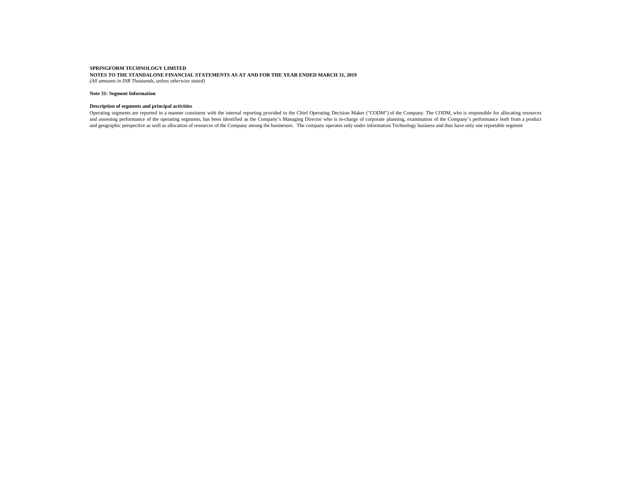# **Note 31: Segment Information**

#### **Description of segments and principal activities**

Operating segments are reported in a manner consistent with the internal reporting provided to the Chief Operating Decision Maker ("CODM") of the Company. The CODM, who is responsible for allocating resources and assessing performance of the operating segments, has been identified as the Company's Managing Director who is in-charge of corporate planning, examination ofthe Company's performance both from a product and geographic perspective as well as allocation of resources of the Company among the businesses. The company operates only under information Technology business and thus have only one reportable segment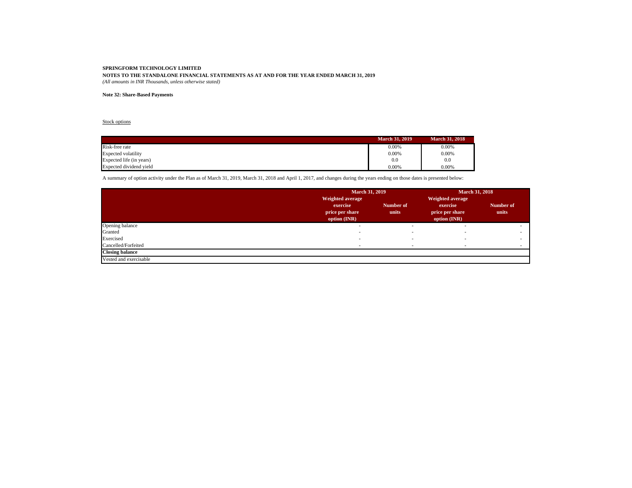# **Note 32: Share-Based Payments**

# Stock options

|                            | <b>March 31, 2019</b> | <b>March 31, 2018</b> |
|----------------------------|-----------------------|-----------------------|
| Risk-free rate             | 0.00%                 | 0.00%                 |
| <b>Expected volatility</b> | 0.00%                 | 0.00%                 |
| Expected life (in years)   | 0.0                   | 0.0                   |
| Expected dividend yield    | 0.00%                 | 0.00%                 |

A summary of option activity under the Plan as of March 31, 2019, March 31, 2018 and April 1, 2017, and changes during the years ending on those dates is presented below:

|                        | <b>March 31, 2019</b>                       | March 31, 2018     |                                             |                    |
|------------------------|---------------------------------------------|--------------------|---------------------------------------------|--------------------|
|                        | Weighted average                            |                    | Weighted average                            |                    |
|                        | exercise<br>price per share<br>option (INR) | Number of<br>units | exercise<br>price per share<br>option (INR) | Number of<br>units |
| Opening balance        |                                             |                    |                                             |                    |
| Granted                |                                             |                    |                                             |                    |
| Exercised              |                                             |                    |                                             |                    |
| Cancelled/Forfeited    |                                             |                    |                                             |                    |
| <b>Closing balance</b> |                                             |                    |                                             |                    |
| Vested and exercisable |                                             |                    |                                             |                    |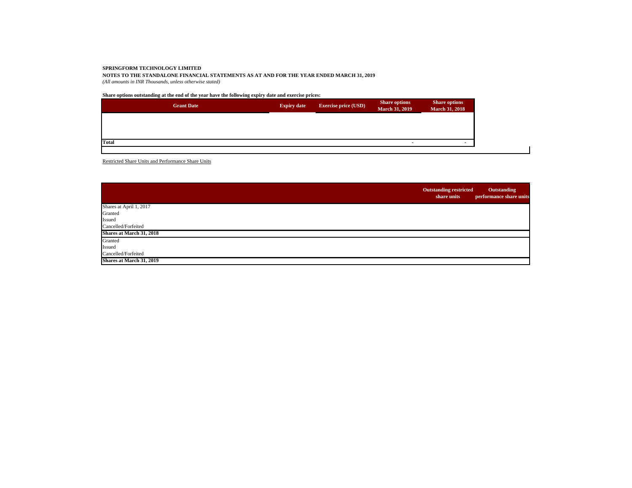**Share options outstanding at the end of the year have the following expiry date and exercise prices:**

|              | <b>Grant Date</b> | <b>Expiry date</b> | <b>Exercise price (USD)</b> | <b>Share options</b><br><b>March 31, 2019</b> | <b>Share options</b><br><b>March 31, 2018</b> |
|--------------|-------------------|--------------------|-----------------------------|-----------------------------------------------|-----------------------------------------------|
|              |                   |                    |                             |                                               |                                               |
| <b>Total</b> |                   |                    |                             |                                               |                                               |
|              |                   |                    |                             |                                               |                                               |

Restricted Share Units and Performance Share Units

|                          | <b>Outstanding restricted</b><br>share units | Outstanding<br>performance share units |
|--------------------------|----------------------------------------------|----------------------------------------|
| Shares at April 1, 2017  |                                              |                                        |
| Granted                  |                                              |                                        |
| Issued                   |                                              |                                        |
| Cancelled/Forfeited      |                                              |                                        |
| Shares at March 31, 2018 |                                              |                                        |
| Granted                  |                                              |                                        |
| Issued                   |                                              |                                        |
| Cancelled/Forfeited      |                                              |                                        |
| Shares at March 31, 2019 |                                              |                                        |